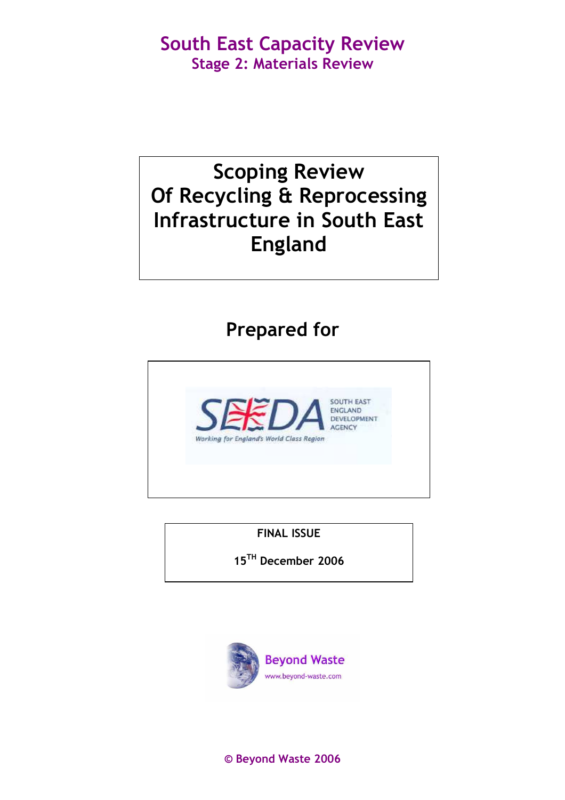# Scoping Review Of Recycling & Reprocessing Infrastructure in South East England

# Prepared for



FINAL ISSUE

15TH December 2006



© Beyond Waste 2006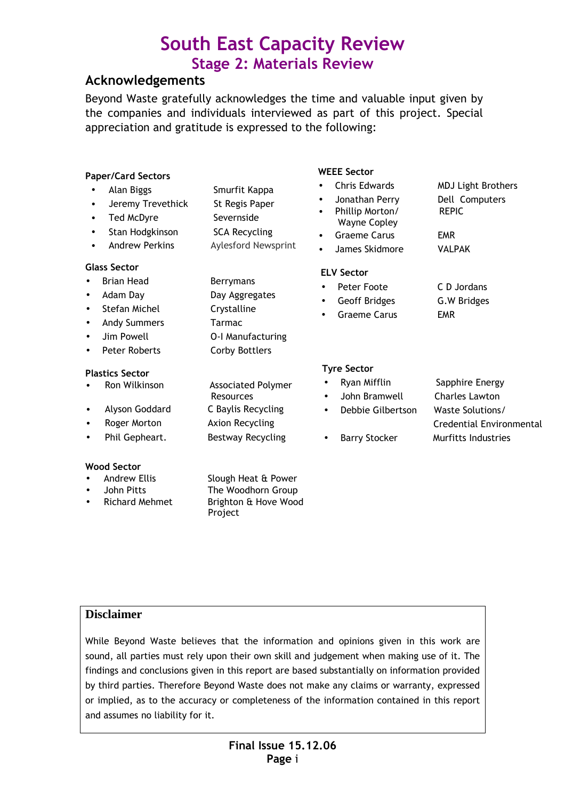### Acknowledgements

Beyond Waste gratefully acknowledges the time and valuable input given by the companies and individuals interviewed as part of this project. Special appreciation and gratitude is expressed to the following:

| <b>Paper/Card Sectors</b>                                                                                                             |                                                                                                             | <b>WEEE Sector</b>                                                                                                                                                            |                                                                                                                 |
|---------------------------------------------------------------------------------------------------------------------------------------|-------------------------------------------------------------------------------------------------------------|-------------------------------------------------------------------------------------------------------------------------------------------------------------------------------|-----------------------------------------------------------------------------------------------------------------|
| Alan Biggs<br>$\bullet$<br>Jeremy Trevethick<br>٠<br>Ted McDyre<br>$\bullet$<br>Stan Hodgkinson<br>$\bullet$<br><b>Andrew Perkins</b> | Smurfit Kappa<br>St Regis Paper<br>Severnside<br><b>SCA Recycling</b><br>Aylesford Newsprint                | <b>Chris Edwards</b><br>$\bullet$<br>Jonathan Perry<br>Phillip Morton/<br>$\bullet$<br><b>Wayne Copley</b><br><b>Graeme Carus</b><br>$\bullet$<br>James Skidmore<br>$\bullet$ | <b>MDJ Light Brothers</b><br>Dell Computers<br><b>REPIC</b><br><b>EMR</b><br><b>VALPAK</b>                      |
| <b>Glass Sector</b><br><b>Brian Head</b><br>Adam Day<br>Stefan Michel<br><b>Andy Summers</b><br>Jim Powell<br><b>Peter Roberts</b>    | Berrymans<br>Day Aggregates<br>Crystalline<br>Tarmac<br>O-I Manufacturing<br><b>Corby Bottlers</b>          | <b>ELV Sector</b><br>Peter Foote<br>$\bullet$<br>Geoff Bridges<br>$\bullet$<br><b>Graeme Carus</b><br>$\bullet$                                                               | C D Jordans<br>G.W Bridges<br><b>EMR</b>                                                                        |
| <b>Plastics Sector</b><br>Ron Wilkinson<br>Alyson Goddard<br>٠<br>Roger Morton<br>Phil Gepheart.                                      | <b>Associated Polymer</b><br>Resources<br>C Baylis Recycling<br>Axion Recycling<br><b>Bestway Recycling</b> | <b>Tyre Sector</b><br>Ryan Mifflin<br>$\bullet$<br>John Bramwell<br>$\bullet$<br>Debbie Gilbertson<br>$\bullet$<br><b>Barry Stocker</b><br>$\bullet$                          | Sapphire Energy<br><b>Charles Lawton</b><br>Waste Solutions/<br>Credential Environmental<br>Murfitts Industries |
| <b>Wood Sector</b><br><b>Andrew Ellis</b><br>John Pitts                                                                               | Slough Heat & Power<br>The Woodhorn Group                                                                   |                                                                                                                                                                               |                                                                                                                 |

### **Disclaimer**

Richard Mehmet Brighton & Hove Wood

Project

While Beyond Waste believes that the information and opinions given in this work are sound, all parties must rely upon their own skill and judgement when making use of it. The findings and conclusions given in this report are based substantially on information provided by third parties. Therefore Beyond Waste does not make any claims or warranty, expressed or implied, as to the accuracy or completeness of the information contained in this report and assumes no liability for it.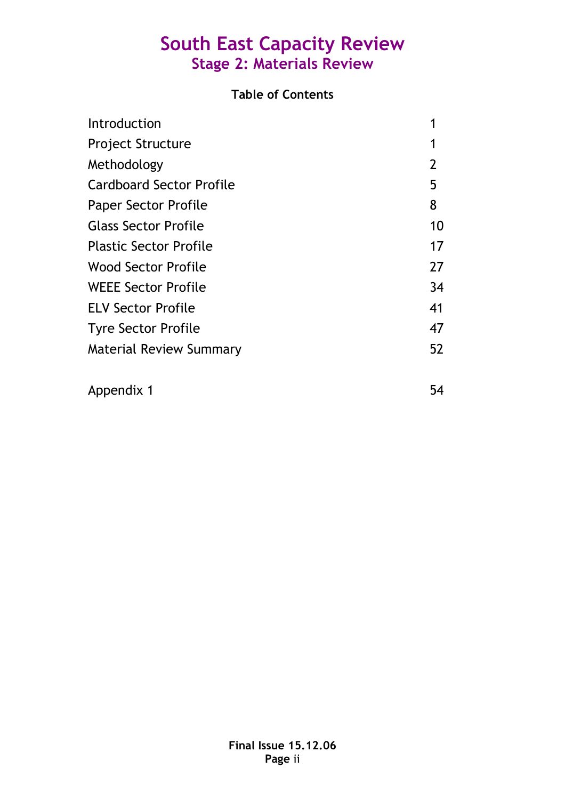### Table of Contents

| Introduction                    |    |
|---------------------------------|----|
| <b>Project Structure</b>        |    |
| Methodology                     | 2  |
| <b>Cardboard Sector Profile</b> | 5  |
| <b>Paper Sector Profile</b>     | 8  |
| <b>Glass Sector Profile</b>     | 10 |
| <b>Plastic Sector Profile</b>   | 17 |
| <b>Wood Sector Profile</b>      | 27 |
| <b>WEEE Sector Profile</b>      | 34 |
| <b>ELV Sector Profile</b>       | 41 |
| <b>Tyre Sector Profile</b>      | 47 |
| <b>Material Review Summary</b>  | 52 |
| Appendix 1                      | 54 |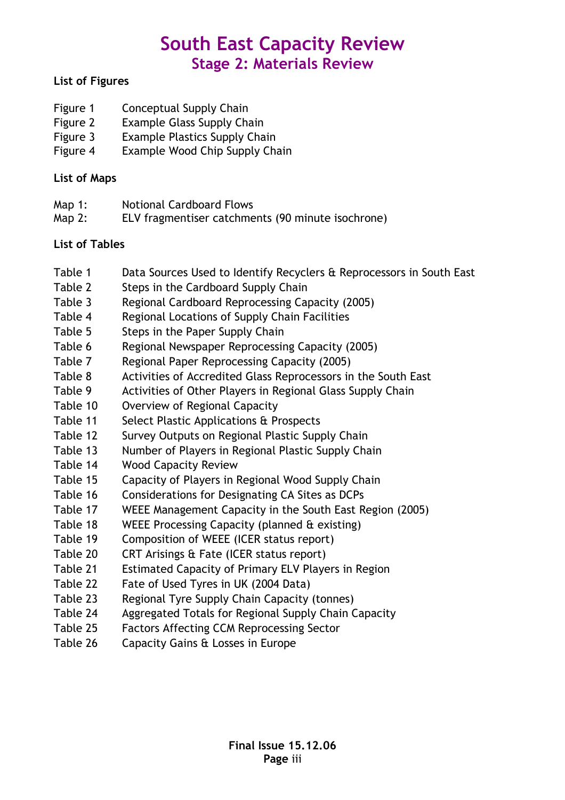### List of Figures

- Figure 1 Conceptual Supply Chain
- Figure 2 Example Glass Supply Chain
- Figure 3 Example Plastics Supply Chain
- Figure 4 Example Wood Chip Supply Chain

### List of Maps

- Map 1: Notional Cardboard Flows
- Map 2: ELV fragmentiser catchments (90 minute isochrone)

### List of Tables

- Table 1 Data Sources Used to Identify Recyclers & Reprocessors in South East
- Table 2 Steps in the Cardboard Supply Chain
- Table 3 Regional Cardboard Reprocessing Capacity (2005)
- Table 4 Regional Locations of Supply Chain Facilities
- Table 5 Steps in the Paper Supply Chain
- Table 6 Regional Newspaper Reprocessing Capacity (2005)
- Table 7 Regional Paper Reprocessing Capacity (2005)
- Table 8 Activities of Accredited Glass Reprocessors in the South East
- Table 9 Activities of Other Players in Regional Glass Supply Chain
- Table 10 Overview of Regional Capacity
- Table 11 Select Plastic Applications & Prospects
- Table 12 Survey Outputs on Regional Plastic Supply Chain
- Table 13 Number of Players in Regional Plastic Supply Chain
- Table 14 Wood Capacity Review
- Table 15 Capacity of Players in Regional Wood Supply Chain
- Table 16 Considerations for Designating CA Sites as DCPs
- Table 17 WEEE Management Capacity in the South East Region (2005)
- Table 18 WEEE Processing Capacity (planned & existing)
- Table 19 Composition of WEEE (ICER status report)
- Table 20 CRT Arisings & Fate (ICER status report)
- Table 21 Estimated Capacity of Primary ELV Players in Region
- Table 22 Fate of Used Tyres in UK (2004 Data)
- Table 23 Regional Tyre Supply Chain Capacity (tonnes)
- Table 24 Aggregated Totals for Regional Supply Chain Capacity
- Table 25 Factors Affecting CCM Reprocessing Sector
- Table 26 Capacity Gains & Losses in Europe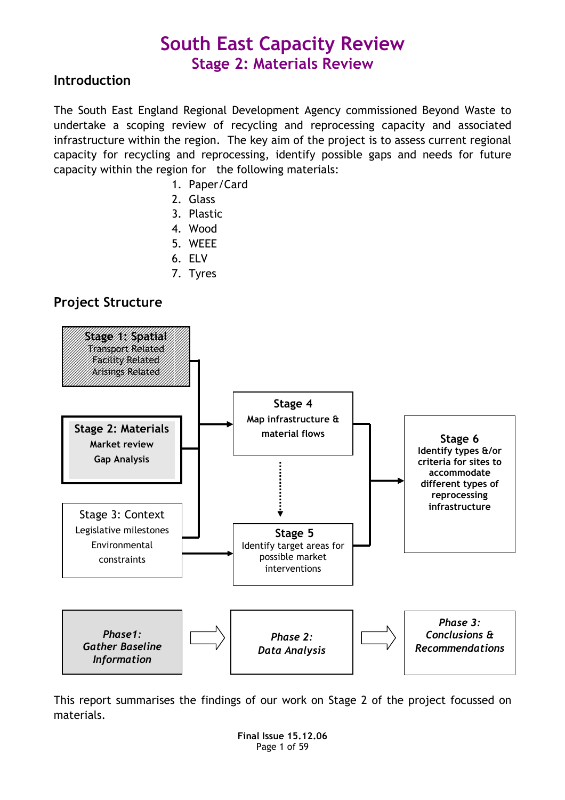### Introduction

The South East England Regional Development Agency commissioned Beyond Waste to undertake a scoping review of recycling and reprocessing capacity and associated infrastructure within the region. The key aim of the project is to assess current regional capacity for recycling and reprocessing, identify possible gaps and needs for future capacity within the region for the following materials:

- 1. Paper/Card
- 2. Glass
- 3. Plastic
- 4. Wood
- 5. WEEE
- 6. ELV
- 7. Tyres

### Project Structure



This report summarises the findings of our work on Stage 2 of the project focussed on materials.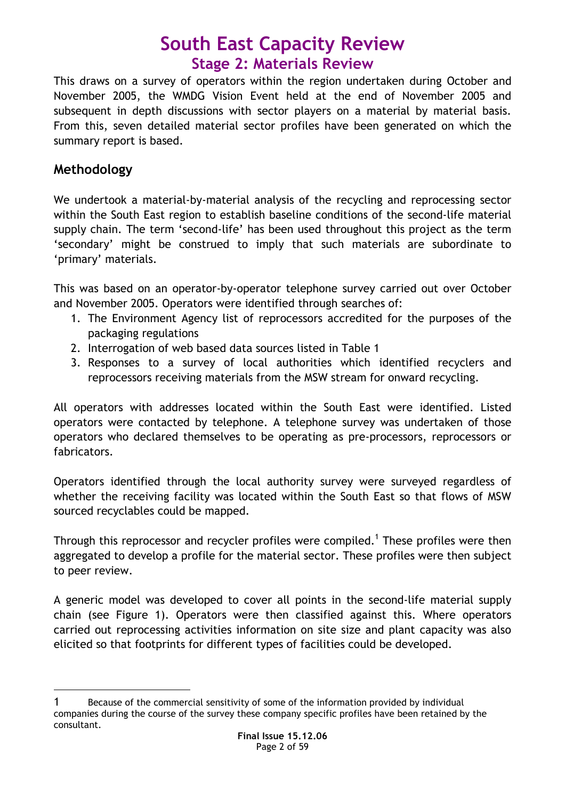This draws on a survey of operators within the region undertaken during October and November 2005, the WMDG Vision Event held at the end of November 2005 and subsequent in depth discussions with sector players on a material by material basis. From this, seven detailed material sector profiles have been generated on which the summary report is based.

### Methodology

 $\overline{a}$ 

We undertook a material-by-material analysis of the recycling and reprocessing sector within the South East region to establish baseline conditions of the second-life material supply chain. The term 'second-life' has been used throughout this project as the term 'secondary' might be construed to imply that such materials are subordinate to 'primary' materials.

This was based on an operator-by-operator telephone survey carried out over October and November 2005. Operators were identified through searches of:

- 1. The Environment Agency list of reprocessors accredited for the purposes of the packaging regulations
- 2. Interrogation of web based data sources listed in Table 1
- 3. Responses to a survey of local authorities which identified recyclers and reprocessors receiving materials from the MSW stream for onward recycling.

All operators with addresses located within the South East were identified. Listed operators were contacted by telephone. A telephone survey was undertaken of those operators who declared themselves to be operating as pre-processors, reprocessors or fabricators.

Operators identified through the local authority survey were surveyed regardless of whether the receiving facility was located within the South East so that flows of MSW sourced recyclables could be mapped.

Through this reprocessor and recycler profiles were compiled.<sup>1</sup> These profiles were then aggregated to develop a profile for the material sector. These profiles were then subject to peer review.

A generic model was developed to cover all points in the second-life material supply chain (see Figure 1). Operators were then classified against this. Where operators carried out reprocessing activities information on site size and plant capacity was also elicited so that footprints for different types of facilities could be developed.

<sup>1</sup> Because of the commercial sensitivity of some of the information provided by individual companies during the course of the survey these company specific profiles have been retained by the consultant.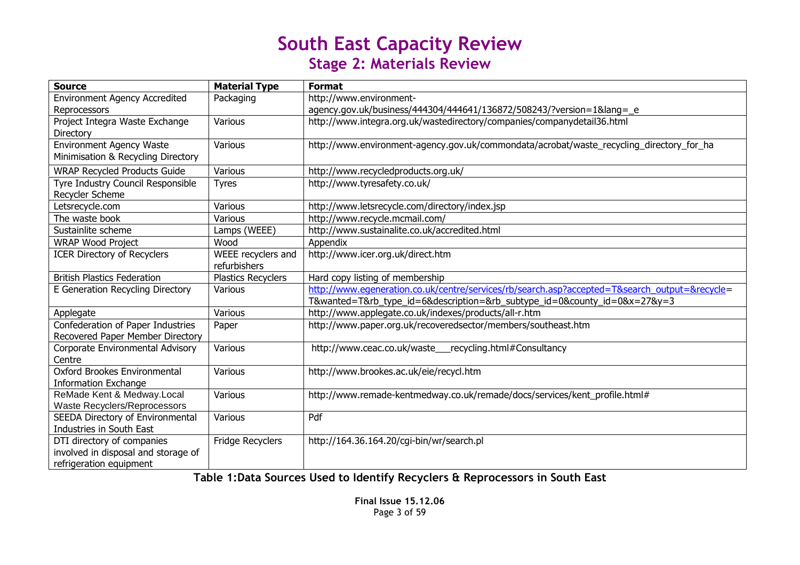| <b>Source</b>                        | <b>Material Type</b>      | <b>Format</b>                                                                                 |
|--------------------------------------|---------------------------|-----------------------------------------------------------------------------------------------|
| <b>Environment Agency Accredited</b> | Packaging                 | http://www.environment-                                                                       |
| Reprocessors                         |                           | agency.gov.uk/business/444304/444641/136872/508243/?version=1⟨=_e                             |
| Project Integra Waste Exchange       | Various                   | http://www.integra.org.uk/wastedirectory/companies/companydetail36.html                       |
| Directory                            |                           |                                                                                               |
| <b>Environment Agency Waste</b>      | Various                   | http://www.environment-agency.gov.uk/commondata/acrobat/waste_recycling_directory_for_ha      |
| Minimisation & Recycling Directory   |                           |                                                                                               |
| <b>WRAP Recycled Products Guide</b>  | Various                   | http://www.recycledproducts.org.uk/                                                           |
| Tyre Industry Council Responsible    | <b>Tyres</b>              | http://www.tyresafety.co.uk/                                                                  |
| Recycler Scheme                      |                           |                                                                                               |
| Letsrecycle.com                      | Various                   | http://www.letsrecycle.com/directory/index.jsp                                                |
| The waste book                       | Various                   | http://www.recycle.mcmail.com/                                                                |
| Sustainlite scheme                   | Lamps (WEEE)              | http://www.sustainalite.co.uk/accredited.html                                                 |
| <b>WRAP Wood Project</b>             | Wood                      | Appendix                                                                                      |
| <b>ICER Directory of Recyclers</b>   | WEEE recyclers and        | http://www.icer.org.uk/direct.htm                                                             |
|                                      | refurbishers              |                                                                                               |
| <b>British Plastics Federation</b>   | <b>Plastics Recyclers</b> | Hard copy listing of membership                                                               |
| E Generation Recycling Directory     | Various                   | http://www.egeneration.co.uk/centre/services/rb/search.asp?accepted=T&search_output=&recycle= |
|                                      |                           | T&wanted=T&rb_type_id=6&description=&rb_subtype_id=0&county_id=0&x=27&y=3                     |
| Applegate                            | Various                   | http://www.applegate.co.uk/indexes/products/all-r.htm                                         |
| Confederation of Paper Industries    | Paper                     | http://www.paper.org.uk/recoveredsector/members/southeast.htm                                 |
| Recovered Paper Member Directory     |                           |                                                                                               |
| Corporate Environmental Advisory     | Various                   | http://www.ceac.co.uk/waste__recycling.html#Consultancy                                       |
| Centre                               |                           |                                                                                               |
| Oxford Brookes Environmental         | Various                   | http://www.brookes.ac.uk/eie/recycl.htm                                                       |
| <b>Information Exchange</b>          |                           |                                                                                               |
| ReMade Kent & Medway.Local           | Various                   | http://www.remade-kentmedway.co.uk/remade/docs/services/kent_profile.html#                    |
| Waste Recyclers/Reprocessors         |                           |                                                                                               |
| SEEDA Directory of Environmental     | Various                   | Pdf                                                                                           |
| Industries in South East             |                           |                                                                                               |
| DTI directory of companies           | Fridge Recyclers          | http://164.36.164.20/cqi-bin/wr/search.pl                                                     |
| involved in disposal and storage of  |                           |                                                                                               |
| refrigeration equipment              |                           |                                                                                               |

Table 1:Data Sources Used to Identify Recyclers & Reprocessors in South East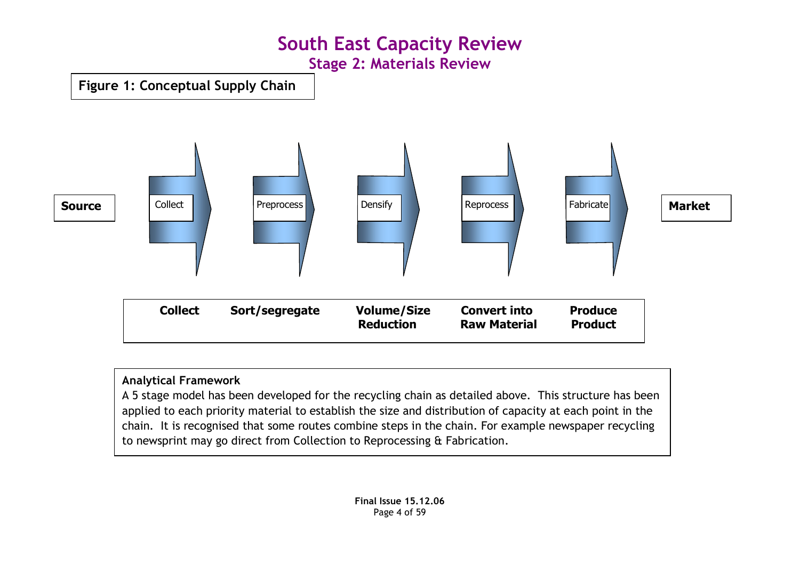Figure 1: Conceptual Supply Chain



### Analytical Framework

 A 5 stage model has been developed for the recycling chain as detailed above. This structure has been applied to each priority material to establish the size and distribution of capacity at each point in the chain. It is recognised that some routes combine steps in the chain. For example newspaper recycling to newsprint may go direct from Collection to Reprocessing & Fabrication.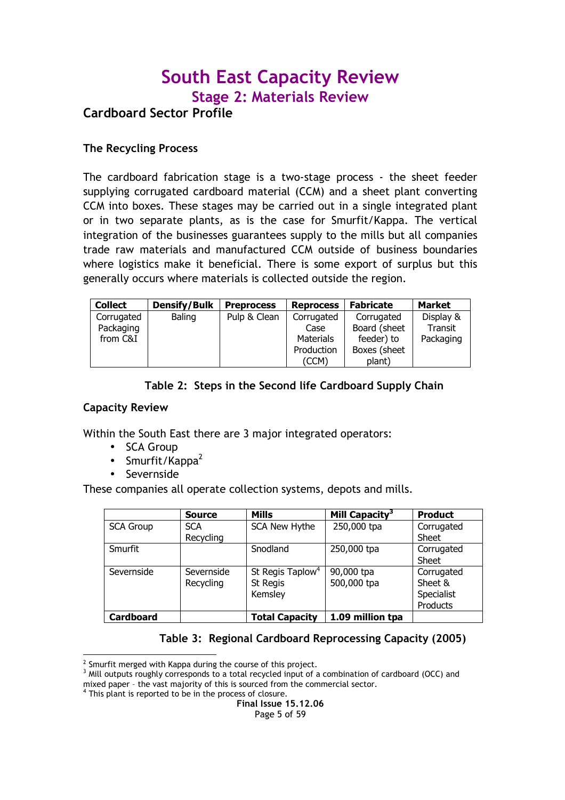### South East Capacity Review Stage 2: Materials Review Cardboard Sector Profile

#### The Recycling Process

The cardboard fabrication stage is a two-stage process - the sheet feeder supplying corrugated cardboard material (CCM) and a sheet plant converting CCM into boxes. These stages may be carried out in a single integrated plant or in two separate plants, as is the case for Smurfit/Kappa. The vertical integration of the businesses guarantees supply to the mills but all companies trade raw materials and manufactured CCM outside of business boundaries where logistics make it beneficial. There is some export of surplus but this generally occurs where materials is collected outside the region.

| <b>Collect</b> | <b>Densify/Bulk</b> | <b>Preprocess</b> | <b>Reprocess</b> | <b>Fabricate</b> | <b>Market</b> |
|----------------|---------------------|-------------------|------------------|------------------|---------------|
| Corrugated     | Baling              | Pulp & Clean      | Corrugated       | Corrugated       | Display &     |
| Packaging      |                     |                   | Case             | Board (sheet     | Transit       |
| from C&I       |                     |                   | <b>Materials</b> | feeder) to       | Packaging     |
|                |                     |                   | Production       | Boxes (sheet     |               |
|                |                     |                   | (CCM)            | plant)           |               |

Table 2: Steps in the Second life Cardboard Supply Chain

#### Capacity Review

-

Within the South East there are 3 major integrated operators:

- SCA Group
- Smurfit/Kappa $^2$
- Severnside

These companies all operate collection systems, depots and mills.

|                  | Source     | <b>Mills</b>                 | Mill Capacity <sup>3</sup> | <b>Product</b> |
|------------------|------------|------------------------------|----------------------------|----------------|
| <b>SCA Group</b> | <b>SCA</b> | SCA New Hythe                | 250,000 tpa                | Corrugated     |
|                  | Recycling  |                              |                            | Sheet          |
| Smurfit          |            | Snodland                     | 250,000 tpa                | Corrugated     |
|                  |            |                              |                            | <b>Sheet</b>   |
| Severnside       | Severnside | St Regis Taplow <sup>4</sup> | 90,000 tpa                 | Corrugated     |
|                  | Recycling  | St Regis                     | 500,000 tpa                | Sheet &        |
|                  |            | Kemsley                      |                            | Specialist     |
|                  |            |                              |                            | Products       |
| <b>Cardboard</b> |            | <b>Total Capacity</b>        | 1.09 million tpa           |                |

### Table 3: Regional Cardboard Reprocessing Capacity (2005)

 $2$  Smurfit merged with Kappa during the course of this project.

 $3$  Mill outputs roughly corresponds to a total recycled input of a combination of cardboard (OCC) and mixed paper – the vast majority of this is sourced from the commercial sector.

<sup>&</sup>lt;sup>4</sup> This plant is reported to be in the process of closure.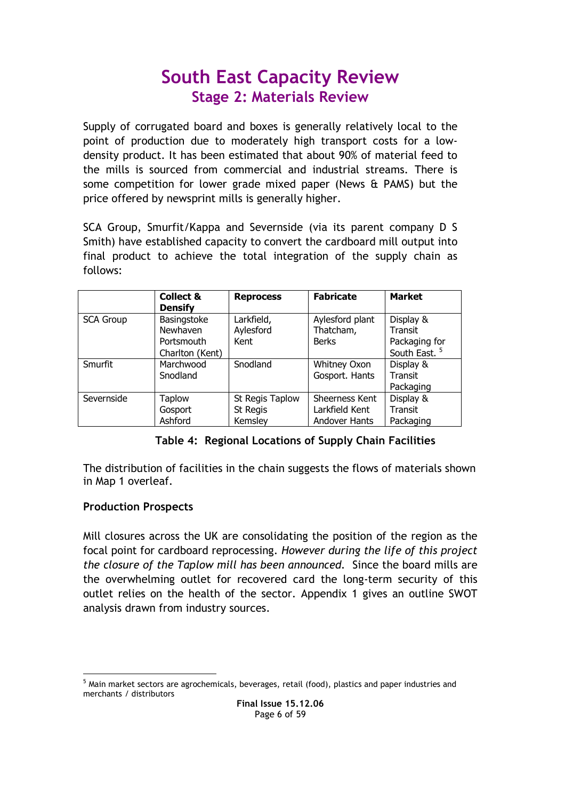Supply of corrugated board and boxes is generally relatively local to the point of production due to moderately high transport costs for a lowdensity product. It has been estimated that about 90% of material feed to the mills is sourced from commercial and industrial streams. There is some competition for lower grade mixed paper (News & PAMS) but the price offered by newsprint mills is generally higher.

SCA Group, Smurfit/Kappa and Severnside (via its parent company D S Smith) have established capacity to convert the cardboard mill output into final product to achieve the total integration of the supply chain as follows:

|                  | <b>Collect &amp;</b><br><b>Densify</b> | <b>Reprocess</b> | <b>Fabricate</b> | <b>Market</b>            |
|------------------|----------------------------------------|------------------|------------------|--------------------------|
| <b>SCA Group</b> | Basingstoke                            | Larkfield,       | Aylesford plant  | Display &                |
|                  | Newhaven                               | Aylesford        | Thatcham,        | Transit                  |
|                  | Portsmouth                             | Kent             | <b>Berks</b>     | Packaging for            |
|                  | Charlton (Kent)                        |                  |                  | South East. <sup>5</sup> |
| <b>Smurfit</b>   | Marchwood                              | Snodland         | Whitney Oxon     | Display &                |
|                  | Snodland                               |                  | Gosport. Hants   | Transit                  |
|                  |                                        |                  |                  | Packaging                |
| Severnside       | <b>Taplow</b>                          | St Regis Taplow  | Sheerness Kent   | Display &                |
|                  | Gosport                                | St Regis         | Larkfield Kent   | Transit                  |
|                  | Ashford                                | Kemsley          | Andover Hants    | Packaging                |

### Table 4: Regional Locations of Supply Chain Facilities

The distribution of facilities in the chain suggests the flows of materials shown in Map 1 overleaf.

### Production Prospects

Mill closures across the UK are consolidating the position of the region as the focal point for cardboard reprocessing. However during the life of this project the closure of the Taplow mill has been announced. Since the board mills are the overwhelming outlet for recovered card the long-term security of this outlet relies on the health of the sector. Appendix 1 gives an outline SWOT analysis drawn from industry sources.

<sup>-</sup> $^5$  Main market sectors are agrochemicals, beverages, retail (food), plastics and paper industries and merchants / distributors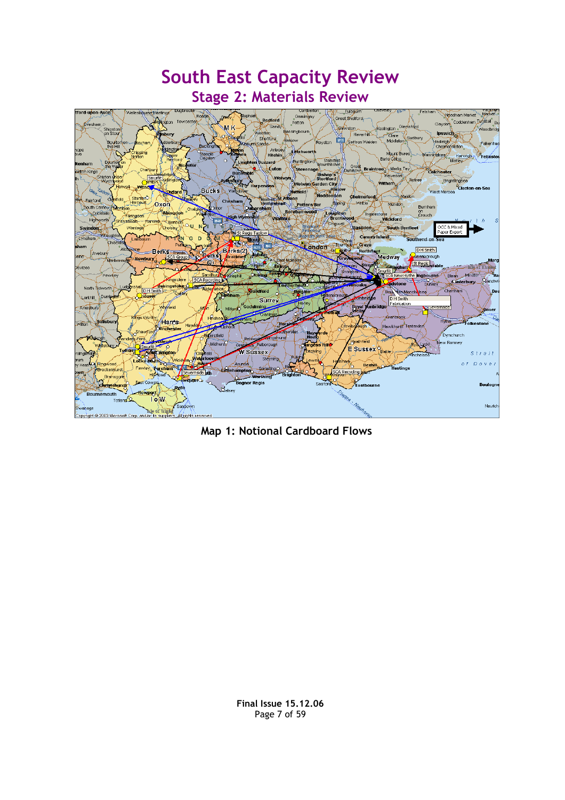

Map 1: Notional Cardboard Flows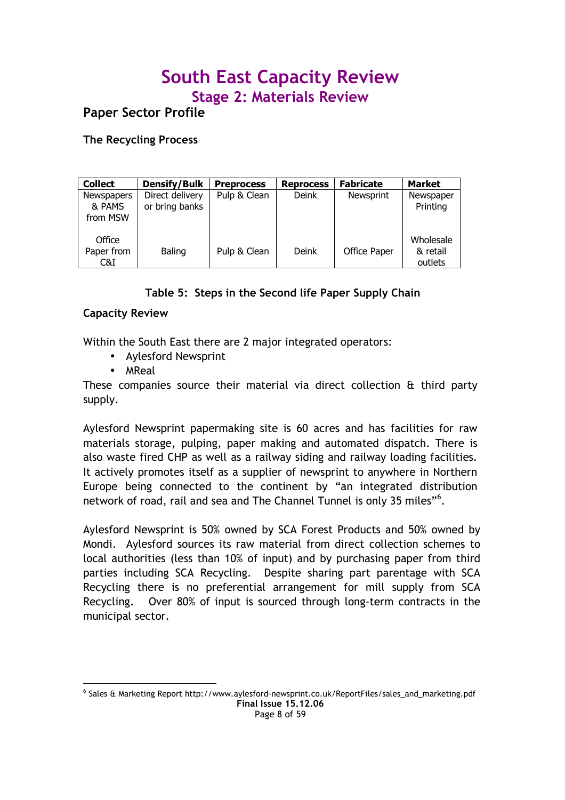Paper Sector Profile

The Recycling Process

| <b>Collect</b>                          | <b>Densify/Bulk</b>               | <b>Preprocess</b> | <b>Reprocess</b> | <b>Fabricate</b> | <b>Market</b>                    |
|-----------------------------------------|-----------------------------------|-------------------|------------------|------------------|----------------------------------|
| <b>Newspapers</b><br>& PAMS<br>from MSW | Direct delivery<br>or bring banks | Pulp & Clean      | Deink            | <b>Newsprint</b> | Newspaper<br>Printing            |
| Office<br>Paper from<br>C&I             | Baling                            | Pulp & Clean      | Deink            | Office Paper     | Wholesale<br>& retail<br>outlets |

### Table 5: Steps in the Second life Paper Supply Chain

### Capacity Review

Within the South East there are 2 major integrated operators:

- Aylesford Newsprint
- MReal

-

These companies source their material via direct collection & third party supply.

Aylesford Newsprint papermaking site is 60 acres and has facilities for raw materials storage, pulping, paper making and automated dispatch. There is also waste fired CHP as well as a railway siding and railway loading facilities. It actively promotes itself as a supplier of newsprint to anywhere in Northern Europe being connected to the continent by "an integrated distribution network of road, rail and sea and The Channel Tunnel is only 35 miles"<sup>6</sup>.

Aylesford Newsprint is 50% owned by SCA Forest Products and 50% owned by Mondi. Aylesford sources its raw material from direct collection schemes to local authorities (less than 10% of input) and by purchasing paper from third parties including SCA Recycling. Despite sharing part parentage with SCA Recycling there is no preferential arrangement for mill supply from SCA Recycling. Over 80% of input is sourced through long-term contracts in the municipal sector.

Final Issue 15.12.06 Page 8 of 59 6 Sales & Marketing Report http://www.aylesford-newsprint.co.uk/ReportFiles/sales\_and\_marketing.pdf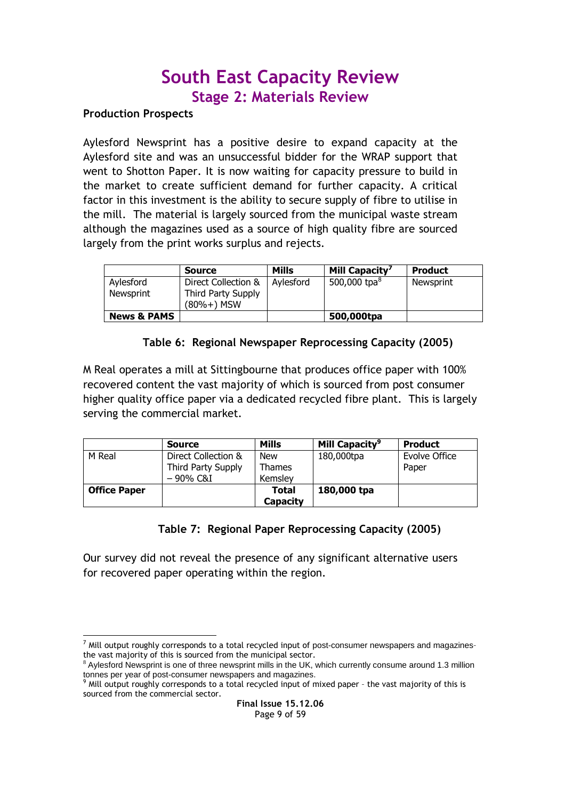### Production Prospects

Aylesford Newsprint has a positive desire to expand capacity at the Aylesford site and was an unsuccessful bidder for the WRAP support that went to Shotton Paper. It is now waiting for capacity pressure to build in the market to create sufficient demand for further capacity. A critical factor in this investment is the ability to secure supply of fibre to utilise in the mill. The material is largely sourced from the municipal waste stream although the magazines used as a source of high quality fibre are sourced largely from the print works surplus and rejects.

|                        | <b>Source</b>                                             | <b>Mills</b> | Mill Capacity'  | <b>Product</b> |
|------------------------|-----------------------------------------------------------|--------------|-----------------|----------------|
| Aylesford<br>Newsprint | Direct Collection &<br>Third Party Supply<br>$(80%+)$ MSW | Avlesford    | 500,000 tpa $8$ | Newsprint      |
| <b>News &amp; PAMS</b> |                                                           |              | 500,000tpa      |                |

### Table 6: Regional Newspaper Reprocessing Capacity (2005)

M Real operates a mill at Sittingbourne that produces office paper with 100% recovered content the vast majority of which is sourced from post consumer higher quality office paper via a dedicated recycled fibre plant. This is largely serving the commercial market.

|                     | <b>Source</b>       | <b>Mills</b>    | Mill Capacity <sup>9</sup> | <b>Product</b> |
|---------------------|---------------------|-----------------|----------------------------|----------------|
| M Real              | Direct Collection & | <b>New</b>      | 180,000tpa                 | Evolve Office  |
|                     | Third Party Supply  | <b>Thames</b>   |                            | Paper          |
|                     | $-90\%$ C&I         | Kemslev         |                            |                |
| <b>Office Paper</b> |                     | Total           | 180,000 tpa                |                |
|                     |                     | <b>Capacity</b> |                            |                |

### Table 7: Regional Paper Reprocessing Capacity (2005)

Our survey did not reveal the presence of any significant alternative users for recovered paper operating within the region.

<sup>-</sup> $^7$  Mill output roughly corresponds to a total recycled input of post-consumer newspapers and magazinesthe vast majority of this is sourced from the municipal sector.

<sup>8</sup> Aylesford Newsprint is one of three newsprint mills in the UK, which currently consume around 1.3 million

tonnes per year of post-consumer newspapers and magazines.<br><sup>9</sup> Mill output roughly corresponds to a total recycled input of mixed paper - the vast majority of this is sourced from the commercial sector.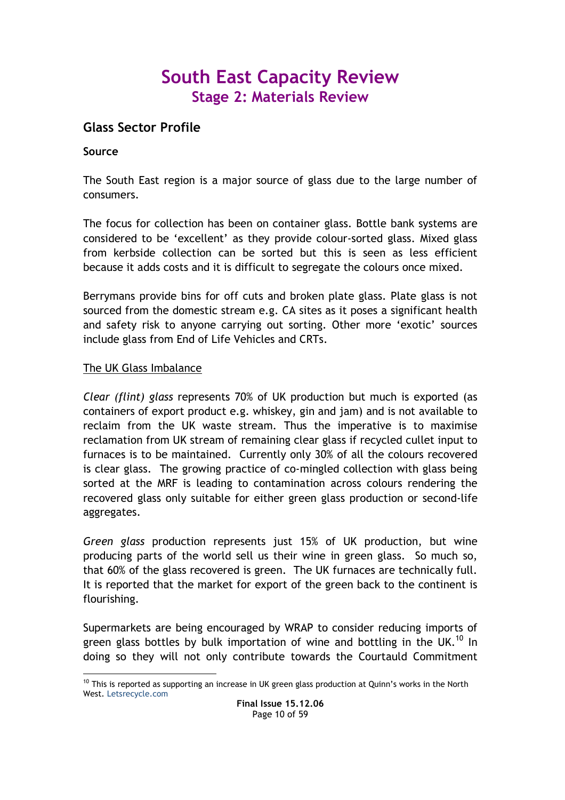### Glass Sector Profile

### Source

The South East region is a major source of glass due to the large number of consumers.

The focus for collection has been on container glass. Bottle bank systems are considered to be 'excellent' as they provide colour-sorted glass. Mixed glass from kerbside collection can be sorted but this is seen as less efficient because it adds costs and it is difficult to segregate the colours once mixed.

Berrymans provide bins for off cuts and broken plate glass. Plate glass is not sourced from the domestic stream e.g. CA sites as it poses a significant health and safety risk to anyone carrying out sorting. Other more 'exotic' sources include glass from End of Life Vehicles and CRTs.

### The UK Glass Imbalance

Clear (flint) glass represents 70% of UK production but much is exported (as containers of export product e.g. whiskey, gin and jam) and is not available to reclaim from the UK waste stream. Thus the imperative is to maximise reclamation from UK stream of remaining clear glass if recycled cullet input to furnaces is to be maintained. Currently only 30% of all the colours recovered is clear glass. The growing practice of co-mingled collection with glass being sorted at the MRF is leading to contamination across colours rendering the recovered glass only suitable for either green glass production or second-life aggregates.

Green glass production represents just 15% of UK production, but wine producing parts of the world sell us their wine in green glass. So much so, that 60% of the glass recovered is green. The UK furnaces are technically full. It is reported that the market for export of the green back to the continent is flourishing.

Supermarkets are being encouraged by WRAP to consider reducing imports of green glass bottles by bulk importation of wine and bottling in the UK.<sup>10</sup> In doing so they will not only contribute towards the Courtauld Commitment

<sup>-</sup> $10$  This is reported as supporting an increase in UK green glass production at Quinn's works in the North West. Letsrecycle.com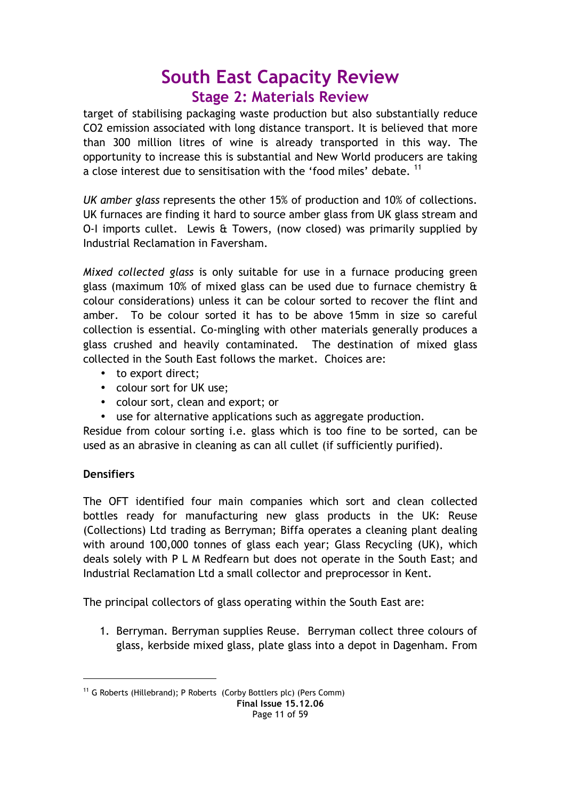target of stabilising packaging waste production but also substantially reduce CO2 emission associated with long distance transport. It is believed that more than 300 million litres of wine is already transported in this way. The opportunity to increase this is substantial and New World producers are taking a close interest due to sensitisation with the 'food miles' debate. <sup>11</sup>

UK amber glass represents the other 15% of production and 10% of collections. UK furnaces are finding it hard to source amber glass from UK glass stream and O-I imports cullet. Lewis & Towers, (now closed) was primarily supplied by Industrial Reclamation in Faversham.

Mixed collected glass is only suitable for use in a furnace producing green glass (maximum 10% of mixed glass can be used due to furnace chemistry & colour considerations) unless it can be colour sorted to recover the flint and amber. To be colour sorted it has to be above 15mm in size so careful collection is essential. Co-mingling with other materials generally produces a glass crushed and heavily contaminated. The destination of mixed glass collected in the South East follows the market. Choices are:

- to export direct:
- colour sort for UK use;
- colour sort, clean and export; or
- use for alternative applications such as aggregate production.

Residue from colour sorting i.e. glass which is too fine to be sorted, can be used as an abrasive in cleaning as can all cullet (if sufficiently purified).

### **Densifiers**

<u>.</u>

The OFT identified four main companies which sort and clean collected bottles ready for manufacturing new glass products in the UK: Reuse (Collections) Ltd trading as Berryman; Biffa operates a cleaning plant dealing with around 100,000 tonnes of glass each year; Glass Recycling (UK), which deals solely with P L M Redfearn but does not operate in the South East; and Industrial Reclamation Ltd a small collector and preprocessor in Kent.

The principal collectors of glass operating within the South East are:

1. Berryman. Berryman supplies Reuse. Berryman collect three colours of glass, kerbside mixed glass, plate glass into a depot in Dagenham. From

<sup>&</sup>lt;sup>11</sup> G Roberts (Hillebrand); P Roberts (Corby Bottlers plc) (Pers Comm)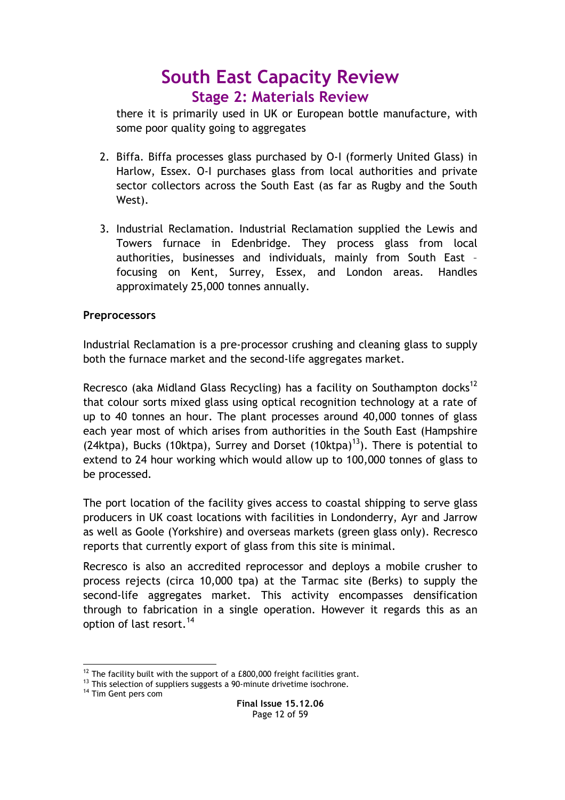there it is primarily used in UK or European bottle manufacture, with some poor quality going to aggregates

- 2. Biffa. Biffa processes glass purchased by O-I (formerly United Glass) in Harlow, Essex. O-I purchases glass from local authorities and private sector collectors across the South East (as far as Rugby and the South West).
- 3. Industrial Reclamation. Industrial Reclamation supplied the Lewis and Towers furnace in Edenbridge. They process glass from local authorities, businesses and individuals, mainly from South East – focusing on Kent, Surrey, Essex, and London areas. Handles approximately 25,000 tonnes annually.

### **Preprocessors**

Industrial Reclamation is a pre-processor crushing and cleaning glass to supply both the furnace market and the second-life aggregates market.

Recresco (aka Midland Glass Recycling) has a facility on Southampton docks<sup>12</sup> that colour sorts mixed glass using optical recognition technology at a rate of up to 40 tonnes an hour. The plant processes around 40,000 tonnes of glass each year most of which arises from authorities in the South East (Hampshire (24ktpa), Bucks (10ktpa), Surrey and Dorset (10ktpa)<sup>13</sup>). There is potential to extend to 24 hour working which would allow up to 100,000 tonnes of glass to be processed.

The port location of the facility gives access to coastal shipping to serve glass producers in UK coast locations with facilities in Londonderry, Ayr and Jarrow as well as Goole (Yorkshire) and overseas markets (green glass only). Recresco reports that currently export of glass from this site is minimal.

Recresco is also an accredited reprocessor and deploys a mobile crusher to process rejects (circa 10,000 tpa) at the Tarmac site (Berks) to supply the second-life aggregates market. This activity encompasses densification through to fabrication in a single operation. However it regards this as an option of last resort.<sup>14</sup>

<sup>-</sup> $12$  The facility built with the support of a £800,000 freight facilities grant.

<sup>&</sup>lt;sup>13</sup> This selection of suppliers suggests a 90-minute drivetime isochrone.

<sup>&</sup>lt;sup>14</sup> Tim Gent pers com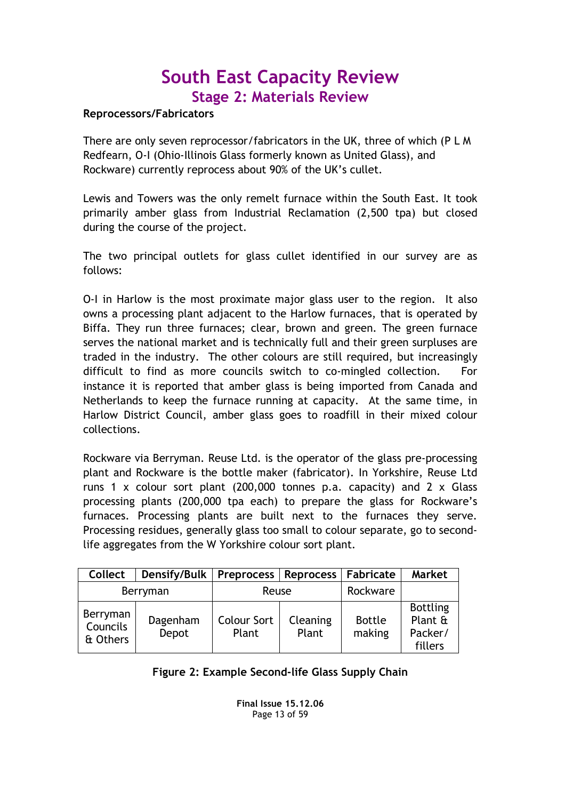### Reprocessors/Fabricators

There are only seven reprocessor/fabricators in the UK, three of which (P L M Redfearn, O-I (Ohio-Illinois Glass formerly known as United Glass), and Rockware) currently reprocess about 90% of the UK's cullet.

Lewis and Towers was the only remelt furnace within the South East. It took primarily amber glass from Industrial Reclamation (2,500 tpa) but closed during the course of the project.

The two principal outlets for glass cullet identified in our survey are as follows:

O-I in Harlow is the most proximate major glass user to the region. It also owns a processing plant adjacent to the Harlow furnaces, that is operated by Biffa. They run three furnaces; clear, brown and green. The green furnace serves the national market and is technically full and their green surpluses are traded in the industry. The other colours are still required, but increasingly difficult to find as more councils switch to co-mingled collection. For instance it is reported that amber glass is being imported from Canada and Netherlands to keep the furnace running at capacity. At the same time, in Harlow District Council, amber glass goes to roadfill in their mixed colour collections.

Rockware via Berryman. Reuse Ltd. is the operator of the glass pre-processing plant and Rockware is the bottle maker (fabricator). In Yorkshire, Reuse Ltd runs 1 x colour sort plant (200,000 tonnes p.a. capacity) and 2 x Glass processing plants (200,000 tpa each) to prepare the glass for Rockware's furnaces. Processing plants are built next to the furnaces they serve. Processing residues, generally glass too small to colour separate, go to secondlife aggregates from the W Yorkshire colour sort plant.

| <b>Collect</b>                   | Densify/Bulk   Preprocess   Reprocess   Fabricate |                             |                   |                         | <b>Market</b>                                    |
|----------------------------------|---------------------------------------------------|-----------------------------|-------------------|-------------------------|--------------------------------------------------|
| Berryman                         |                                                   | Reuse                       |                   | Rockware                |                                                  |
| Berryman<br>Councils<br>& Others | Dagenham<br>Depot                                 | <b>Colour Sort</b><br>Plant | Cleaning<br>Plant | <b>Bottle</b><br>making | <b>Bottling</b><br>Plant &<br>Packer/<br>fillers |

### Figure 2: Example Second-life Glass Supply Chain

Final Issue 15.12.06 Page 13 of 59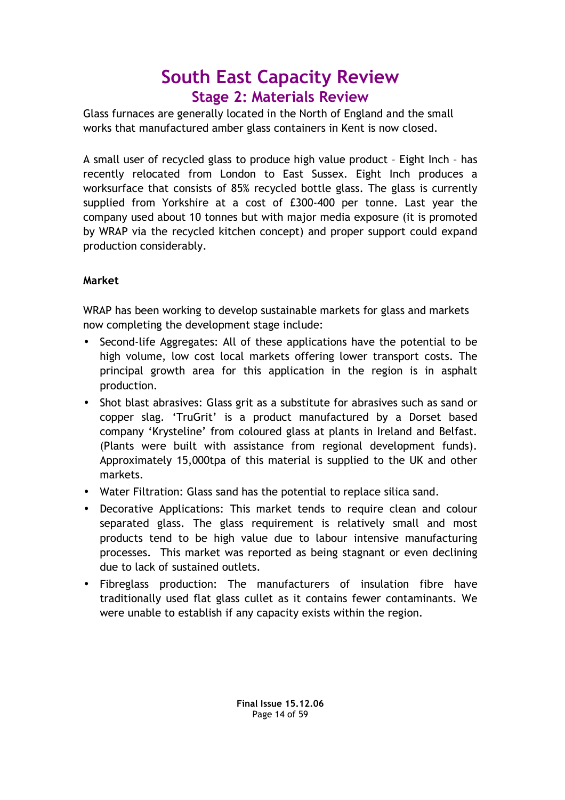Glass furnaces are generally located in the North of England and the small works that manufactured amber glass containers in Kent is now closed.

A small user of recycled glass to produce high value product – Eight Inch – has recently relocated from London to East Sussex. Eight Inch produces a worksurface that consists of 85% recycled bottle glass. The glass is currently supplied from Yorkshire at a cost of £300-400 per tonne. Last year the company used about 10 tonnes but with major media exposure (it is promoted by WRAP via the recycled kitchen concept) and proper support could expand production considerably.

### Market

WRAP has been working to develop sustainable markets for glass and markets now completing the development stage include:

- Second-life Aggregates: All of these applications have the potential to be high volume, low cost local markets offering lower transport costs. The principal growth area for this application in the region is in asphalt production.
- Shot blast abrasives: Glass grit as a substitute for abrasives such as sand or copper slag. 'TruGrit' is a product manufactured by a Dorset based company 'Krysteline' from coloured glass at plants in Ireland and Belfast. (Plants were built with assistance from regional development funds). Approximately 15,000tpa of this material is supplied to the UK and other markets.
- Water Filtration: Glass sand has the potential to replace silica sand.
- Decorative Applications: This market tends to require clean and colour separated glass. The glass requirement is relatively small and most products tend to be high value due to labour intensive manufacturing processes. This market was reported as being stagnant or even declining due to lack of sustained outlets.
- Fibreglass production: The manufacturers of insulation fibre have traditionally used flat glass cullet as it contains fewer contaminants. We were unable to establish if any capacity exists within the region.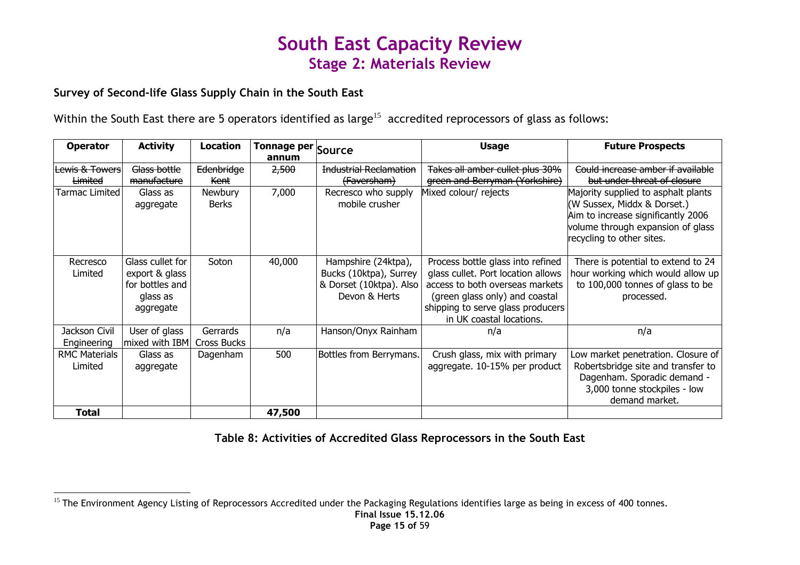### Survey of Second-life Glass Supply Chain in the South East

Within the South East there are 5 operators identified as large<sup>15</sup> accredited reprocessors of glass as follows:

| <b>Operator</b>                 | <b>Activity</b>                                                                | <b>Location</b>         | Tonnage per Source<br>annum |                                                                                           | <b>Usage</b>                                                                                                                                                                                                  | <b>Future Prospects</b>                                                                                                                                                    |
|---------------------------------|--------------------------------------------------------------------------------|-------------------------|-----------------------------|-------------------------------------------------------------------------------------------|---------------------------------------------------------------------------------------------------------------------------------------------------------------------------------------------------------------|----------------------------------------------------------------------------------------------------------------------------------------------------------------------------|
| Lewis & Towers                  | Glass bottle                                                                   | Edenbridge              | 2,500                       | <b>Industrial Reclamation</b>                                                             | Takes all amber cullet plus 30%                                                                                                                                                                               | Could increase amber if available                                                                                                                                          |
| Limited                         | manufacture                                                                    | Kent                    |                             | (Faversham)                                                                               | green and Berryman (Yorkshire)                                                                                                                                                                                | but under threat of closure                                                                                                                                                |
| Tarmac Limited                  | Glass as<br>aggregate                                                          | Newbury<br>Berks        | 7,000                       | Recresco who supply<br>mobile crusher                                                     | Mixed colour/ rejects                                                                                                                                                                                         | Majority supplied to asphalt plants<br>(W Sussex, Middx & Dorset.)<br>Aim to increase significantly 2006<br>volume through expansion of glass<br>recycling to other sites. |
| Recresco<br>Limited             | Glass cullet for<br>export & glass<br>for bottles and<br>glass as<br>aggregate | Soton                   | 40,000                      | Hampshire (24ktpa),<br>Bucks (10ktpa), Surrey<br>& Dorset (10ktpa). Also<br>Devon & Herts | Process bottle glass into refined<br>glass cullet. Port location allows<br>access to both overseas markets<br>(green glass only) and coastal<br>shipping to serve glass producers<br>in UK coastal locations. | There is potential to extend to 24<br>hour working which would allow up<br>to 100,000 tonnes of glass to be<br>processed.                                                  |
| Jackson Civil<br>Engineering    | User of glass<br>mixed with IBM                                                | Gerrards<br>Cross Bucks | n/a                         | Hanson/Onyx Rainham                                                                       | n/a                                                                                                                                                                                                           | n/a                                                                                                                                                                        |
| <b>RMC Materials</b><br>Limited | Glass as<br>aggregate                                                          | Dagenham                | 500                         | Bottles from Berrymans.                                                                   | Crush glass, mix with primary<br>aggregate. 10-15% per product                                                                                                                                                | Low market penetration. Closure of<br>Robertsbridge site and transfer to<br>Dagenham. Sporadic demand -<br>3,000 tonne stockpiles - low<br>demand market.                  |
| Total                           |                                                                                |                         | 47,500                      |                                                                                           |                                                                                                                                                                                                               |                                                                                                                                                                            |

Table 8: Activities of Accredited Glass Reprocessors in the South East

<sup>&</sup>lt;sup>15</sup> The Environment Agency Listing of Reprocessors Accredited under the Packaging Regulations identifies large as being in excess of 400 tonnes.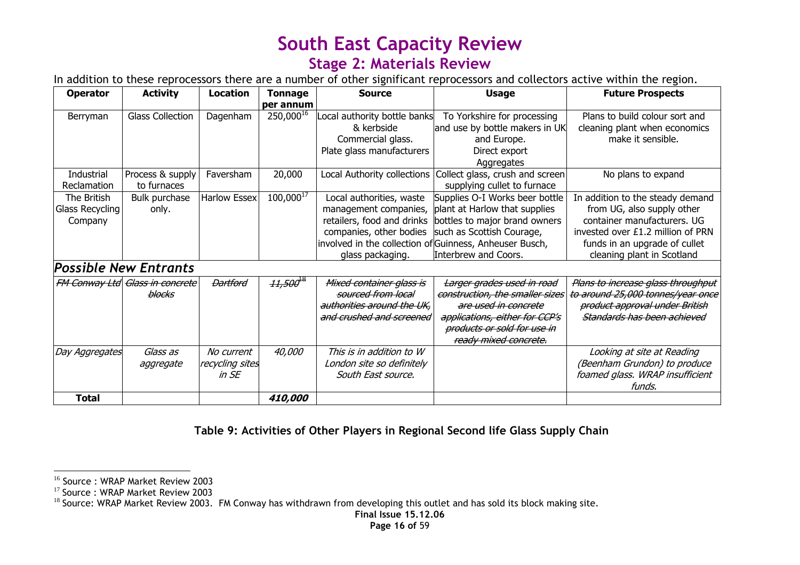### Stage 2: Materials Review

In addition to these reprocessors there are a number of other significant reprocessors and collectors active within the region.

| <b>Operator</b> | <b>Activity</b>                        | <b>Location</b>     | <b>Tonnage</b> | <b>Source</b>                                           | <b>Usage</b>                    | <b>Future Prospects</b>            |
|-----------------|----------------------------------------|---------------------|----------------|---------------------------------------------------------|---------------------------------|------------------------------------|
|                 |                                        |                     | per annum      |                                                         |                                 |                                    |
| Berryman        | <b>Glass Collection</b>                | Dagenham            | 250,00016      | Local authority bottle banks                            | To Yorkshire for processing     | Plans to build colour sort and     |
|                 |                                        |                     |                | & kerbside                                              | and use by bottle makers in UK  | cleaning plant when economics      |
|                 |                                        |                     |                | Commercial glass.                                       | and Europe.                     | make it sensible.                  |
|                 |                                        |                     |                | Plate glass manufacturers                               | Direct export                   |                                    |
|                 |                                        |                     |                |                                                         | Aggregates                      |                                    |
| Industrial      | Process & supply                       | Faversham           | 20,000         | Local Authority collections                             | Collect glass, crush and screen | No plans to expand                 |
| Reclamation     | to furnaces                            |                     |                |                                                         | supplying cullet to furnace     |                                    |
| The British     | Bulk purchase                          | <b>Harlow Essex</b> | $100,000^{17}$ | Local authorities, waste                                | Supplies O-I Works beer bottle  | In addition to the steady demand   |
| Glass Recycling | only.                                  |                     |                | management companies,                                   | plant at Harlow that supplies   | from UG, also supply other         |
| Company         |                                        |                     |                | retailers, food and drinks                              | bottles to major brand owners   | container manufacturers. UG        |
|                 |                                        |                     |                | companies, other bodies                                 | such as Scottish Courage,       | invested over £1.2 million of PRN  |
|                 |                                        |                     |                | involved in the collection of Guinness, Anheuser Busch, |                                 | funds in an upgrade of cullet      |
|                 |                                        |                     |                | glass packaging.                                        | Interbrew and Coors.            | cleaning plant in Scotland         |
|                 | <b>Possible New Entrants</b>           |                     |                |                                                         |                                 |                                    |
|                 | <i>FM Conway Ltd Glass in concrete</i> | <b>Dartford</b>     | $11,500^{18}$  | Mixed container glass is                                | Larger grades used in road      | Plans to increase glass throughput |
|                 | blocks                                 |                     |                | sourced from local                                      | construction, the smaller sizes | to around 25,000 tonnes/year once  |
|                 |                                        |                     |                | authorities around the UK,                              | are used in concrete            | product approval under British     |
|                 |                                        |                     |                | and crushed and screened                                | applications, either for CCP's  | Standards has been achieved        |
|                 |                                        |                     |                |                                                         | products or sold for use in     |                                    |
|                 |                                        |                     |                |                                                         | ready mixed concrete.           |                                    |
| Day Aggregates  | Glass as                               | No current          | 40,000         | This is in addition to W                                |                                 | Looking at site at Reading         |
|                 | aggregate                              | recycling sites     |                | London site so definitely                               |                                 | (Beenham Grundon) to produce       |
|                 |                                        | $in$ SE             |                | South East source.                                      |                                 | foamed glass. WRAP insufficient    |
|                 |                                        |                     |                |                                                         |                                 | funds.                             |
| <b>Total</b>    |                                        |                     | 410,000        |                                                         |                                 |                                    |

Table 9: Activities of Other Players in Regional Second life Glass Supply Chain

<sup>&</sup>lt;sup>16</sup> Source: WRAP Market Review 2003

<sup>&</sup>lt;sup>17</sup> Source : WRAP Market Review 2003<br><sup>18</sup> Source: WRAP Market Review 2003. FM Conway has withdrawn from developing this outlet and has sold its block making site.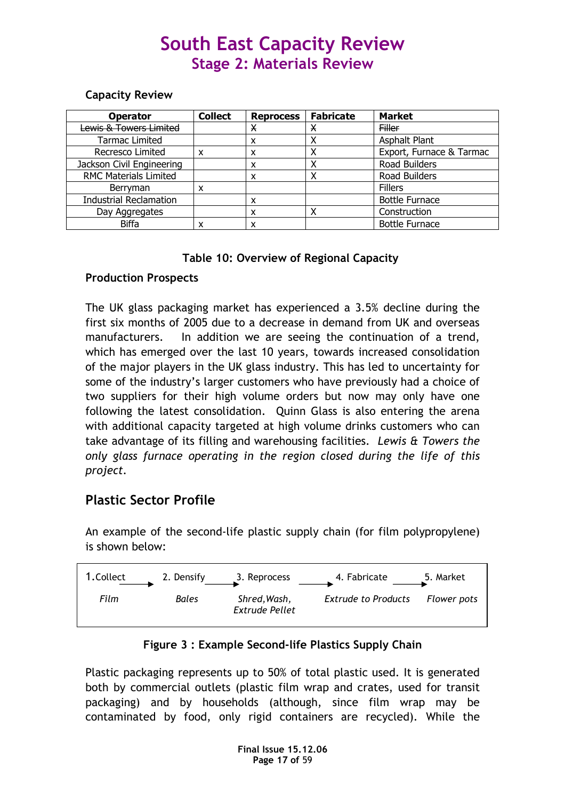### Capacity Review

| <b>Operator</b>               | <b>Collect</b> | <b>Reprocess</b> | <b>Fabricate</b> | <b>Market</b>            |
|-------------------------------|----------------|------------------|------------------|--------------------------|
| Lewis & Towers Limited        |                | х                | Х                | <b>Filler</b>            |
| <b>Tarmac Limited</b>         |                | x                |                  | Asphalt Plant            |
| Recresco Limited              | x              | x                | Χ                | Export, Furnace & Tarmac |
| Jackson Civil Engineering     |                | x                |                  | Road Builders            |
| <b>RMC Materials Limited</b>  |                | x                |                  | Road Builders            |
| Berryman                      | x              |                  |                  | <b>Fillers</b>           |
| <b>Industrial Reclamation</b> |                | x                |                  | <b>Bottle Furnace</b>    |
| Day Aggregates                |                | x                | ↗                | Construction             |
| <b>Biffa</b>                  |                | x                |                  | <b>Bottle Furnace</b>    |

### Table 10: Overview of Regional Capacity

### Production Prospects

The UK glass packaging market has experienced a 3.5% decline during the first six months of 2005 due to a decrease in demand from UK and overseas manufacturers. In addition we are seeing the continuation of a trend, which has emerged over the last 10 years, towards increased consolidation of the major players in the UK glass industry. This has led to uncertainty for some of the industry's larger customers who have previously had a choice of two suppliers for their high volume orders but now may only have one following the latest consolidation. Quinn Glass is also entering the arena with additional capacity targeted at high volume drinks customers who can take advantage of its filling and warehousing facilities. Lewis & Towers the only glass furnace operating in the region closed during the life of this project.

### Plastic Sector Profile

An example of the second-life plastic supply chain (for film polypropylene) is shown below:



### Figure 3 : Example Second-life Plastics Supply Chain

Plastic packaging represents up to 50% of total plastic used. It is generated both by commercial outlets (plastic film wrap and crates, used for transit packaging) and by households (although, since film wrap may be contaminated by food, only rigid containers are recycled). While the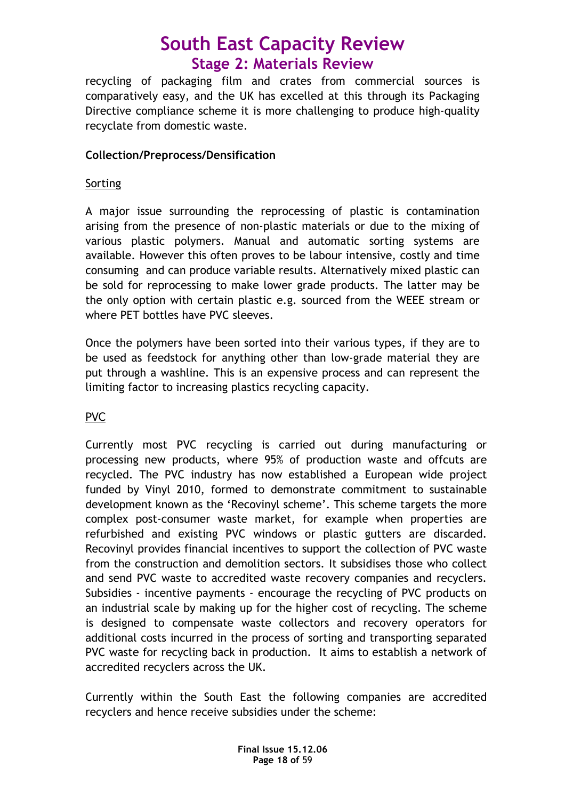recycling of packaging film and crates from commercial sources is comparatively easy, and the UK has excelled at this through its Packaging Directive compliance scheme it is more challenging to produce high-quality recyclate from domestic waste.

### Collection/Preprocess/Densification

### Sorting

A major issue surrounding the reprocessing of plastic is contamination arising from the presence of non-plastic materials or due to the mixing of various plastic polymers. Manual and automatic sorting systems are available. However this often proves to be labour intensive, costly and time consuming and can produce variable results. Alternatively mixed plastic can be sold for reprocessing to make lower grade products. The latter may be the only option with certain plastic e.g. sourced from the WEEE stream or where PET bottles have PVC sleeves.

Once the polymers have been sorted into their various types, if they are to be used as feedstock for anything other than low-grade material they are put through a washline. This is an expensive process and can represent the limiting factor to increasing plastics recycling capacity.

### PVC

Currently most PVC recycling is carried out during manufacturing or processing new products, where 95% of production waste and offcuts are recycled. The PVC industry has now established a European wide project funded by Vinyl 2010, formed to demonstrate commitment to sustainable development known as the 'Recovinyl scheme'. This scheme targets the more complex post-consumer waste market, for example when properties are refurbished and existing PVC windows or plastic gutters are discarded. Recovinyl provides financial incentives to support the collection of PVC waste from the construction and demolition sectors. It subsidises those who collect and send PVC waste to accredited waste recovery companies and recyclers. Subsidies - incentive payments - encourage the recycling of PVC products on an industrial scale by making up for the higher cost of recycling. The scheme is designed to compensate waste collectors and recovery operators for additional costs incurred in the process of sorting and transporting separated PVC waste for recycling back in production. It aims to establish a network of accredited recyclers across the UK.

Currently within the South East the following companies are accredited recyclers and hence receive subsidies under the scheme: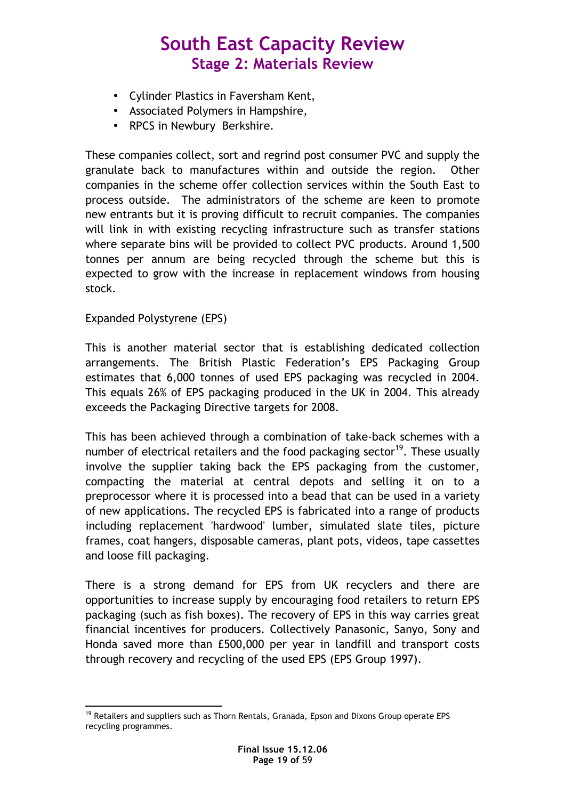- Cylinder Plastics in Faversham Kent,
- Associated Polymers in Hampshire,
- RPCS in Newbury Berkshire.

These companies collect, sort and regrind post consumer PVC and supply the granulate back to manufactures within and outside the region. Other companies in the scheme offer collection services within the South East to process outside. The administrators of the scheme are keen to promote new entrants but it is proving difficult to recruit companies. The companies will link in with existing recycling infrastructure such as transfer stations where separate bins will be provided to collect PVC products. Around 1,500 tonnes per annum are being recycled through the scheme but this is expected to grow with the increase in replacement windows from housing stock.

### Expanded Polystyrene (EPS)

This is another material sector that is establishing dedicated collection arrangements. The British Plastic Federation's EPS Packaging Group estimates that 6,000 tonnes of used EPS packaging was recycled in 2004. This equals 26% of EPS packaging produced in the UK in 2004. This already exceeds the Packaging Directive targets for 2008.

This has been achieved through a combination of take-back schemes with a number of electrical retailers and the food packaging sector<sup>19</sup>. These usually involve the supplier taking back the EPS packaging from the customer, compacting the material at central depots and selling it on to a preprocessor where it is processed into a bead that can be used in a variety of new applications. The recycled EPS is fabricated into a range of products including replacement 'hardwood' lumber, simulated slate tiles, picture frames, coat hangers, disposable cameras, plant pots, videos, tape cassettes and loose fill packaging.

There is a strong demand for EPS from UK recyclers and there are opportunities to increase supply by encouraging food retailers to return EPS packaging (such as fish boxes). The recovery of EPS in this way carries great financial incentives for producers. Collectively Panasonic, Sanyo, Sony and Honda saved more than £500,000 per year in landfill and transport costs through recovery and recycling of the used EPS (EPS Group 1997).

 $\overline{a}$  $19$  Retailers and suppliers such as Thorn Rentals, Granada, Epson and Dixons Group operate EPS recycling programmes.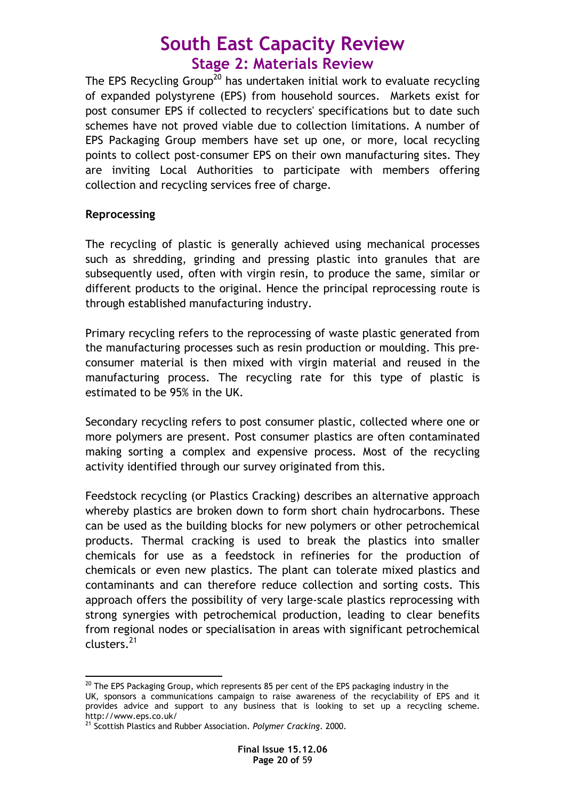The EPS Recycling Group<sup>20</sup> has undertaken initial work to evaluate recycling of expanded polystyrene (EPS) from household sources. Markets exist for post consumer EPS if collected to recyclers' specifications but to date such schemes have not proved viable due to collection limitations. A number of EPS Packaging Group members have set up one, or more, local recycling points to collect post-consumer EPS on their own manufacturing sites. They are inviting Local Authorities to participate with members offering collection and recycling services free of charge.

### Reprocessing

 $\overline{a}$ 

The recycling of plastic is generally achieved using mechanical processes such as shredding, grinding and pressing plastic into granules that are subsequently used, often with virgin resin, to produce the same, similar or different products to the original. Hence the principal reprocessing route is through established manufacturing industry.

Primary recycling refers to the reprocessing of waste plastic generated from the manufacturing processes such as resin production or moulding. This preconsumer material is then mixed with virgin material and reused in the manufacturing process. The recycling rate for this type of plastic is estimated to be 95% in the UK.

Secondary recycling refers to post consumer plastic, collected where one or more polymers are present. Post consumer plastics are often contaminated making sorting a complex and expensive process. Most of the recycling activity identified through our survey originated from this.

Feedstock recycling (or Plastics Cracking) describes an alternative approach whereby plastics are broken down to form short chain hydrocarbons. These can be used as the building blocks for new polymers or other petrochemical products. Thermal cracking is used to break the plastics into smaller chemicals for use as a feedstock in refineries for the production of chemicals or even new plastics. The plant can tolerate mixed plastics and contaminants and can therefore reduce collection and sorting costs. This approach offers the possibility of very large-scale plastics reprocessing with strong synergies with petrochemical production, leading to clear benefits from regional nodes or specialisation in areas with significant petrochemical clusters.<sup>21</sup>

 $^{20}$  The EPS Packaging Group, which represents 85 per cent of the EPS packaging industry in the

UK, sponsors a communications campaign to raise awareness of the recyclability of EPS and it provides advice and support to any business that is looking to set up a recycling scheme. http://www.eps.co.uk/

<sup>&</sup>lt;sup>21</sup> Scottish Plastics and Rubber Association. *Polymer Cracking*. 2000.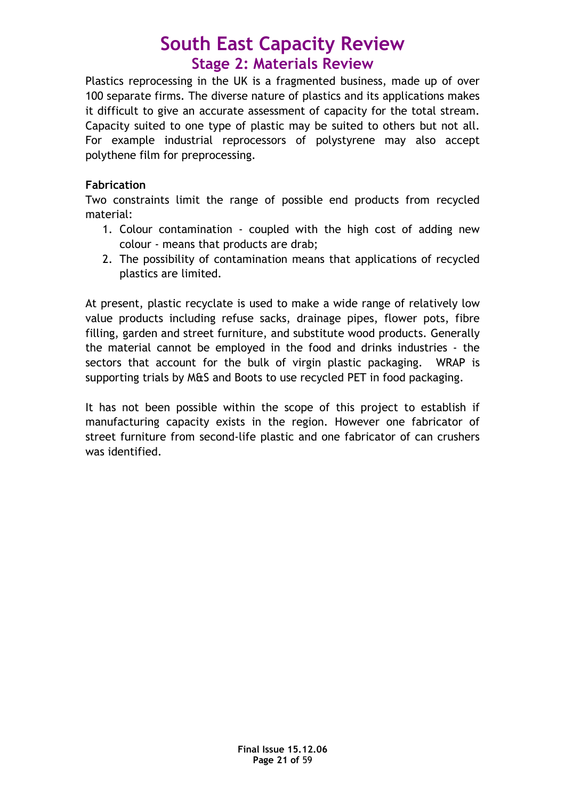Plastics reprocessing in the UK is a fragmented business, made up of over 100 separate firms. The diverse nature of plastics and its applications makes it difficult to give an accurate assessment of capacity for the total stream. Capacity suited to one type of plastic may be suited to others but not all. For example industrial reprocessors of polystyrene may also accept polythene film for preprocessing.

### Fabrication

Two constraints limit the range of possible end products from recycled material:

- 1. Colour contamination coupled with the high cost of adding new colour - means that products are drab;
- 2. The possibility of contamination means that applications of recycled plastics are limited.

At present, plastic recyclate is used to make a wide range of relatively low value products including refuse sacks, drainage pipes, flower pots, fibre filling, garden and street furniture, and substitute wood products. Generally the material cannot be employed in the food and drinks industries - the sectors that account for the bulk of virgin plastic packaging. WRAP is supporting trials by M&S and Boots to use recycled PET in food packaging.

It has not been possible within the scope of this project to establish if manufacturing capacity exists in the region. However one fabricator of street furniture from second-life plastic and one fabricator of can crushers was identified.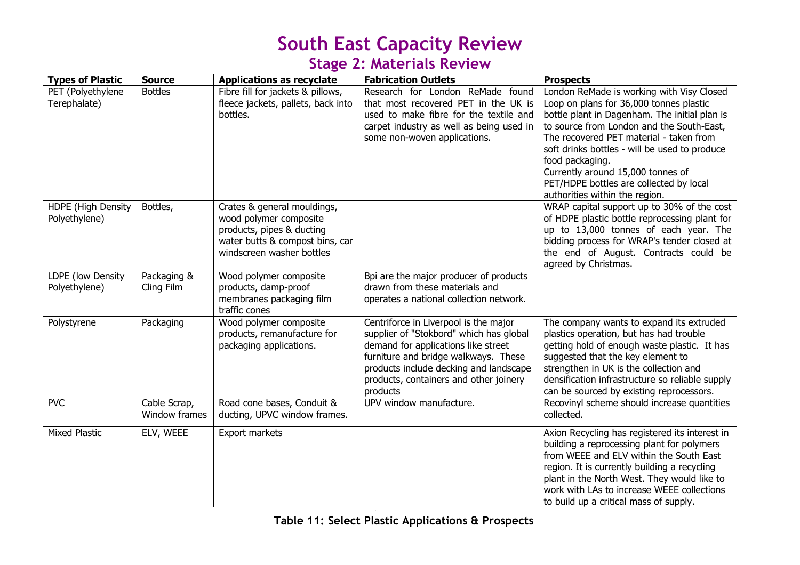## Stage 2: Materials Review

| <b>Types of Plastic</b>             | <b>Source</b>                 | <b>Applications as recyclate</b>                                                                                                                   | <b>Fabrication Outlets</b>                                                                                                                                                                                                                                      | <b>Prospects</b>                                                                                                                                                                                                                                                                                                                                                                                                    |
|-------------------------------------|-------------------------------|----------------------------------------------------------------------------------------------------------------------------------------------------|-----------------------------------------------------------------------------------------------------------------------------------------------------------------------------------------------------------------------------------------------------------------|---------------------------------------------------------------------------------------------------------------------------------------------------------------------------------------------------------------------------------------------------------------------------------------------------------------------------------------------------------------------------------------------------------------------|
| PET (Polyethylene<br>Terephalate)   | <b>Bottles</b>                | Fibre fill for jackets & pillows,<br>fleece jackets, pallets, back into<br>bottles.                                                                | Research for London ReMade found<br>that most recovered PET in the UK is<br>used to make fibre for the textile and<br>carpet industry as well as being used in<br>some non-woven applications.                                                                  | London ReMade is working with Visy Closed<br>Loop on plans for 36,000 tonnes plastic<br>bottle plant in Dagenham. The initial plan is<br>to source from London and the South-East,<br>The recovered PET material - taken from<br>soft drinks bottles - will be used to produce<br>food packaging.<br>Currently around 15,000 tonnes of<br>PET/HDPE bottles are collected by local<br>authorities within the region. |
| HDPE (High Density<br>Polyethylene) | Bottles,                      | Crates & general mouldings,<br>wood polymer composite<br>products, pipes & ducting<br>water butts & compost bins, car<br>windscreen washer bottles |                                                                                                                                                                                                                                                                 | WRAP capital support up to 30% of the cost<br>of HDPE plastic bottle reprocessing plant for<br>up to 13,000 tonnes of each year. The<br>bidding process for WRAP's tender closed at<br>the end of August. Contracts could be<br>agreed by Christmas.                                                                                                                                                                |
| LDPE (low Density<br>Polyethylene)  | Packaging &<br>Cling Film     | Wood polymer composite<br>products, damp-proof<br>membranes packaging film<br>traffic cones                                                        | Bpi are the major producer of products<br>drawn from these materials and<br>operates a national collection network.                                                                                                                                             |                                                                                                                                                                                                                                                                                                                                                                                                                     |
| Polystyrene                         | Packaging                     | Wood polymer composite<br>products, remanufacture for<br>packaging applications.                                                                   | Centriforce in Liverpool is the major<br>supplier of "Stokbord" which has global<br>demand for applications like street<br>furniture and bridge walkways. These<br>products include decking and landscape<br>products, containers and other joinery<br>products | The company wants to expand its extruded<br>plastics operation, but has had trouble<br>getting hold of enough waste plastic. It has<br>suggested that the key element to<br>strengthen in UK is the collection and<br>densification infrastructure so reliable supply<br>can be sourced by existing reprocessors.                                                                                                   |
| <b>PVC</b>                          | Cable Scrap,<br>Window frames | Road cone bases, Conduit &<br>ducting, UPVC window frames.                                                                                         | UPV window manufacture.                                                                                                                                                                                                                                         | Recovinyl scheme should increase quantities<br>collected.                                                                                                                                                                                                                                                                                                                                                           |
| <b>Mixed Plastic</b>                | ELV, WEEE                     | Export markets                                                                                                                                     |                                                                                                                                                                                                                                                                 | Axion Recycling has registered its interest in<br>building a reprocessing plant for polymers<br>from WEEE and ELV within the South East<br>region. It is currently building a recycling<br>plant in the North West. They would like to<br>work with LAs to increase WEEE collections<br>to build up a critical mass of supply.                                                                                      |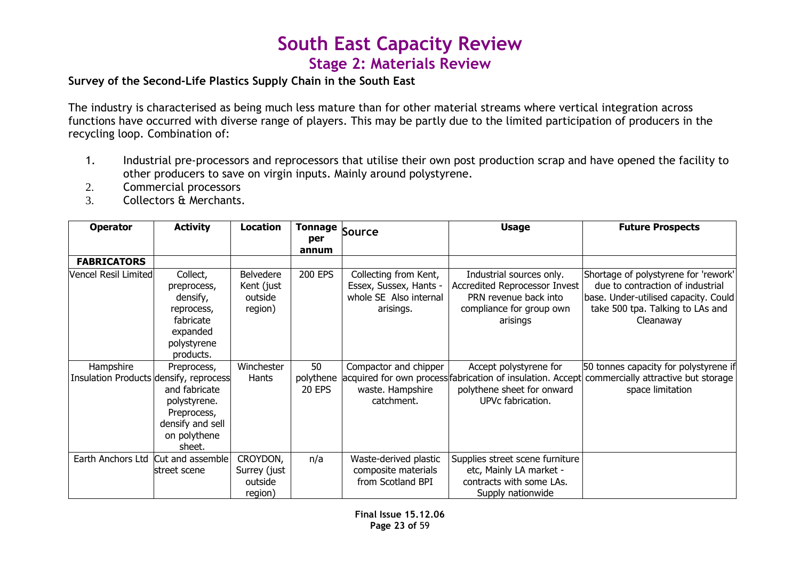### Survey of the Second-Life Plastics Supply Chain in the South East

The industry is characterised as being much less mature than for other material streams where vertical integration across functions have occurred with diverse range of players. This may be partly due to the limited participation of producers in the recycling loop. Combination of:

- 1. Industrial pre-processors and reprocessors that utilise their own post production scrap and have opened the facility to other producers to save on virgin inputs. Mainly around polystyrene.
- 2.Commercial processors
- Collectors & Merchants.3.

| <b>Operator</b>                        | <b>Activity</b>                                                                            | <b>Location</b>                                | <b>Tonnage</b>             | Source                                                                                 | <b>Usage</b>                                                                                                               | <b>Future Prospects</b>                                                                                                                                           |
|----------------------------------------|--------------------------------------------------------------------------------------------|------------------------------------------------|----------------------------|----------------------------------------------------------------------------------------|----------------------------------------------------------------------------------------------------------------------------|-------------------------------------------------------------------------------------------------------------------------------------------------------------------|
|                                        |                                                                                            |                                                | per                        |                                                                                        |                                                                                                                            |                                                                                                                                                                   |
| <b>FABRICATORS</b>                     |                                                                                            |                                                | annum                      |                                                                                        |                                                                                                                            |                                                                                                                                                                   |
| Vencel Resil Limited                   | Collect,<br>preprocess,<br>densify,<br>reprocess,<br>fabricate<br>expanded                 | Belvedere<br>Kent (just<br>outside<br>region)  | 200 EPS                    | Collecting from Kent,<br>Essex, Sussex, Hants -<br>whole SE Also internal<br>arisings. | Industrial sources only.<br>Accredited Reprocessor Invest<br>PRN revenue back into<br>compliance for group own<br>arisings | Shortage of polystyrene for 'rework'<br>due to contraction of industrial<br>base. Under-utilised capacity. Could<br>take 500 tpa. Talking to LAs and<br>Cleanaway |
|                                        | polystyrene<br>products.                                                                   |                                                |                            |                                                                                        |                                                                                                                            |                                                                                                                                                                   |
| Hampshire                              | Preprocess,                                                                                | Winchester                                     | 50                         | Compactor and chipper                                                                  | Accept polystyrene for                                                                                                     | 50 tonnes capacity for polystyrene if                                                                                                                             |
| Insulation Products densify, reprocess | and fabricate<br>polystyrene.<br>Preprocess,<br>densify and sell<br>on polythene<br>sheet. | Hants                                          | polythene<br><b>20 EPS</b> | waste. Hampshire<br>catchment.                                                         | acquired for own process fabrication of insulation. Accept<br>polythene sheet for onward<br>UPVc fabrication.              | commercially attractive but storage<br>space limitation                                                                                                           |
| Earth Anchors Ltd                      | Cut and assemble<br>street scene                                                           | CROYDON,<br>Surrey (just<br>outside<br>region) | n/a                        | Waste-derived plastic<br>composite materials<br>from Scotland BPI                      | Supplies street scene furniture<br>etc, Mainly LA market -<br>contracts with some LAs.<br>Supply nationwide                |                                                                                                                                                                   |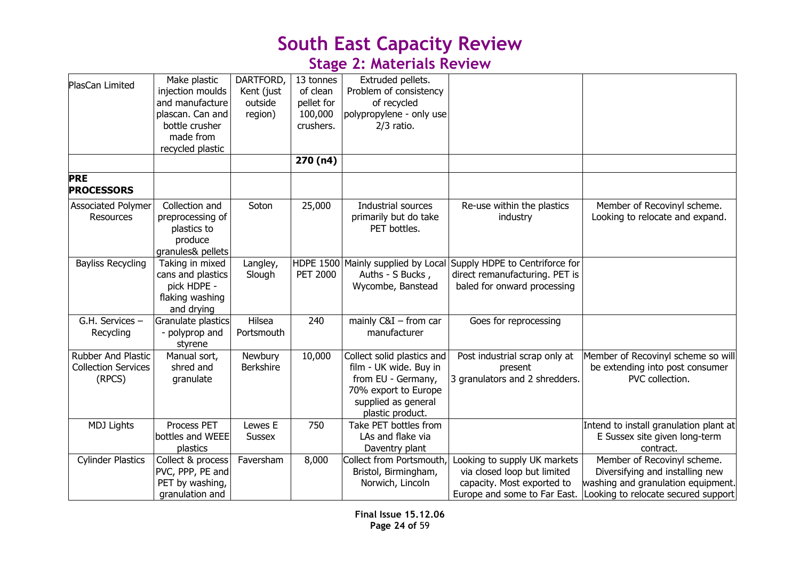## Stage 2: Materials Review

| PlasCan Limited                                            | Make plastic<br>injection moulds<br>and manufacture<br>plascan. Can and<br>bottle crusher<br>made from<br>recycled plastic | DARTFORD,<br>Kent (just<br>outside<br>region) | 13 tonnes<br>of clean<br>pellet for<br>100,000<br>crushers.<br>270(n4) | Extruded pellets.<br>Problem of consistency<br>of recycled<br>polypropylene - only use<br>$2/3$ ratio.                                        |                                                                                                 |                                                                                                                                                                          |
|------------------------------------------------------------|----------------------------------------------------------------------------------------------------------------------------|-----------------------------------------------|------------------------------------------------------------------------|-----------------------------------------------------------------------------------------------------------------------------------------------|-------------------------------------------------------------------------------------------------|--------------------------------------------------------------------------------------------------------------------------------------------------------------------------|
| <b>PRE</b><br><b>PROCESSORS</b>                            |                                                                                                                            |                                               |                                                                        |                                                                                                                                               |                                                                                                 |                                                                                                                                                                          |
| <b>Associated Polymer</b><br>Resources                     | Collection and<br>preprocessing of<br>plastics to<br>produce<br>granules& pellets                                          | Soton                                         | 25,000                                                                 | Industrial sources<br>primarily but do take<br>PET bottles.                                                                                   | Re-use within the plastics<br>industry                                                          | Member of Recovinyl scheme.<br>Looking to relocate and expand.                                                                                                           |
| <b>Bayliss Recycling</b>                                   | Taking in mixed<br>cans and plastics<br>pick HDPE -<br>flaking washing<br>and drying                                       | Langley,<br>Slough                            | <b>PET 2000</b>                                                        | HDPE 1500 Mainly supplied by Local<br>Auths - S Bucks,<br>Wycombe, Banstead                                                                   | Supply HDPE to Centriforce for<br>direct remanufacturing. PET is<br>baled for onward processing |                                                                                                                                                                          |
| G.H. Services -<br>Recycling                               | Granulate plastics<br>- polyprop and<br>styrene                                                                            | Hilsea<br>Portsmouth                          | 240                                                                    | mainly $C&I$ – from car<br>manufacturer                                                                                                       | Goes for reprocessing                                                                           |                                                                                                                                                                          |
| Rubber And Plastic<br><b>Collection Services</b><br>(RPCS) | Manual sort,<br>shred and<br>granulate                                                                                     | Newbury<br>Berkshire                          | 10,000                                                                 | Collect solid plastics and<br>film - UK wide. Buy in<br>from EU - Germany,<br>70% export to Europe<br>supplied as general<br>plastic product. | Post industrial scrap only at<br>present<br>3 granulators and 2 shredders.                      | Member of Recovinyl scheme so will<br>be extending into post consumer<br>PVC collection.                                                                                 |
| <b>MDJ Lights</b>                                          | Process PET<br>bottles and WEEE<br>plastics                                                                                | Lewes E<br>Sussex                             | 750                                                                    | Take PET bottles from<br>LAs and flake via<br>Daventry plant                                                                                  |                                                                                                 | Intend to install granulation plant at<br>E Sussex site given long-term<br>contract.                                                                                     |
| <b>Cylinder Plastics</b>                                   | Collect & process<br>PVC, PPP, PE and<br>PET by washing,<br>granulation and                                                | Faversham                                     | 8,000                                                                  | Collect from Portsmouth,<br>Bristol, Birmingham,<br>Norwich, Lincoln                                                                          | Looking to supply UK markets<br>via closed loop but limited<br>capacity. Most exported to       | Member of Recovinyl scheme.<br>Diversifying and installing new<br>washing and granulation equipment.<br>Europe and some to Far East. Looking to relocate secured support |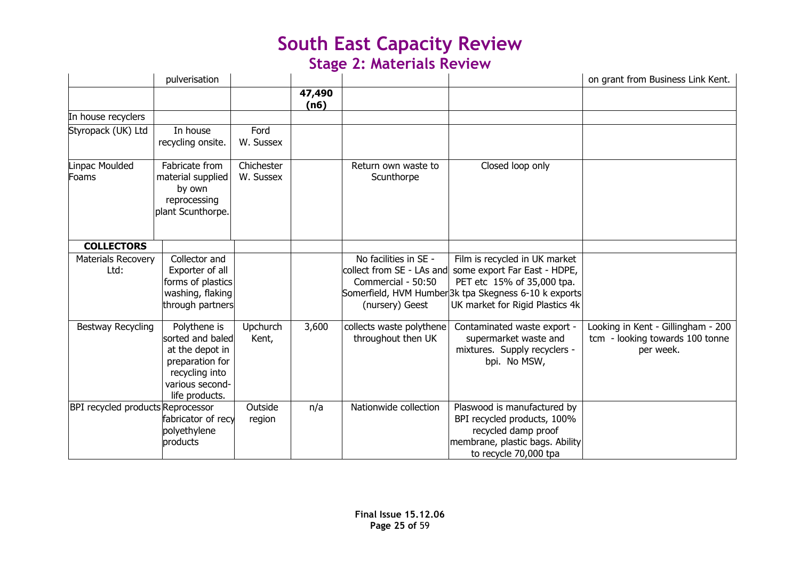## Stage 2: Materials Review

|                                   | pulverisation                                                                                                                 |                         |                |                                                                |                                                                                                                                                                                                                  | on grant from Business Link Kent.                                                  |
|-----------------------------------|-------------------------------------------------------------------------------------------------------------------------------|-------------------------|----------------|----------------------------------------------------------------|------------------------------------------------------------------------------------------------------------------------------------------------------------------------------------------------------------------|------------------------------------------------------------------------------------|
|                                   |                                                                                                                               |                         | 47,490<br>(n6) |                                                                |                                                                                                                                                                                                                  |                                                                                    |
| In house recyclers                |                                                                                                                               |                         |                |                                                                |                                                                                                                                                                                                                  |                                                                                    |
| Styropack (UK) Ltd                | In house<br>recycling onsite.                                                                                                 | Ford<br>W. Sussex       |                |                                                                |                                                                                                                                                                                                                  |                                                                                    |
| Linpac Moulded<br>Foams           | Fabricate from<br>material supplied<br>by own<br>reprocessing<br>plant Scunthorpe.                                            | Chichester<br>W. Sussex |                | Return own waste to<br>Scunthorpe                              | Closed loop only                                                                                                                                                                                                 |                                                                                    |
| <b>COLLECTORS</b>                 |                                                                                                                               |                         |                |                                                                |                                                                                                                                                                                                                  |                                                                                    |
| <b>Materials Recovery</b><br>Ltd: | Collector and<br>Exporter of all<br>forms of plastics<br>washing, flaking<br>through partners                                 |                         |                | No facilities in SE -<br>Commercial - 50:50<br>(nursery) Geest | Film is recycled in UK market<br>collect from SE - LAs and some export Far East - HDPE,<br>PET etc 15% of 35,000 tpa.<br>Somerfield, HVM Humber3k tpa Skegness 6-10 k exports<br>UK market for Rigid Plastics 4k |                                                                                    |
| <b>Bestway Recycling</b>          | Polythene is<br>sorted and baled<br>at the depot in<br>preparation for<br>recycling into<br>various second-<br>life products. | Upchurch<br>Kent,       | 3,600          | collects waste polythene<br>throughout then UK                 | Contaminated waste export -<br>supermarket waste and<br>mixtures. Supply recyclers -<br>bpi. No MSW,                                                                                                             | Looking in Kent - Gillingham - 200<br>tcm - looking towards 100 tonne<br>per week. |
| BPI recycled products Reprocessor | fabricator of recy<br>polyethylene<br>products                                                                                | Outside<br>region       | n/a            | Nationwide collection                                          | Plaswood is manufactured by<br>BPI recycled products, 100%<br>recycled damp proof<br>membrane, plastic bags. Ability<br>to recycle 70,000 tpa                                                                    |                                                                                    |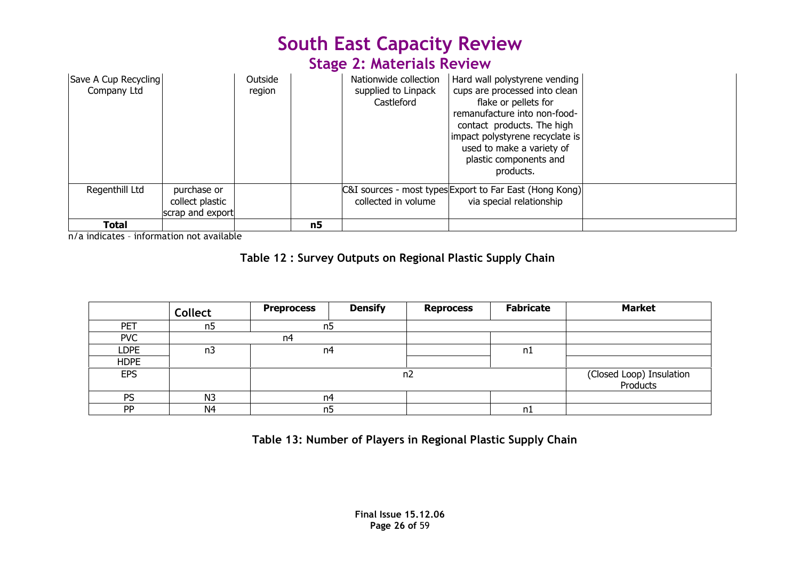### Stage 2: Materials Review

| Save A Cup Recycling<br>Company Ltd |                                                    | Outside<br>region |    | Nationwide collection<br>supplied to Linpack<br>Castleford | Hard wall polystyrene vending<br>cups are processed into clean<br>flake or pellets for<br>remanufacture into non-food-<br>contact products. The high<br>impact polystyrene recyclate is<br>used to make a variety of<br>plastic components and<br>products. |  |
|-------------------------------------|----------------------------------------------------|-------------------|----|------------------------------------------------------------|-------------------------------------------------------------------------------------------------------------------------------------------------------------------------------------------------------------------------------------------------------------|--|
| Regenthill Ltd                      | purchase or<br>collect plastic<br>scrap and export |                   |    | collected in volume                                        | C&I sources - most types Export to Far East (Hong Kong)<br>via special relationship                                                                                                                                                                         |  |
| <b>Total</b>                        |                                                    |                   | n5 |                                                            |                                                                                                                                                                                                                                                             |  |

n/a indicates – information not available

### Table 12 : Survey Outputs on Regional Plastic Supply Chain

|             | <b>Collect</b> | <b>Preprocess</b> | <b>Densify</b> | <b>Reprocess</b> | <b>Fabricate</b> | <b>Market</b>                        |
|-------------|----------------|-------------------|----------------|------------------|------------------|--------------------------------------|
| PET         | n5             | n5                |                |                  |                  |                                      |
| <b>PVC</b>  |                | n4                |                |                  |                  |                                      |
| <b>LDPE</b> | n3             | n4                |                |                  | n1               |                                      |
| <b>HDPE</b> |                |                   |                |                  |                  |                                      |
| <b>EPS</b>  |                |                   |                | n <sub>2</sub>   |                  | (Closed Loop) Insulation<br>Products |
| PS          | N <sub>3</sub> | n4                |                |                  |                  |                                      |
| PP          | N <sub>4</sub> | n <sub>5</sub>    |                |                  | n1               |                                      |

Table 13: Number of Players in Regional Plastic Supply Chain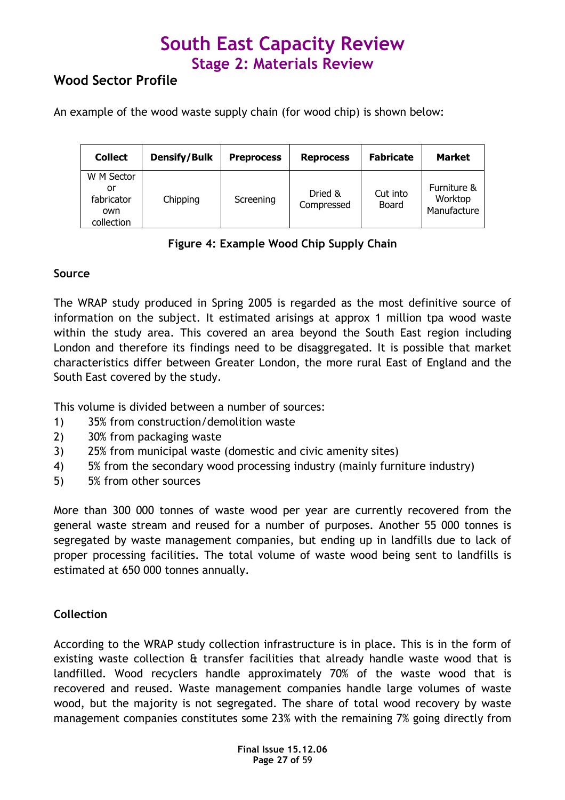### Wood Sector Profile

An example of the wood waste supply chain (for wood chip) is shown below:

| <b>Collect</b>                                      | <b>Densify/Bulk</b> | <b>Preprocess</b> | <b>Reprocess</b>      | <b>Fabricate</b>  | <b>Market</b>                         |
|-----------------------------------------------------|---------------------|-------------------|-----------------------|-------------------|---------------------------------------|
| W M Sector<br>or<br>fabricator<br>own<br>collection | Chipping            | Screening         | Dried &<br>Compressed | Cut into<br>Board | Furniture &<br>Worktop<br>Manufacture |

### Figure 4: Example Wood Chip Supply Chain

### Source

The WRAP study produced in Spring 2005 is regarded as the most definitive source of information on the subject. It estimated arisings at approx 1 million tpa wood waste within the study area. This covered an area beyond the South East region including London and therefore its findings need to be disaggregated. It is possible that market characteristics differ between Greater London, the more rural East of England and the South East covered by the study.

This volume is divided between a number of sources:

- 1) 35% from construction/demolition waste
- 2) 30% from packaging waste
- 3) 25% from municipal waste (domestic and civic amenity sites)
- 4) 5% from the secondary wood processing industry (mainly furniture industry)
- 5) 5% from other sources

More than 300 000 tonnes of waste wood per year are currently recovered from the general waste stream and reused for a number of purposes. Another 55 000 tonnes is segregated by waste management companies, but ending up in landfills due to lack of proper processing facilities. The total volume of waste wood being sent to landfills is estimated at 650 000 tonnes annually.

### **Collection**

According to the WRAP study collection infrastructure is in place. This is in the form of existing waste collection & transfer facilities that already handle waste wood that is landfilled. Wood recyclers handle approximately 70% of the waste wood that is recovered and reused. Waste management companies handle large volumes of waste wood, but the majority is not segregated. The share of total wood recovery by waste management companies constitutes some 23% with the remaining 7% going directly from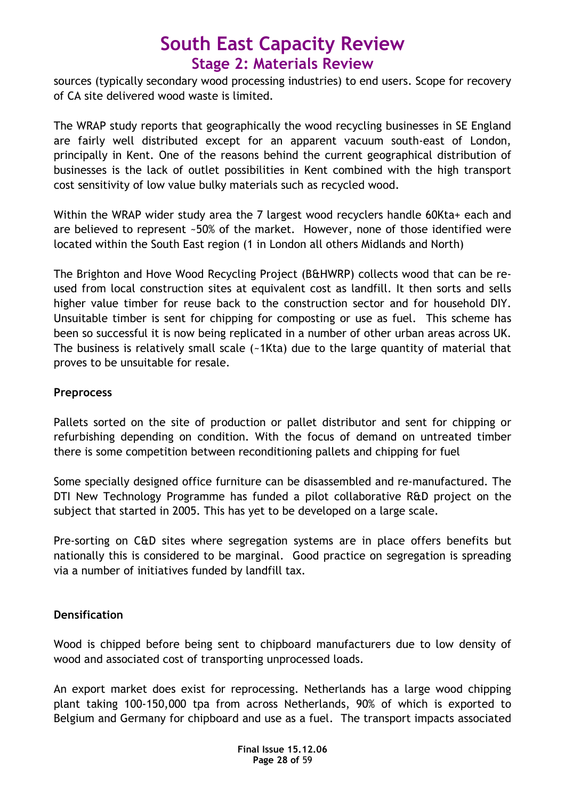sources (typically secondary wood processing industries) to end users. Scope for recovery of CA site delivered wood waste is limited.

The WRAP study reports that geographically the wood recycling businesses in SE England are fairly well distributed except for an apparent vacuum south-east of London, principally in Kent. One of the reasons behind the current geographical distribution of businesses is the lack of outlet possibilities in Kent combined with the high transport cost sensitivity of low value bulky materials such as recycled wood.

Within the WRAP wider study area the 7 largest wood recyclers handle 60Kta+ each and are believed to represent ~50% of the market. However, none of those identified were located within the South East region (1 in London all others Midlands and North)

The Brighton and Hove Wood Recycling Project (B&HWRP) collects wood that can be reused from local construction sites at equivalent cost as landfill. It then sorts and sells higher value timber for reuse back to the construction sector and for household DIY. Unsuitable timber is sent for chipping for composting or use as fuel. This scheme has been so successful it is now being replicated in a number of other urban areas across UK. The business is relatively small scale (~1Kta) due to the large quantity of material that proves to be unsuitable for resale.

### **Preprocess**

Pallets sorted on the site of production or pallet distributor and sent for chipping or refurbishing depending on condition. With the focus of demand on untreated timber there is some competition between reconditioning pallets and chipping for fuel

Some specially designed office furniture can be disassembled and re-manufactured. The DTI New Technology Programme has funded a pilot collaborative R&D project on the subject that started in 2005. This has yet to be developed on a large scale.

Pre-sorting on C&D sites where segregation systems are in place offers benefits but nationally this is considered to be marginal. Good practice on segregation is spreading via a number of initiatives funded by landfill tax.

### **Densification**

Wood is chipped before being sent to chipboard manufacturers due to low density of wood and associated cost of transporting unprocessed loads.

An export market does exist for reprocessing. Netherlands has a large wood chipping plant taking 100-150,000 tpa from across Netherlands, 90% of which is exported to Belgium and Germany for chipboard and use as a fuel. The transport impacts associated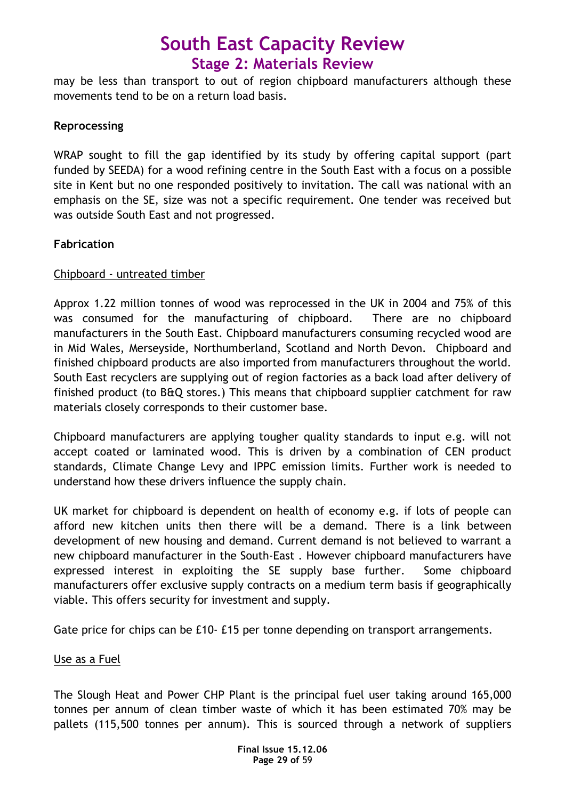may be less than transport to out of region chipboard manufacturers although these movements tend to be on a return load basis.

### Reprocessing

WRAP sought to fill the gap identified by its study by offering capital support (part funded by SEEDA) for a wood refining centre in the South East with a focus on a possible site in Kent but no one responded positively to invitation. The call was national with an emphasis on the SE, size was not a specific requirement. One tender was received but was outside South East and not progressed.

### Fabrication

### Chipboard - untreated timber

Approx 1.22 million tonnes of wood was reprocessed in the UK in 2004 and 75% of this was consumed for the manufacturing of chipboard. There are no chipboard manufacturers in the South East. Chipboard manufacturers consuming recycled wood are in Mid Wales, Merseyside, Northumberland, Scotland and North Devon. Chipboard and finished chipboard products are also imported from manufacturers throughout the world. South East recyclers are supplying out of region factories as a back load after delivery of finished product (to B&Q stores.) This means that chipboard supplier catchment for raw materials closely corresponds to their customer base.

Chipboard manufacturers are applying tougher quality standards to input e.g. will not accept coated or laminated wood. This is driven by a combination of CEN product standards, Climate Change Levy and IPPC emission limits. Further work is needed to understand how these drivers influence the supply chain.

UK market for chipboard is dependent on health of economy e.g. if lots of people can afford new kitchen units then there will be a demand. There is a link between development of new housing and demand. Current demand is not believed to warrant a new chipboard manufacturer in the South-East . However chipboard manufacturers have expressed interest in exploiting the SE supply base further. Some chipboard manufacturers offer exclusive supply contracts on a medium term basis if geographically viable. This offers security for investment and supply.

Gate price for chips can be £10- £15 per tonne depending on transport arrangements.

### Use as a Fuel

The Slough Heat and Power CHP Plant is the principal fuel user taking around 165,000 tonnes per annum of clean timber waste of which it has been estimated 70% may be pallets (115,500 tonnes per annum). This is sourced through a network of suppliers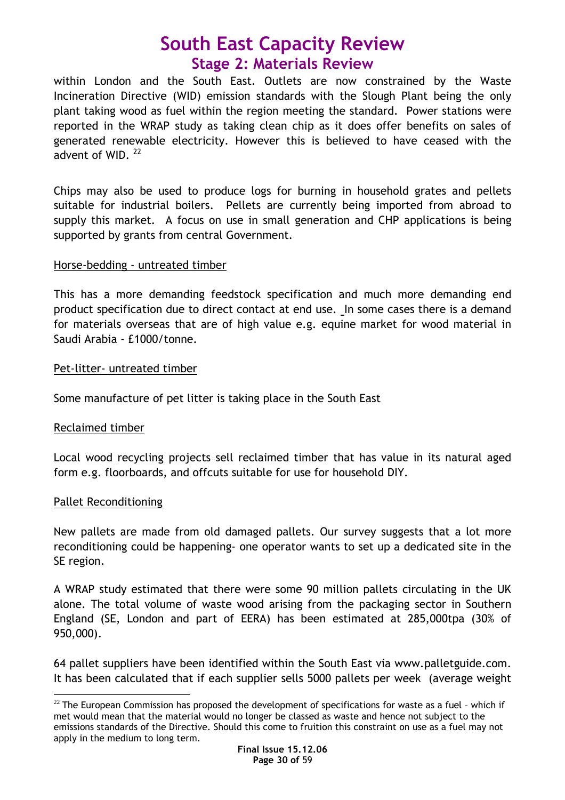within London and the South East. Outlets are now constrained by the Waste Incineration Directive (WID) emission standards with the Slough Plant being the only plant taking wood as fuel within the region meeting the standard. Power stations were reported in the WRAP study as taking clean chip as it does offer benefits on sales of generated renewable electricity. However this is believed to have ceased with the advent of WID.<sup>22</sup>

Chips may also be used to produce logs for burning in household grates and pellets suitable for industrial boilers. Pellets are currently being imported from abroad to supply this market. A focus on use in small generation and CHP applications is being supported by grants from central Government.

#### Horse-bedding - untreated timber

This has a more demanding feedstock specification and much more demanding end product specification due to direct contact at end use. In some cases there is a demand for materials overseas that are of high value e.g. equine market for wood material in Saudi Arabia - £1000/tonne.

#### Pet-litter- untreated timber

Some manufacture of pet litter is taking place in the South East

### Reclaimed timber

Local wood recycling projects sell reclaimed timber that has value in its natural aged form e.g. floorboards, and offcuts suitable for use for household DIY.

### Pallet Reconditioning

 $\overline{a}$ 

New pallets are made from old damaged pallets. Our survey suggests that a lot more reconditioning could be happening- one operator wants to set up a dedicated site in the SE region.

A WRAP study estimated that there were some 90 million pallets circulating in the UK alone. The total volume of waste wood arising from the packaging sector in Southern England (SE, London and part of EERA) has been estimated at 285,000tpa (30% of 950,000).

64 pallet suppliers have been identified within the South East via www.palletguide.com. It has been calculated that if each supplier sells 5000 pallets per week (average weight

 $^{22}$  The European Commission has proposed the development of specifications for waste as a fuel - which if met would mean that the material would no longer be classed as waste and hence not subject to the emissions standards of the Directive. Should this come to fruition this constraint on use as a fuel may not apply in the medium to long term.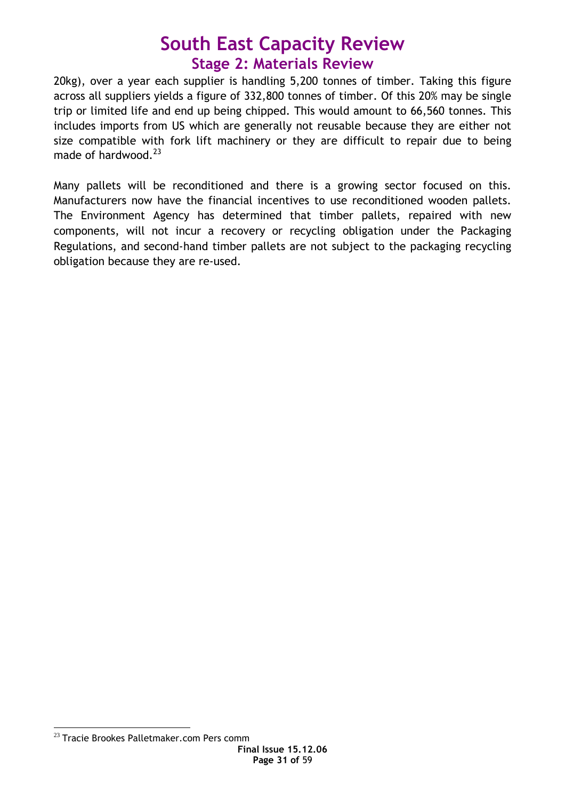20kg), over a year each supplier is handling 5,200 tonnes of timber. Taking this figure across all suppliers yields a figure of 332,800 tonnes of timber. Of this 20% may be single trip or limited life and end up being chipped. This would amount to 66,560 tonnes. This includes imports from US which are generally not reusable because they are either not size compatible with fork lift machinery or they are difficult to repair due to being made of hardwood.<sup>23</sup>

Many pallets will be reconditioned and there is a growing sector focused on this. Manufacturers now have the financial incentives to use reconditioned wooden pallets. The Environment Agency has determined that timber pallets, repaired with new components, will not incur a recovery or recycling obligation under the Packaging Regulations, and second-hand timber pallets are not subject to the packaging recycling obligation because they are re-used.

 $\overline{a}$  $^{23}$  Tracie Brookes Palletmaker.com Pers comm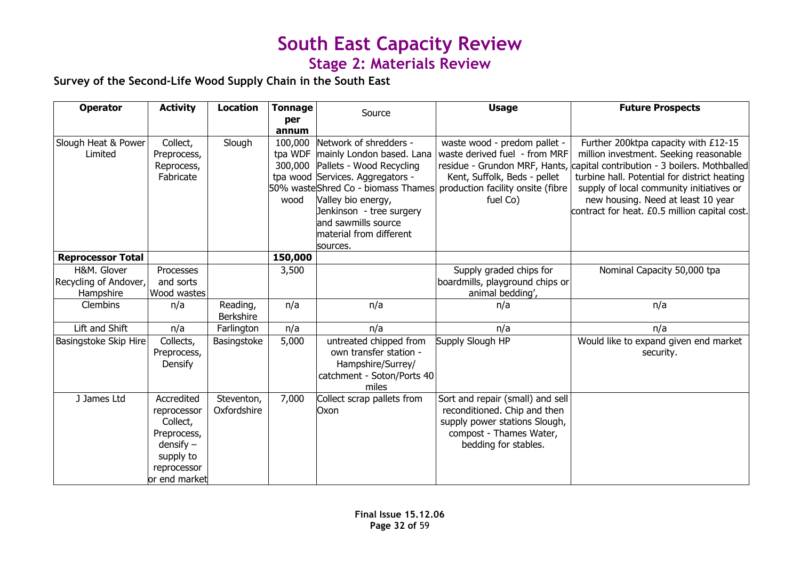### Survey of the Second-Life Wood Supply Chain in the South East

| <b>Operator</b>                                   | <b>Activity</b>                                                                                                  | <b>Location</b>              | <b>Tonnage</b>             | Source                                                                                                                                                                                                                                      | <b>Usage</b>                                                                                                                                                                      | <b>Future Prospects</b>                                                                                                                                                                                                                                                                                                                         |
|---------------------------------------------------|------------------------------------------------------------------------------------------------------------------|------------------------------|----------------------------|---------------------------------------------------------------------------------------------------------------------------------------------------------------------------------------------------------------------------------------------|-----------------------------------------------------------------------------------------------------------------------------------------------------------------------------------|-------------------------------------------------------------------------------------------------------------------------------------------------------------------------------------------------------------------------------------------------------------------------------------------------------------------------------------------------|
|                                                   |                                                                                                                  |                              | per<br>annum               |                                                                                                                                                                                                                                             |                                                                                                                                                                                   |                                                                                                                                                                                                                                                                                                                                                 |
| Slough Heat & Power<br>Limited                    | Collect,<br>Preprocess,<br>Reprocess,<br>Fabricate                                                               | Slough                       | 100,000<br>300,000<br>wood | Network of shredders -<br>tpa WDF mainly London based. Lana<br>Pallets - Wood Recycling<br>tpa wood Services. Aggregators -<br>Valley bio energy,<br>Jenkinson - tree surgery<br>and sawmills source<br>material from different<br>sources. | waste wood - predom pallet -<br>waste derived fuel - from MRF<br>Kent, Suffolk, Beds - pellet<br>50% wasteShred Co - biomass Thames production facility onsite (fibre<br>fuel Co) | Further 200ktpa capacity with £12-15<br>million investment. Seeking reasonable<br>residue - Grundon MRF, Hants, capital contribution - 3 boilers. Mothballed<br>turbine hall. Potential for district heating<br>supply of local community initiatives or<br>new housing. Need at least 10 year<br>contract for heat. £0.5 million capital cost. |
| <b>Reprocessor Total</b>                          |                                                                                                                  |                              | 150,000                    |                                                                                                                                                                                                                                             |                                                                                                                                                                                   |                                                                                                                                                                                                                                                                                                                                                 |
| H&M. Glover<br>Recycling of Andover,<br>Hampshire | Processes<br>and sorts<br>Wood wastes                                                                            |                              | 3,500                      |                                                                                                                                                                                                                                             | Supply graded chips for<br>boardmills, playground chips or<br>animal bedding',                                                                                                    | Nominal Capacity 50,000 tpa                                                                                                                                                                                                                                                                                                                     |
| Clembins                                          | n/a                                                                                                              | Reading,<br><b>Berkshire</b> | n/a                        | n/a                                                                                                                                                                                                                                         | n/a                                                                                                                                                                               | n/a                                                                                                                                                                                                                                                                                                                                             |
| Lift and Shift                                    | n/a                                                                                                              | Farlington                   | n/a                        | n/a                                                                                                                                                                                                                                         | n/a                                                                                                                                                                               | n/a                                                                                                                                                                                                                                                                                                                                             |
| Basingstoke Skip Hire                             | Collects,<br>Preprocess,<br>Densify                                                                              | Basingstoke                  | 5,000                      | untreated chipped from<br>own transfer station -<br>Hampshire/Surrey/<br>catchment - Soton/Ports 40<br>miles                                                                                                                                | Supply Slough HP                                                                                                                                                                  | Would like to expand given end market<br>security.                                                                                                                                                                                                                                                                                              |
| J James Ltd                                       | Accredited<br>reprocessor<br>Collect,<br>Preprocess,<br>$density -$<br>supply to<br>reprocessor<br>or end market | Steventon,<br>Oxfordshire    | 7,000                      | Collect scrap pallets from<br>Oxon                                                                                                                                                                                                          | Sort and repair (small) and sell<br>reconditioned. Chip and then<br>supply power stations Slough,<br>compost - Thames Water,<br>bedding for stables.                              |                                                                                                                                                                                                                                                                                                                                                 |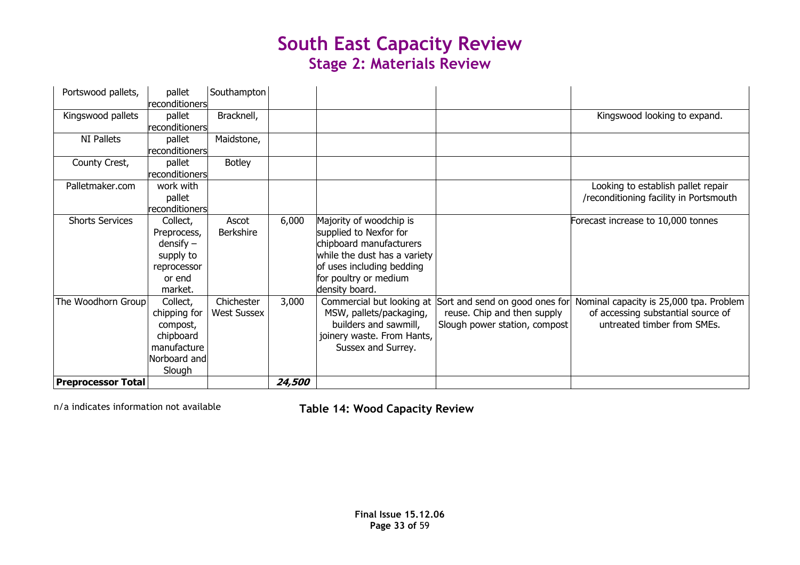| <b>Preprocessor Total</b> |                          |                    | <i><b>24,500</b></i> |                              |                                                          |                                         |
|---------------------------|--------------------------|--------------------|----------------------|------------------------------|----------------------------------------------------------|-----------------------------------------|
|                           | Norboard and<br>Slough   |                    |                      |                              |                                                          |                                         |
|                           | manufacture              |                    |                      | Sussex and Surrey.           |                                                          |                                         |
|                           | chipboard                |                    |                      | joinery waste. From Hants,   |                                                          |                                         |
|                           | compost,                 |                    |                      | builders and sawmill,        | Slough power station, compost                            | untreated timber from SMEs.             |
|                           | chipping for             | <b>West Sussex</b> |                      | MSW, pallets/packaging,      | reuse. Chip and then supply                              | of accessing substantial source of      |
| The Woodhorn Group        | Collect,                 | Chichester         | 3,000                |                              | Commercial but looking at Sort and send on good ones for | Nominal capacity is 25,000 tpa. Problem |
|                           | market.                  |                    |                      | density board.               |                                                          |                                         |
|                           | or end                   |                    |                      | for poultry or medium        |                                                          |                                         |
|                           | reprocessor              |                    |                      | of uses including bedding    |                                                          |                                         |
|                           | supply to                |                    |                      | while the dust has a variety |                                                          |                                         |
|                           | $density -$              |                    |                      | chipboard manufacturers      |                                                          |                                         |
|                           | Preprocess,              | <b>Berkshire</b>   |                      | supplied to Nexfor for       |                                                          |                                         |
| <b>Shorts Services</b>    | Collect,                 | Ascot              | 6,000                | Majority of woodchip is      |                                                          | Forecast increase to 10,000 tonnes      |
|                           | pallet<br>reconditioners |                    |                      |                              |                                                          | /reconditioning facility in Portsmouth  |
| Palletmaker.com           | work with                |                    |                      |                              |                                                          | Looking to establish pallet repair      |
|                           | reconditioners           |                    |                      |                              |                                                          |                                         |
| County Crest,             | pallet                   | <b>Botley</b>      |                      |                              |                                                          |                                         |
|                           | reconditioners           |                    |                      |                              |                                                          |                                         |
| <b>NI Pallets</b>         | pallet                   | Maidstone,         |                      |                              |                                                          |                                         |
|                           | reconditioners           |                    |                      |                              |                                                          |                                         |
| Kingswood pallets         | reconditioners<br>pallet | Bracknell,         |                      |                              |                                                          | Kingswood looking to expand.            |
| Portswood pallets,        | pallet                   | Southampton        |                      |                              |                                                          |                                         |

n/a indicates information not available Table 14: Wood Capacity Review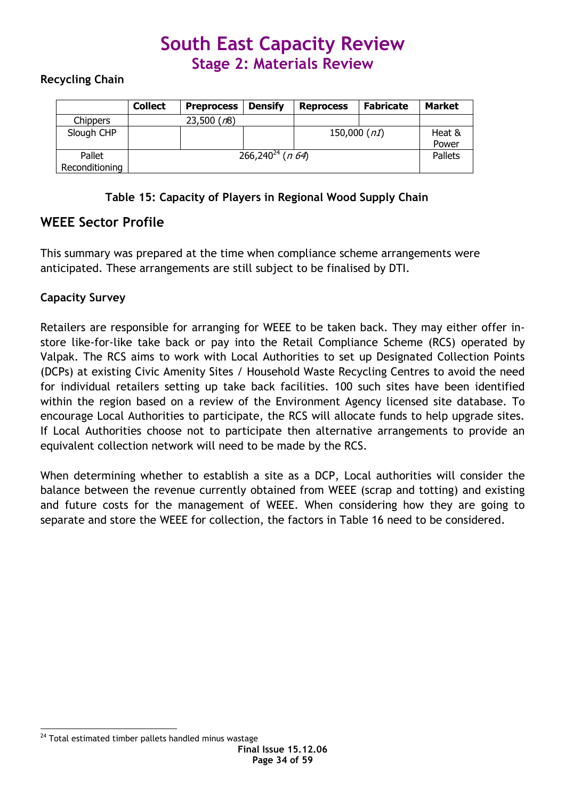### Recycling Chain

|                          | <b>Collect</b> | <b>Preprocess</b> | <b>Densify</b>                       | <b>Reprocess</b> | <b>Fabricate</b> | <b>Market</b>   |
|--------------------------|----------------|-------------------|--------------------------------------|------------------|------------------|-----------------|
| <b>Chippers</b>          |                | 23,500 (n8)       |                                      |                  |                  |                 |
| Slough CHP               |                |                   |                                      | 150,000 $(n1)$   |                  | Heat &<br>Power |
| Pallet<br>Reconditioning |                |                   | 266,240 <sup>24</sup> ( <i>n</i> 64) |                  |                  | Pallets         |

Table 15: Capacity of Players in Regional Wood Supply Chain

### WEEE Sector Profile

This summary was prepared at the time when compliance scheme arrangements were anticipated. These arrangements are still subject to be finalised by DTI.

### Capacity Survey

Retailers are responsible for arranging for WEEE to be taken back. They may either offer instore like-for-like take back or pay into the Retail Compliance Scheme (RCS) operated by Valpak. The RCS aims to work with Local Authorities to set up Designated Collection Points (DCPs) at existing Civic Amenity Sites / Household Waste Recycling Centres to avoid the need for individual retailers setting up take back facilities. 100 such sites have been identified within the region based on a review of the Environment Agency licensed site database. To encourage Local Authorities to participate, the RCS will allocate funds to help upgrade sites. If Local Authorities choose not to participate then alternative arrangements to provide an equivalent collection network will need to be made by the RCS.

When determining whether to establish a site as a DCP, Local authorities will consider the balance between the revenue currently obtained from WEEE (scrap and totting) and existing and future costs for the management of WEEE. When considering how they are going to separate and store the WEEE for collection, the factors in Table 16 need to be considered.

 $\overline{a}$  $24$  Total estimated timber pallets handled minus wastage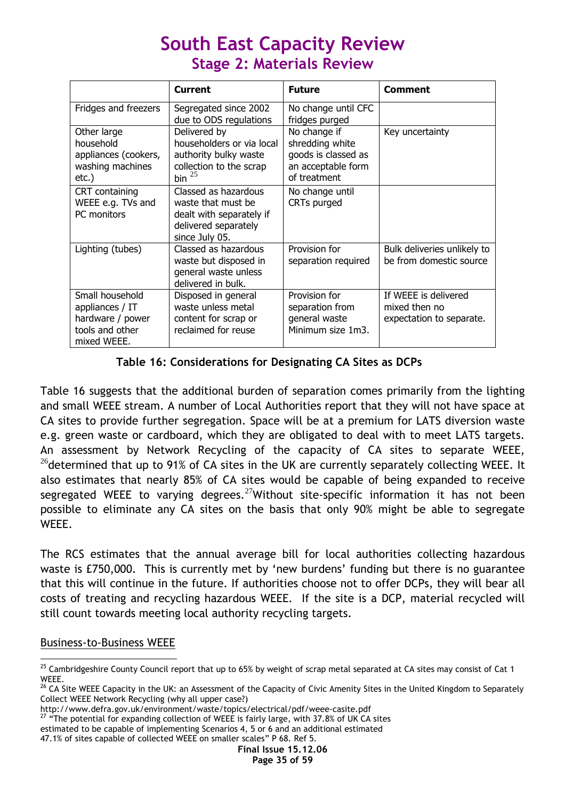|                                                                                          | <b>Current</b>                                                                                                   | <b>Future</b>                                                                                | <b>Comment</b>                                                    |
|------------------------------------------------------------------------------------------|------------------------------------------------------------------------------------------------------------------|----------------------------------------------------------------------------------------------|-------------------------------------------------------------------|
| Fridges and freezers                                                                     | Segregated since 2002<br>due to ODS regulations                                                                  | No change until CFC<br>fridges purged                                                        |                                                                   |
| Other large<br>household<br>appliances (cookers,<br>washing machines<br>$etc.$ )         | Delivered by<br>householders or via local<br>authority bulky waste<br>collection to the scrap<br>bin $^{25}$     | No change if<br>shredding white<br>goods is classed as<br>an acceptable form<br>of treatment | Key uncertainty                                                   |
| CRT containing<br>WEEE e.g. TVs and<br>PC monitors                                       | Classed as hazardous<br>waste that must be<br>dealt with separately if<br>delivered separately<br>since July 05. | No change until<br>CRTs purged                                                               |                                                                   |
| Lighting (tubes)                                                                         | Classed as hazardous<br>waste but disposed in<br>general waste unless<br>delivered in bulk.                      | Provision for<br>separation required                                                         | Bulk deliveries unlikely to<br>be from domestic source            |
| Small household<br>appliances / IT<br>hardware / power<br>tools and other<br>mixed WEEE. | Disposed in general<br>waste unless metal<br>content for scrap or<br>reclaimed for reuse                         | Provision for<br>separation from<br>general waste<br>Minimum size 1m3.                       | If WEEE is delivered<br>mixed then no<br>expectation to separate. |

### Table 16: Considerations for Designating CA Sites as DCPs

Table 16 suggests that the additional burden of separation comes primarily from the lighting and small WEEE stream. A number of Local Authorities report that they will not have space at CA sites to provide further segregation. Space will be at a premium for LATS diversion waste e.g. green waste or cardboard, which they are obligated to deal with to meet LATS targets. An assessment by Network Recycling of the capacity of CA sites to separate WEEE, <sup>26</sup> determined that up to 91% of CA sites in the UK are currently separately collecting WEEE. It also estimates that nearly 85% of CA sites would be capable of being expanded to receive segregated WEEE to varying degrees.<sup>27</sup>Without site-specific information it has not been possible to eliminate any CA sites on the basis that only 90% might be able to segregate WEEE.

The RCS estimates that the annual average bill for local authorities collecting hazardous waste is £750,000. This is currently met by 'new burdens' funding but there is no guarantee that this will continue in the future. If authorities choose not to offer DCPs, they will bear all costs of treating and recycling hazardous WEEE. If the site is a DCP, material recycled will still count towards meeting local authority recycling targets.

### Business-to-Business WEEE

 $\overline{a}$ 

 $27$  "The potential for expanding collection of WEEE is fairly large, with 37.8% of UK CA sites estimated to be capable of implementing Scenarios 4, 5 or 6 and an additional estimated

 $^{25}$  Cambridgeshire County Council report that up to 65% by weight of scrap metal separated at CA sites may consist of Cat 1 WEEE.

<sup>&</sup>lt;sup>26</sup> CA Site WEEE Capacity in the UK: an Assessment of the Capacity of Civic Amenity Sites in the United Kingdom to Separately Collect WEEE Network Recycling (why all upper case?)

http://www.defra.gov.uk/environment/waste/topics/electrical/pdf/weee-casite.pdf

<sup>47.1%</sup> of sites capable of collected WEEE on smaller scales" P 68. Ref 5.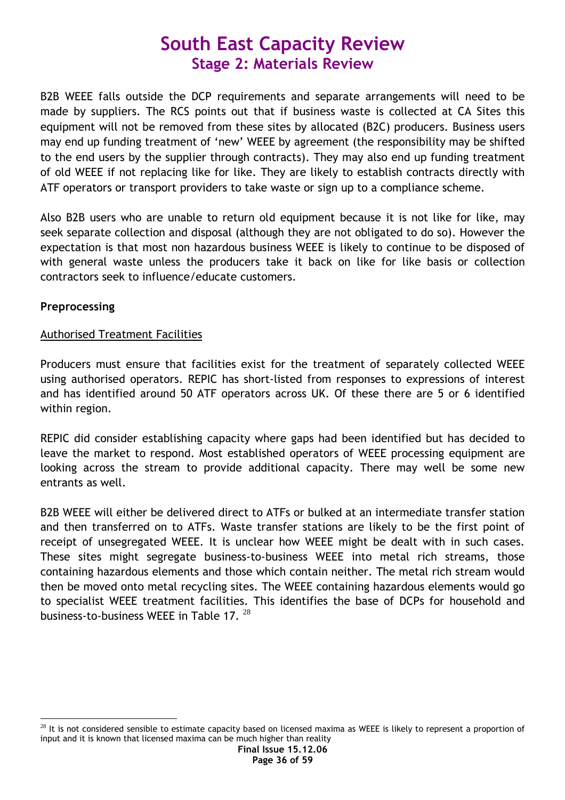B2B WEEE falls outside the DCP requirements and separate arrangements will need to be made by suppliers. The RCS points out that if business waste is collected at CA Sites this equipment will not be removed from these sites by allocated (B2C) producers. Business users may end up funding treatment of 'new' WEEE by agreement (the responsibility may be shifted to the end users by the supplier through contracts). They may also end up funding treatment of old WEEE if not replacing like for like. They are likely to establish contracts directly with ATF operators or transport providers to take waste or sign up to a compliance scheme.

Also B2B users who are unable to return old equipment because it is not like for like, may seek separate collection and disposal (although they are not obligated to do so). However the expectation is that most non hazardous business WEEE is likely to continue to be disposed of with general waste unless the producers take it back on like for like basis or collection contractors seek to influence/educate customers.

### Preprocessing

### Authorised Treatment Facilities

Producers must ensure that facilities exist for the treatment of separately collected WEEE using authorised operators. REPIC has short-listed from responses to expressions of interest and has identified around 50 ATF operators across UK. Of these there are 5 or 6 identified within region.

REPIC did consider establishing capacity where gaps had been identified but has decided to leave the market to respond. Most established operators of WEEE processing equipment are looking across the stream to provide additional capacity. There may well be some new entrants as well.

B2B WEEE will either be delivered direct to ATFs or bulked at an intermediate transfer station and then transferred on to ATFs. Waste transfer stations are likely to be the first point of receipt of unsegregated WEEE. It is unclear how WEEE might be dealt with in such cases. These sites might segregate business-to-business WEEE into metal rich streams, those containing hazardous elements and those which contain neither. The metal rich stream would then be moved onto metal recycling sites. The WEEE containing hazardous elements would go to specialist WEEE treatment facilities. This identifies the base of DCPs for household and business-to-business WEEE in Table 17.  $^{28}$ 

 $\overline{a}$  $28$  It is not considered sensible to estimate capacity based on licensed maxima as WEEE is likely to represent a proportion of input and it is known that licensed maxima can be much higher than reality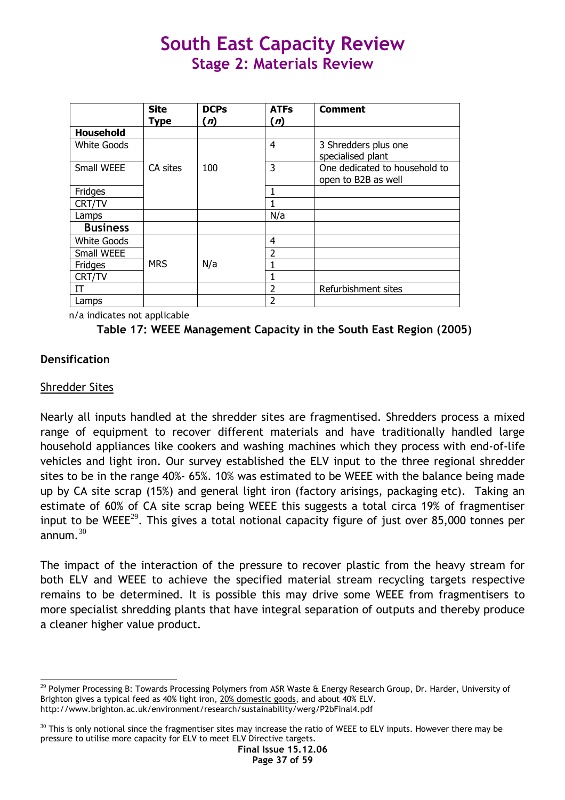|                    | <b>Site</b> | <b>DCPs</b> | <b>ATFs</b>              | <b>Comment</b>                |
|--------------------|-------------|-------------|--------------------------|-------------------------------|
|                    | <b>Type</b> | (n)         | (n)                      |                               |
| Household          |             |             |                          |                               |
| <b>White Goods</b> |             |             | 4                        | 3 Shredders plus one          |
|                    |             |             |                          | specialised plant             |
| Small WEEE         | CA sites    | 100         | 3                        | One dedicated to household to |
|                    |             |             |                          | open to B2B as well           |
| Fridges            |             |             |                          |                               |
| CRT/TV             |             |             |                          |                               |
| Lamps              |             |             | N/a                      |                               |
| <b>Business</b>    |             |             |                          |                               |
| <b>White Goods</b> |             |             | 4                        |                               |
| Small WEEE         |             |             | 2                        |                               |
| Fridges            | <b>MRS</b>  | N/a         |                          |                               |
| CRT/TV             |             |             |                          |                               |
| IT                 |             |             | 2                        | Refurbishment sites           |
| Lamps              |             |             | $\overline{\phantom{a}}$ |                               |

n/a indicates not applicable



### **Densification**

### Shredder Sites

 $\overline{a}$ 

Nearly all inputs handled at the shredder sites are fragmentised. Shredders process a mixed range of equipment to recover different materials and have traditionally handled large household appliances like cookers and washing machines which they process with end-of-life vehicles and light iron. Our survey established the ELV input to the three regional shredder sites to be in the range 40%- 65%. 10% was estimated to be WEEE with the balance being made up by CA site scrap (15%) and general light iron (factory arisings, packaging etc). Taking an estimate of 60% of CA site scrap being WEEE this suggests a total circa 19% of fragmentiser input to be WEEE<sup>29</sup>. This gives a total notional capacity figure of just over 85,000 tonnes per annum  $30$ 

The impact of the interaction of the pressure to recover plastic from the heavy stream for both ELV and WEEE to achieve the specified material stream recycling targets respective remains to be determined. It is possible this may drive some WEEE from fragmentisers to more specialist shredding plants that have integral separation of outputs and thereby produce a cleaner higher value product.

 $^{29}$  Polymer Processing B: Towards Processing Polymers from ASR Waste & Energy Research Group, Dr. Harder, University of Brighton gives a typical feed as 40% light iron, 20% domestic goods, and about 40% ELV. http://www.brighton.ac.uk/environment/research/sustainability/werg/P2bFinal4.pdf

 $30$  This is only notional since the fragmentiser sites may increase the ratio of WEEE to ELV inputs. However there may be pressure to utilise more capacity for ELV to meet ELV Directive targets.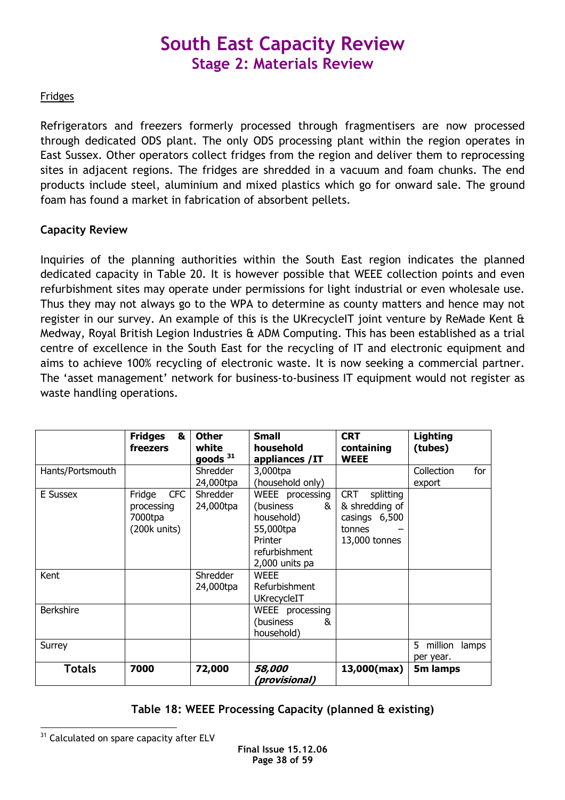### **Fridges**

Refrigerators and freezers formerly processed through fragmentisers are now processed through dedicated ODS plant. The only ODS processing plant within the region operates in East Sussex. Other operators collect fridges from the region and deliver them to reprocessing sites in adjacent regions. The fridges are shredded in a vacuum and foam chunks. The end products include steel, aluminium and mixed plastics which go for onward sale. The ground foam has found a market in fabrication of absorbent pellets.

### Capacity Review

Inquiries of the planning authorities within the South East region indicates the planned dedicated capacity in Table 20. It is however possible that WEEE collection points and even refurbishment sites may operate under permissions for light industrial or even wholesale use. Thus they may not always go to the WPA to determine as county matters and hence may not register in our survey. An example of this is the UKrecycleIT joint venture by ReMade Kent & Medway, Royal British Legion Industries & ADM Computing. This has been established as a trial centre of excellence in the South East for the recycling of IT and electronic equipment and aims to achieve 100% recycling of electronic waste. It is now seeking a commercial partner. The 'asset management' network for business-to-business IT equipment would not register as waste handling operations.

|                  | <b>Fridges</b><br>&<br>freezers                                 | <b>Other</b><br>white<br>goods $31$ | <b>Small</b><br>household<br>appliances /IT                                                                 | <b>CRT</b><br>containing<br><b>WEEE</b>                                               | <b>Lighting</b><br>(tubes)         |
|------------------|-----------------------------------------------------------------|-------------------------------------|-------------------------------------------------------------------------------------------------------------|---------------------------------------------------------------------------------------|------------------------------------|
| Hants/Portsmouth |                                                                 | <b>Shredder</b><br>24,000tpa        | 3,000tpa<br>(household only)                                                                                |                                                                                       | for<br>Collection<br>export        |
| E Sussex         | <b>CFC</b><br>Fridge<br>processing<br>7000tpa<br>$(200k$ units) | Shredder<br>24,000tpa               | WEEE processing<br>(business)<br>&<br>household)<br>55,000tpa<br>Printer<br>refurbishment<br>2,000 units pa | <b>CRT</b><br>splitting<br>& shredding of<br>casings 6,500<br>tonnes<br>13,000 tonnes |                                    |
| Kent             |                                                                 | Shredder<br>24,000tpa               | <b>WEEE</b><br>Refurbishment<br>UKrecycleIT                                                                 |                                                                                       |                                    |
| <b>Berkshire</b> |                                                                 |                                     | WEEE processing<br>(business)<br>&<br>household)                                                            |                                                                                       |                                    |
| Surrey           |                                                                 |                                     |                                                                                                             |                                                                                       | million<br>5<br>lamps<br>per year. |
| <b>Totals</b>    | 7000                                                            | 72,000                              | 58,000<br>(provisional)                                                                                     | 13,000(max)                                                                           | 5m lamps                           |

### Table 18: WEEE Processing Capacity (planned & existing)

 $\overline{a}$ <sup>31</sup> Calculated on spare capacity after ELV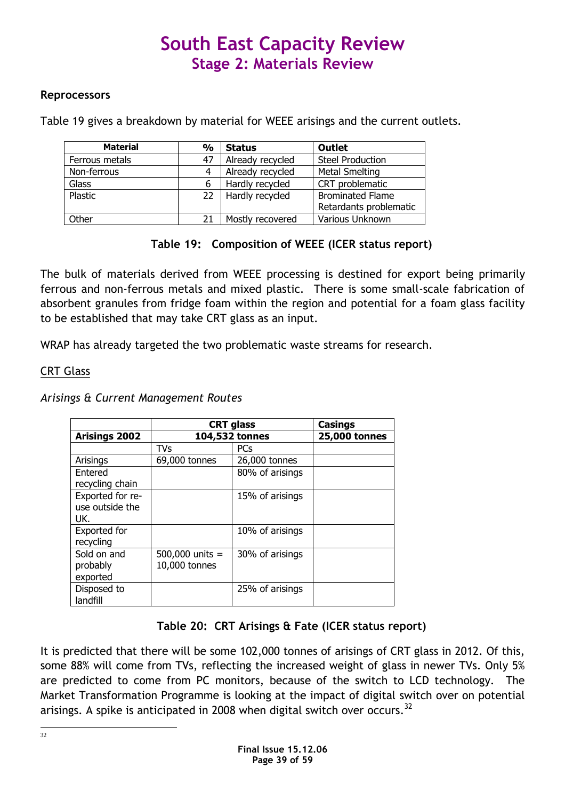### **Reprocessors**

Table 19 gives a breakdown by material for WEEE arisings and the current outlets.

| <b>Material</b> | %  | <b>Status</b>    | <b>Outlet</b>           |
|-----------------|----|------------------|-------------------------|
| Ferrous metals  | 47 | Already recycled | <b>Steel Production</b> |
| Non-ferrous     |    | Already recycled | Metal Smelting          |
| Glass           |    | Hardly recycled  | CRT problematic         |
| Plastic         | 22 | Hardly recycled  | <b>Brominated Flame</b> |
|                 |    |                  | Retardants problematic  |
| Other           | 21 | Mostly recovered | Various Unknown         |

### Table 19: Composition of WEEE (ICER status report)

The bulk of materials derived from WEEE processing is destined for export being primarily ferrous and non-ferrous metals and mixed plastic. There is some small-scale fabrication of absorbent granules from fridge foam within the region and potential for a foam glass facility to be established that may take CRT glass as an input.

WRAP has already targeted the two problematic waste streams for research.

### CRT Glass

#### Arisings & Current Management Routes

|                      | <b>CRT</b> glass  |                 | <b>Casings</b>       |
|----------------------|-------------------|-----------------|----------------------|
| <b>Arisings 2002</b> |                   | 104,532 tonnes  | <b>25,000 tonnes</b> |
|                      | TVs               | <b>PCs</b>      |                      |
| Arisings             | 69,000 tonnes     | 26,000 tonnes   |                      |
| Entered              |                   | 80% of arisings |                      |
| recycling chain      |                   |                 |                      |
| Exported for re-     |                   | 15% of arisings |                      |
| use outside the      |                   |                 |                      |
| UK.                  |                   |                 |                      |
| Exported for         |                   | 10% of arisings |                      |
| recycling            |                   |                 |                      |
| Sold on and          | 500,000 units $=$ | 30% of arisings |                      |
| probably             | 10,000 tonnes     |                 |                      |
| exported             |                   |                 |                      |
| Disposed to          |                   | 25% of arisings |                      |
| landfill             |                   |                 |                      |

### Table 20: CRT Arisings & Fate (ICER status report)

It is predicted that there will be some 102,000 tonnes of arisings of CRT glass in 2012. Of this, some 88% will come from TVs, reflecting the increased weight of glass in newer TVs. Only 5% are predicted to come from PC monitors, because of the switch to LCD technology. The Market Transformation Programme is looking at the impact of digital switch over on potential arisings. A spike is anticipated in 2008 when digital switch over occurs.<sup>32</sup>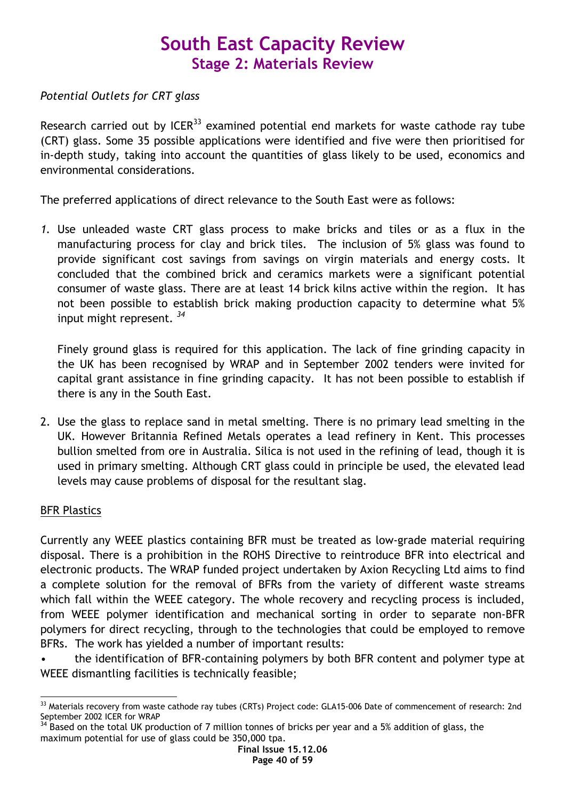### Potential Outlets for CRT glass

Research carried out by  $ICER<sup>33</sup>$  examined potential end markets for waste cathode ray tube (CRT) glass. Some 35 possible applications were identified and five were then prioritised for in-depth study, taking into account the quantities of glass likely to be used, economics and environmental considerations.

The preferred applications of direct relevance to the South East were as follows:

1. Use unleaded waste CRT glass process to make bricks and tiles or as a flux in the manufacturing process for clay and brick tiles. The inclusion of 5% glass was found to provide significant cost savings from savings on virgin materials and energy costs. It concluded that the combined brick and ceramics markets were a significant potential consumer of waste glass. There are at least 14 brick kilns active within the region. It has not been possible to establish brick making production capacity to determine what 5% input might represent.  $34$ 

Finely ground glass is required for this application. The lack of fine grinding capacity in the UK has been recognised by WRAP and in September 2002 tenders were invited for capital grant assistance in fine grinding capacity. It has not been possible to establish if there is any in the South East.

2. Use the glass to replace sand in metal smelting. There is no primary lead smelting in the UK. However Britannia Refined Metals operates a lead refinery in Kent. This processes bullion smelted from ore in Australia. Silica is not used in the refining of lead, though it is used in primary smelting. Although CRT glass could in principle be used, the elevated lead levels may cause problems of disposal for the resultant slag.

### BFR Plastics

Currently any WEEE plastics containing BFR must be treated as low-grade material requiring disposal. There is a prohibition in the ROHS Directive to reintroduce BFR into electrical and electronic products. The WRAP funded project undertaken by Axion Recycling Ltd aims to find a complete solution for the removal of BFRs from the variety of different waste streams which fall within the WEEE category. The whole recovery and recycling process is included, from WEEE polymer identification and mechanical sorting in order to separate non-BFR polymers for direct recycling, through to the technologies that could be employed to remove BFRs. The work has yielded a number of important results:

• the identification of BFR-containing polymers by both BFR content and polymer type at WEEE dismantling facilities is technically feasible;

 $\overline{a}$ <sup>33</sup> Materials recovery from waste cathode ray tubes (CRTs) Project code: GLA15-006 Date of commencement of research: 2nd September 2002 ICER for WRAP

Based on the total UK production of 7 million tonnes of bricks per year and a 5% addition of glass, the maximum potential for use of glass could be 350,000 tpa.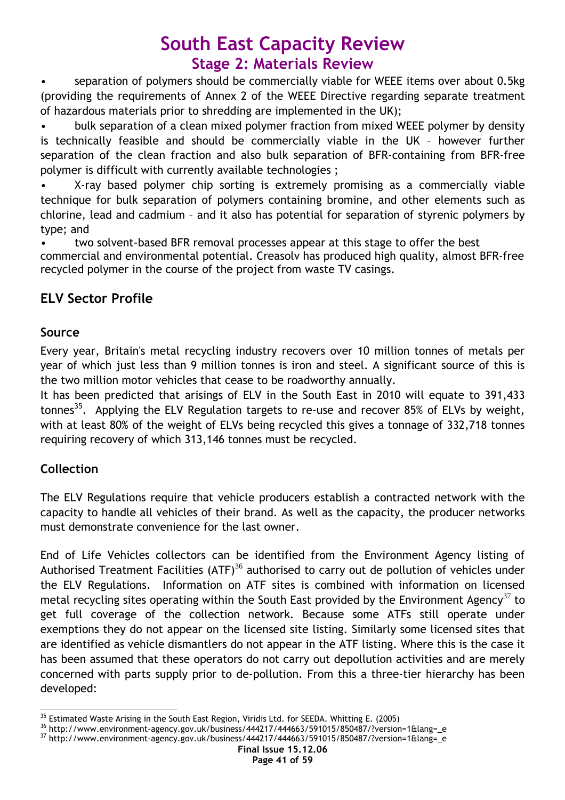separation of polymers should be commercially viable for WEEE items over about 0.5kg (providing the requirements of Annex 2 of the WEEE Directive regarding separate treatment of hazardous materials prior to shredding are implemented in the UK);

• bulk separation of a clean mixed polymer fraction from mixed WEEE polymer by density is technically feasible and should be commercially viable in the UK – however further separation of the clean fraction and also bulk separation of BFR-containing from BFR-free polymer is difficult with currently available technologies ;

• X-ray based polymer chip sorting is extremely promising as a commercially viable technique for bulk separation of polymers containing bromine, and other elements such as chlorine, lead and cadmium – and it also has potential for separation of styrenic polymers by type; and

• two solvent-based BFR removal processes appear at this stage to offer the best commercial and environmental potential. Creasolv has produced high quality, almost BFR-free recycled polymer in the course of the project from waste TV casings.

### ELV Sector Profile

### Source

Every year, Britain's metal recycling industry recovers over 10 million tonnes of metals per year of which just less than 9 million tonnes is iron and steel. A significant source of this is the two million motor vehicles that cease to be roadworthy annually.

It has been predicted that arisings of ELV in the South East in 2010 will equate to 391,433 tonnes<sup>35</sup>. Applying the ELV Regulation targets to re-use and recover 85% of ELVs by weight, with at least 80% of the weight of ELVs being recycled this gives a tonnage of 332,718 tonnes requiring recovery of which 313,146 tonnes must be recycled.

### Collection

The ELV Regulations require that vehicle producers establish a contracted network with the capacity to handle all vehicles of their brand. As well as the capacity, the producer networks must demonstrate convenience for the last owner.

End of Life Vehicles collectors can be identified from the Environment Agency listing of Authorised Treatment Facilities (ATF)<sup>36</sup> authorised to carry out de pollution of vehicles under the ELV Regulations. Information on ATF sites is combined with information on licensed metal recycling sites operating within the South East provided by the Environment Agency<sup>37</sup> to get full coverage of the collection network. Because some ATFs still operate under exemptions they do not appear on the licensed site listing. Similarly some licensed sites that are identified as vehicle dismantlers do not appear in the ATF listing. Where this is the case it has been assumed that these operators do not carry out depollution activities and are merely concerned with parts supply prior to de-pollution. From this a three-tier hierarchy has been developed:

 $\overline{a}$  $35$  Estimated Waste Arising in the South East Region, Viridis Ltd. for SEEDA. Whitting E. (2005)

<sup>36</sup> http://www.environment-agency.gov.uk/business/444217/444663/591015/850487/?version=1&lang=\_e

<sup>37</sup> http://www.environment-agency.gov.uk/business/444217/444663/591015/850487/?version=1&lang=\_e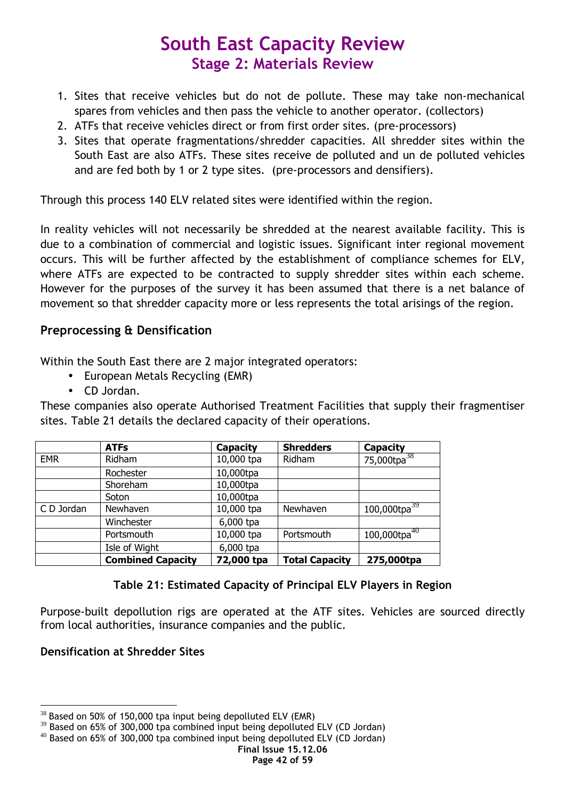- 1. Sites that receive vehicles but do not de pollute. These may take non-mechanical spares from vehicles and then pass the vehicle to another operator. (collectors)
- 2. ATFs that receive vehicles direct or from first order sites. (pre-processors)
- 3. Sites that operate fragmentations/shredder capacities. All shredder sites within the South East are also ATFs. These sites receive de polluted and un de polluted vehicles and are fed both by 1 or 2 type sites. (pre-processors and densifiers).

Through this process 140 ELV related sites were identified within the region.

In reality vehicles will not necessarily be shredded at the nearest available facility. This is due to a combination of commercial and logistic issues. Significant inter regional movement occurs. This will be further affected by the establishment of compliance schemes for ELV, where ATFs are expected to be contracted to supply shredder sites within each scheme. However for the purposes of the survey it has been assumed that there is a net balance of movement so that shredder capacity more or less represents the total arisings of the region.

### Preprocessing & Densification

Within the South East there are 2 major integrated operators:

- European Metals Recycling (EMR)
- CD Jordan.

These companies also operate Authorised Treatment Facilities that supply their fragmentiser sites. Table 21 details the declared capacity of their operations.

|            | <b>ATFs</b>              | Capacity   | <b>Shredders</b>      | <b>Capacity</b>         |
|------------|--------------------------|------------|-----------------------|-------------------------|
| <b>EMR</b> | Ridham                   | 10,000 tpa | Ridham                | 75,000tpa <sup>38</sup> |
|            | Rochester                | 10,000tpa  |                       |                         |
|            | Shoreham                 | 10,000tpa  |                       |                         |
|            | Soton                    | 10,000tpa  |                       |                         |
| C D Jordan | Newhaven                 | 10,000 tpa | Newhaven              | $100,000$ tpa $^{39}$   |
|            | Winchester               | 6,000 tpa  |                       |                         |
|            | Portsmouth               | 10,000 tpa | Portsmouth            | $100,000$ tpa $^{40}$   |
|            | Isle of Wight            | 6,000 tpa  |                       |                         |
|            | <b>Combined Capacity</b> | 72,000 tpa | <b>Total Capacity</b> | 275,000tpa              |

### Table 21: Estimated Capacity of Principal ELV Players in Region

Purpose-built depollution rigs are operated at the ATF sites. Vehicles are sourced directly from local authorities, insurance companies and the public.

### Densification at Shredder Sites

 $\overline{a}$  $38$  Based on 50% of 150,000 tpa input being depolluted ELV (EMR)

 $39$  Based on 65% of 300,000 tpa combined input being depolluted ELV (CD Jordan)

 $40$  Based on 65% of 300,000 tpa combined input being depolluted ELV (CD Jordan)

Final Issue 15.12.06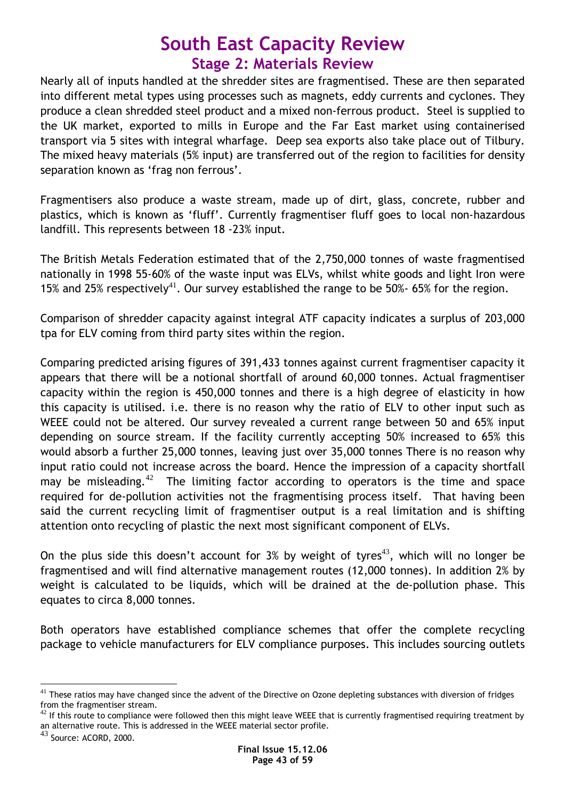Nearly all of inputs handled at the shredder sites are fragmentised. These are then separated into different metal types using processes such as magnets, eddy currents and cyclones. They produce a clean shredded steel product and a mixed non-ferrous product. Steel is supplied to the UK market, exported to mills in Europe and the Far East market using containerised transport via 5 sites with integral wharfage. Deep sea exports also take place out of Tilbury. The mixed heavy materials (5% input) are transferred out of the region to facilities for density separation known as 'frag non ferrous'.

Fragmentisers also produce a waste stream, made up of dirt, glass, concrete, rubber and plastics, which is known as 'fluff'. Currently fragmentiser fluff goes to local non-hazardous landfill. This represents between 18 -23% input.

The British Metals Federation estimated that of the 2,750,000 tonnes of waste fragmentised nationally in 1998 55-60% of the waste input was ELVs, whilst white goods and light Iron were 15% and 25% respectively<sup>41</sup>. Our survey established the range to be 50%- 65% for the region.

Comparison of shredder capacity against integral ATF capacity indicates a surplus of 203,000 tpa for ELV coming from third party sites within the region.

Comparing predicted arising figures of 391,433 tonnes against current fragmentiser capacity it appears that there will be a notional shortfall of around 60,000 tonnes. Actual fragmentiser capacity within the region is 450,000 tonnes and there is a high degree of elasticity in how this capacity is utilised. i.e. there is no reason why the ratio of ELV to other input such as WEEE could not be altered. Our survey revealed a current range between 50 and 65% input depending on source stream. If the facility currently accepting 50% increased to 65% this would absorb a further 25,000 tonnes, leaving just over 35,000 tonnes There is no reason why input ratio could not increase across the board. Hence the impression of a capacity shortfall may be misleading.<sup>42</sup> The limiting factor according to operators is the time and space required for de-pollution activities not the fragmentising process itself. That having been said the current recycling limit of fragmentiser output is a real limitation and is shifting attention onto recycling of plastic the next most significant component of ELVs.

On the plus side this doesn't account for 3% by weight of tyres<sup>43</sup>, which will no longer be fragmentised and will find alternative management routes (12,000 tonnes). In addition 2% by weight is calculated to be liquids, which will be drained at the de-pollution phase. This equates to circa 8,000 tonnes.

Both operators have established compliance schemes that offer the complete recycling package to vehicle manufacturers for ELV compliance purposes. This includes sourcing outlets

 $\overline{a}$  $^{41}$  These ratios may have changed since the advent of the Directive on Ozone depleting substances with diversion of fridges from the fragmentiser stream.

 $42$  If this route to compliance were followed then this might leave WEEE that is currently fragmentised requiring treatment by an alternative route. This is addressed in the WEEE material sector profile.

<sup>43</sup> Source: ACORD, 2000.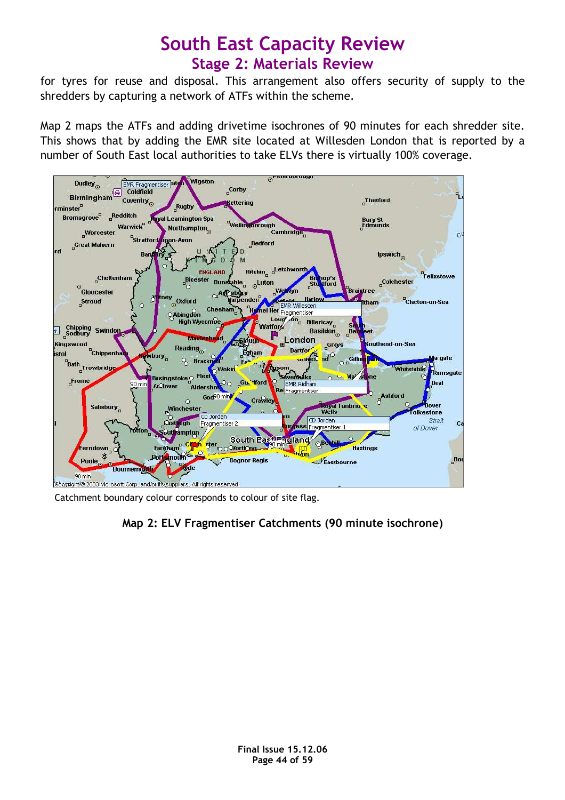for tyres for reuse and disposal. This arrangement also offers security of supply to the shredders by capturing a network of ATFs within the scheme.

Map 2 maps the ATFs and adding drivetime isochrones of 90 minutes for each shredder site. This shows that by adding the EMR site located at Willesden London that is reported by a number of South East local authorities to take ELVs there is virtually 100% coverage.



Catchment boundary colour corresponds to colour of site flag.

### Map 2: ELV Fragmentiser Catchments (90 minute isochrone)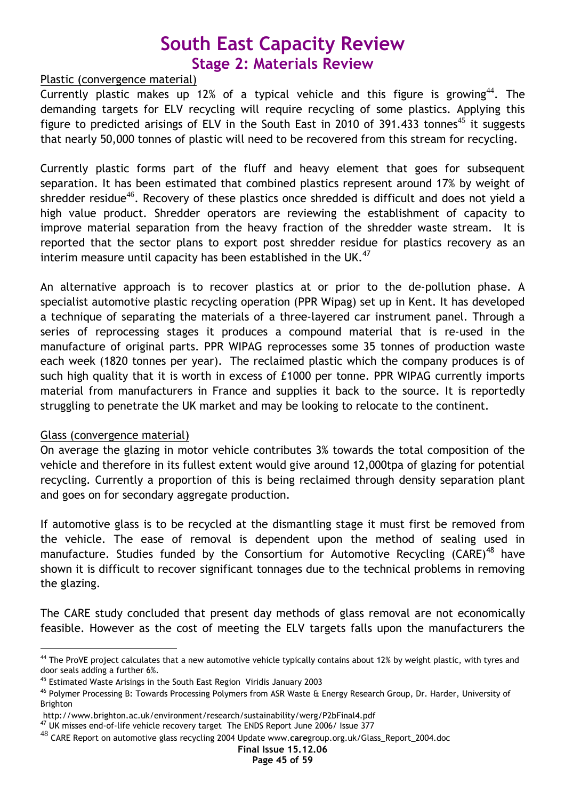### Plastic (convergence material)

Currently plastic makes up 12% of a typical vehicle and this figure is growing<sup>44</sup>. The demanding targets for ELV recycling will require recycling of some plastics. Applying this figure to predicted arisings of ELV in the South East in 2010 of 391.433 tonnes<sup>45</sup> it suggests that nearly 50,000 tonnes of plastic will need to be recovered from this stream for recycling.

Currently plastic forms part of the fluff and heavy element that goes for subsequent separation. It has been estimated that combined plastics represent around 17% by weight of shredder residue<sup>46</sup>. Recovery of these plastics once shredded is difficult and does not yield a high value product. Shredder operators are reviewing the establishment of capacity to improve material separation from the heavy fraction of the shredder waste stream. It is reported that the sector plans to export post shredder residue for plastics recovery as an interim measure until capacity has been established in the UK. $47$ 

An alternative approach is to recover plastics at or prior to the de-pollution phase. A specialist automotive plastic recycling operation (PPR Wipag) set up in Kent. It has developed a technique of separating the materials of a three-layered car instrument panel. Through a series of reprocessing stages it produces a compound material that is re-used in the manufacture of original parts. PPR WIPAG reprocesses some 35 tonnes of production waste each week (1820 tonnes per year). The reclaimed plastic which the company produces is of such high quality that it is worth in excess of £1000 per tonne. PPR WIPAG currently imports material from manufacturers in France and supplies it back to the source. It is reportedly struggling to penetrate the UK market and may be looking to relocate to the continent.

### Glass (convergence material)

 $\overline{a}$ 

On average the glazing in motor vehicle contributes 3% towards the total composition of the vehicle and therefore in its fullest extent would give around 12,000tpa of glazing for potential recycling. Currently a proportion of this is being reclaimed through density separation plant and goes on for secondary aggregate production.

If automotive glass is to be recycled at the dismantling stage it must first be removed from the vehicle. The ease of removal is dependent upon the method of sealing used in manufacture. Studies funded by the Consortium for Automotive Recycling (CARE)<sup>48</sup> have shown it is difficult to recover significant tonnages due to the technical problems in removing the glazing.

The CARE study concluded that present day methods of glass removal are not economically feasible. However as the cost of meeting the ELV targets falls upon the manufacturers the

<sup>&</sup>lt;sup>44</sup> The ProVE project calculates that a new automotive vehicle typically contains about 12% by weight plastic, with tyres and door seals adding a further 6%.

<sup>45</sup> Estimated Waste Arisings in the South East Region Viridis January 2003

<sup>46</sup> Polymer Processing B: Towards Processing Polymers from ASR Waste & Energy Research Group, Dr. Harder, University of Brighton

http://www.brighton.ac.uk/environment/research/sustainability/werg/P2bFinal4.pdf

<sup>&</sup>lt;sup>47</sup> UK misses end-of-life vehicle recovery target The ENDS Report June 2006/ Issue 377

 $^{48}$  CARE Report on automotive glass recycling 2004 Update www.caregroup.org.uk/Glass\_Report\_2004.doc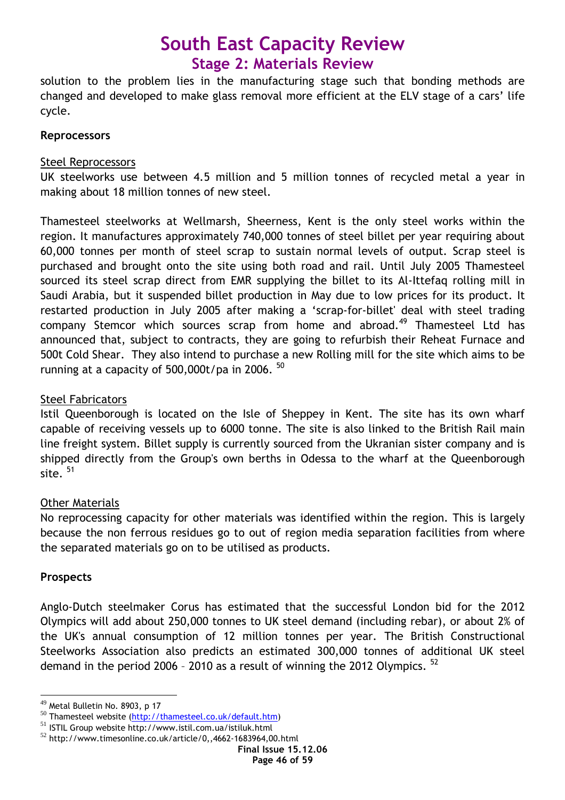solution to the problem lies in the manufacturing stage such that bonding methods are changed and developed to make glass removal more efficient at the ELV stage of a cars' life cycle.

### **Reprocessors**

### Steel Reprocessors

UK steelworks use between 4.5 million and 5 million tonnes of recycled metal a year in making about 18 million tonnes of new steel.

Thamesteel steelworks at Wellmarsh, Sheerness, Kent is the only steel works within the region. It manufactures approximately 740,000 tonnes of steel billet per year requiring about 60,000 tonnes per month of steel scrap to sustain normal levels of output. Scrap steel is purchased and brought onto the site using both road and rail. Until July 2005 Thamesteel sourced its steel scrap direct from EMR supplying the billet to its Al-Ittefaq rolling mill in Saudi Arabia, but it suspended billet production in May due to low prices for its product. It restarted production in July 2005 after making a 'scrap-for-billet' deal with steel trading company Stemcor which sources scrap from home and abroad.<sup>49</sup> Thamesteel Ltd has announced that, subject to contracts, they are going to refurbish their Reheat Furnace and 500t Cold Shear. They also intend to purchase a new Rolling mill for the site which aims to be running at a capacity of  $500.000t$ /pa in 2006.  $50$ 

### Steel Fabricators

Istil Queenborough is located on the Isle of Sheppey in Kent. The site has its own wharf capable of receiving vessels up to 6000 tonne. The site is also linked to the British Rail main line freight system. Billet supply is currently sourced from the Ukranian sister company and is shipped directly from the Group's own berths in Odessa to the wharf at the Queenborough site.  $51$ 

### Other Materials

No reprocessing capacity for other materials was identified within the region. This is largely because the non ferrous residues go to out of region media separation facilities from where the separated materials go on to be utilised as products.

### Prospects

 $\overline{a}$ 

Anglo-Dutch steelmaker Corus has estimated that the successful London bid for the 2012 Olympics will add about 250,000 tonnes to UK steel demand (including rebar), or about 2% of the UK's annual consumption of 12 million tonnes per year. The British Constructional Steelworks Association also predicts an estimated 300,000 tonnes of additional UK steel demand in the period 2006 - 2010 as a result of winning the 2012 Olympics.<sup>52</sup>

<sup>49</sup> Metal Bulletin No. 8903, p 17

<sup>&</sup>lt;sup>50</sup> Thamesteel website (http://thamesteel.co.uk/default.htm)

<sup>51</sup> ISTIL Group website http://www.istil.com.ua/istiluk.html

<sup>52</sup> http://www.timesonline.co.uk/article/0,,4662-1683964,00.html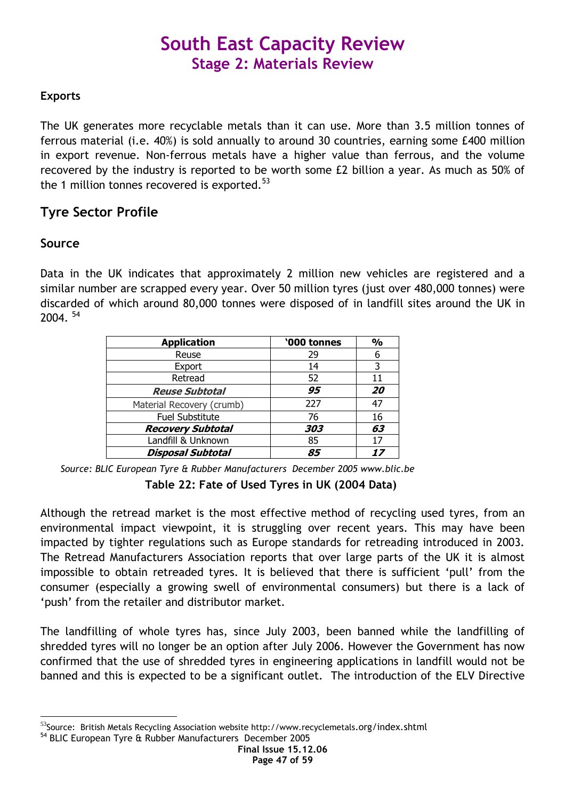### Exports

The UK generates more recyclable metals than it can use. More than 3.5 million tonnes of ferrous material (i.e. 40%) is sold annually to around 30 countries, earning some £400 million in export revenue. Non-ferrous metals have a higher value than ferrous, and the volume recovered by the industry is reported to be worth some £2 billion a year. As much as 50% of the 1 million tonnes recovered is exported. $53$ 

### Tyre Sector Profile

### Source

 $\overline{a}$ 

Data in the UK indicates that approximately 2 million new vehicles are registered and a similar number are scrapped every year. Over 50 million tyres (just over 480,000 tonnes) were discarded of which around 80,000 tonnes were disposed of in landfill sites around the UK in  $2004.$ <sup>54</sup>

| <b>Application</b>        | '000 tonnes | $\frac{0}{0}$ |
|---------------------------|-------------|---------------|
| Reuse                     | 29          | 6             |
| Export                    | 14          | 3             |
| Retread                   | 52          | 11            |
| <b>Reuse Subtotal</b>     | 95          | 20            |
| Material Recovery (crumb) | 227         | 47            |
| <b>Fuel Substitute</b>    | 76          | 16            |
| <b>Recovery Subtotal</b>  | 303         | 63            |
| Landfill & Unknown        | 85          | 17            |
| <b>Disposal Subtotal</b>  | 85          | 17            |

Source: BLIC European Tyre & Rubber Manufacturers December 2005 www.blic.be

Table 22: Fate of Used Tyres in UK (2004 Data)

Although the retread market is the most effective method of recycling used tyres, from an environmental impact viewpoint, it is struggling over recent years. This may have been impacted by tighter regulations such as Europe standards for retreading introduced in 2003. The Retread Manufacturers Association reports that over large parts of the UK it is almost impossible to obtain retreaded tyres. It is believed that there is sufficient 'pull' from the consumer (especially a growing swell of environmental consumers) but there is a lack of 'push' from the retailer and distributor market.

The landfilling of whole tyres has, since July 2003, been banned while the landfilling of shredded tyres will no longer be an option after July 2006. However the Government has now confirmed that the use of shredded tyres in engineering applications in landfill would not be banned and this is expected to be a significant outlet. The introduction of the ELV Directive

 $^{53}$ Source: British Metals Recycling Association website http://www.recyclemetals.org/index.shtml

<sup>54</sup> BLIC European Tyre & Rubber Manufacturers December 2005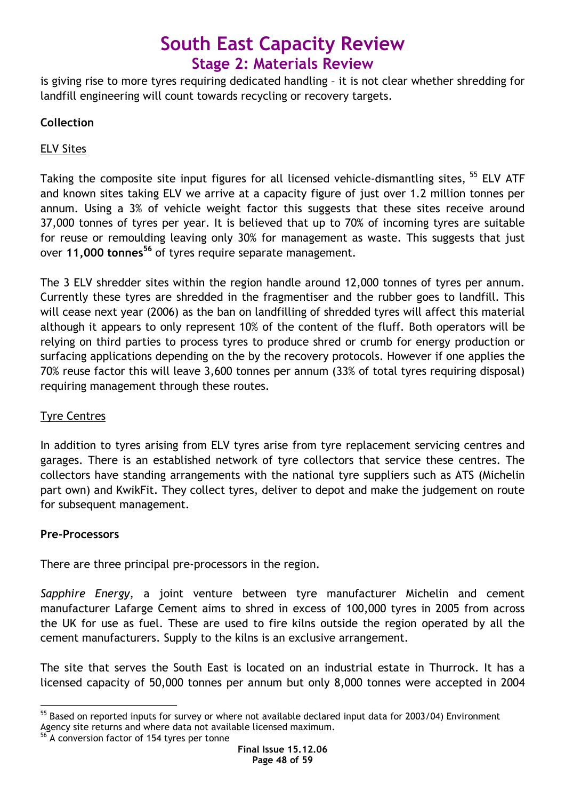is giving rise to more tyres requiring dedicated handling – it is not clear whether shredding for landfill engineering will count towards recycling or recovery targets.

### Collection

### ELV Sites

Taking the composite site input figures for all licensed vehicle-dismantling sites, <sup>55</sup> ELV ATF and known sites taking ELV we arrive at a capacity figure of just over 1.2 million tonnes per annum. Using a 3% of vehicle weight factor this suggests that these sites receive around 37,000 tonnes of tyres per year. It is believed that up to 70% of incoming tyres are suitable for reuse or remoulding leaving only 30% for management as waste. This suggests that just over 11,000 tonnes<sup>56</sup> of tyres require separate management.

The 3 ELV shredder sites within the region handle around 12,000 tonnes of tyres per annum. Currently these tyres are shredded in the fragmentiser and the rubber goes to landfill. This will cease next year (2006) as the ban on landfilling of shredded tyres will affect this material although it appears to only represent 10% of the content of the fluff. Both operators will be relying on third parties to process tyres to produce shred or crumb for energy production or surfacing applications depending on the by the recovery protocols. However if one applies the 70% reuse factor this will leave 3,600 tonnes per annum (33% of total tyres requiring disposal) requiring management through these routes.

### Tyre Centres

In addition to tyres arising from ELV tyres arise from tyre replacement servicing centres and garages. There is an established network of tyre collectors that service these centres. The collectors have standing arrangements with the national tyre suppliers such as ATS (Michelin part own) and KwikFit. They collect tyres, deliver to depot and make the judgement on route for subsequent management.

### Pre-Processors

There are three principal pre-processors in the region.

Sapphire Energy, a joint venture between tyre manufacturer Michelin and cement manufacturer Lafarge Cement aims to shred in excess of 100,000 tyres in 2005 from across the UK for use as fuel. These are used to fire kilns outside the region operated by all the cement manufacturers. Supply to the kilns is an exclusive arrangement.

The site that serves the South East is located on an industrial estate in Thurrock. It has a licensed capacity of 50,000 tonnes per annum but only 8,000 tonnes were accepted in 2004

 $\overline{a}$  $55$  Based on reported inputs for survey or where not available declared input data for 2003/04) Environment Agency site returns and where data not available licensed maximum.

<sup>&</sup>lt;sup>56</sup> A conversion factor of 154 tyres per tonne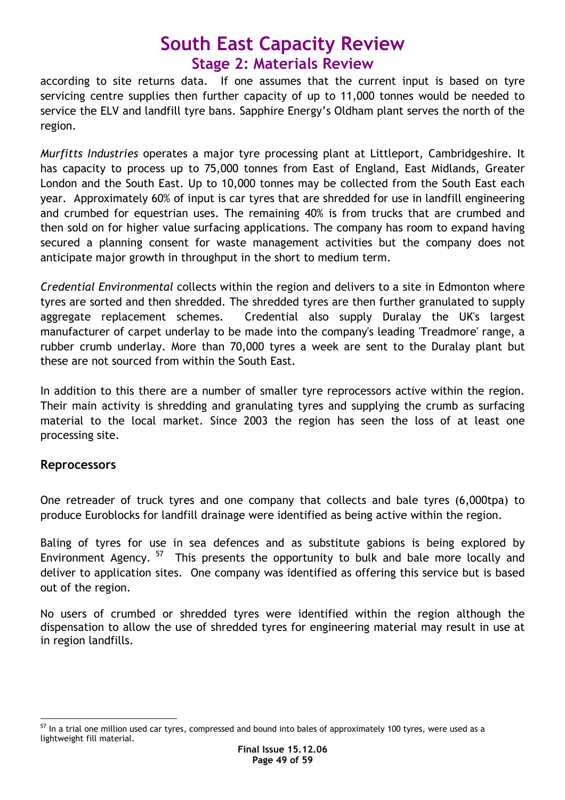according to site returns data. If one assumes that the current input is based on tyre servicing centre supplies then further capacity of up to 11,000 tonnes would be needed to service the ELV and landfill tyre bans. Sapphire Energy's Oldham plant serves the north of the region.

Murfitts Industries operates a major tyre processing plant at Littleport, Cambridgeshire. It has capacity to process up to 75,000 tonnes from East of England, East Midlands, Greater London and the South East. Up to 10,000 tonnes may be collected from the South East each year. Approximately 60% of input is car tyres that are shredded for use in landfill engineering and crumbed for equestrian uses. The remaining 40% is from trucks that are crumbed and then sold on for higher value surfacing applications. The company has room to expand having secured a planning consent for waste management activities but the company does not anticipate major growth in throughput in the short to medium term.

Credential Environmental collects within the region and delivers to a site in Edmonton where tyres are sorted and then shredded. The shredded tyres are then further granulated to supply aggregate replacement schemes. Credential also supply Duralay the UK's largest manufacturer of carpet underlay to be made into the company's leading 'Treadmore' range, a rubber crumb underlay. More than 70,000 tyres a week are sent to the Duralay plant but these are not sourced from within the South East.

In addition to this there are a number of smaller tyre reprocessors active within the region. Their main activity is shredding and granulating tyres and supplying the crumb as surfacing material to the local market. Since 2003 the region has seen the loss of at least one processing site.

### **Reprocessors**

One retreader of truck tyres and one company that collects and bale tyres (6,000tpa) to produce Euroblocks for landfill drainage were identified as being active within the region.

Baling of tyres for use in sea defences and as substitute gabions is being explored by Environment Agency.<sup>57</sup> This presents the opportunity to bulk and bale more locally and deliver to application sites. One company was identified as offering this service but is based out of the region.

No users of crumbed or shredded tyres were identified within the region although the dispensation to allow the use of shredded tyres for engineering material may result in use at in region landfills.

 $\overline{a}$  $57$  In a trial one million used car tyres, compressed and bound into bales of approximately 100 tyres, were used as a lightweight fill material.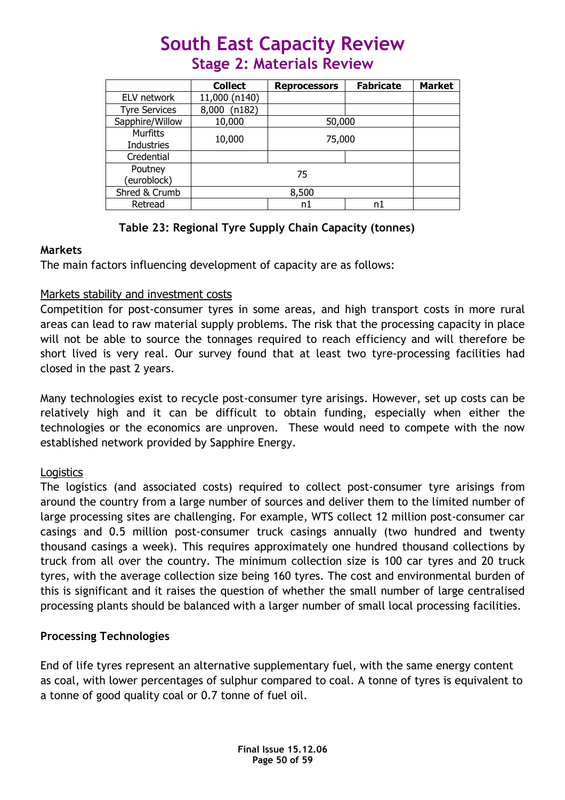|                                      | <b>Collect</b> | <b>Reprocessors</b> | <b>Fabricate</b> | <b>Market</b> |
|--------------------------------------|----------------|---------------------|------------------|---------------|
| ELV network                          | 11,000 (n140)  |                     |                  |               |
| <b>Tyre Services</b>                 | 8,000 (n182)   |                     |                  |               |
| Sapphire/Willow                      | 10,000         | 50,000              |                  |               |
| <b>Murfitts</b><br><b>Industries</b> | 10,000         | 75,000              |                  |               |
| Credential                           |                |                     |                  |               |
| Poutney<br>(euroblock)               | 75             |                     |                  |               |
| Shred & Crumb                        | 8,500          |                     |                  |               |
| Retread                              |                | n1                  |                  |               |

### Table 23: Regional Tyre Supply Chain Capacity (tonnes)

### Markets

The main factors influencing development of capacity are as follows:

### Markets stability and investment costs

Competition for post-consumer tyres in some areas, and high transport costs in more rural areas can lead to raw material supply problems. The risk that the processing capacity in place will not be able to source the tonnages required to reach efficiency and will therefore be short lived is very real. Our survey found that at least two tyre-processing facilities had closed in the past 2 years.

Many technologies exist to recycle post-consumer tyre arisings. However, set up costs can be relatively high and it can be difficult to obtain funding, especially when either the technologies or the economics are unproven. These would need to compete with the now established network provided by Sapphire Energy.

### **Logistics**

The logistics (and associated costs) required to collect post-consumer tyre arisings from around the country from a large number of sources and deliver them to the limited number of large processing sites are challenging. For example, WTS collect 12 million post-consumer car casings and 0.5 million post-consumer truck casings annually (two hundred and twenty thousand casings a week). This requires approximately one hundred thousand collections by truck from all over the country. The minimum collection size is 100 car tyres and 20 truck tyres, with the average collection size being 160 tyres. The cost and environmental burden of this is significant and it raises the question of whether the small number of large centralised processing plants should be balanced with a larger number of small local processing facilities.

### Processing Technologies

End of life tyres represent an alternative supplementary fuel, with the same energy content as coal, with lower percentages of sulphur compared to coal. A tonne of tyres is equivalent to a tonne of good quality coal or 0.7 tonne of fuel oil.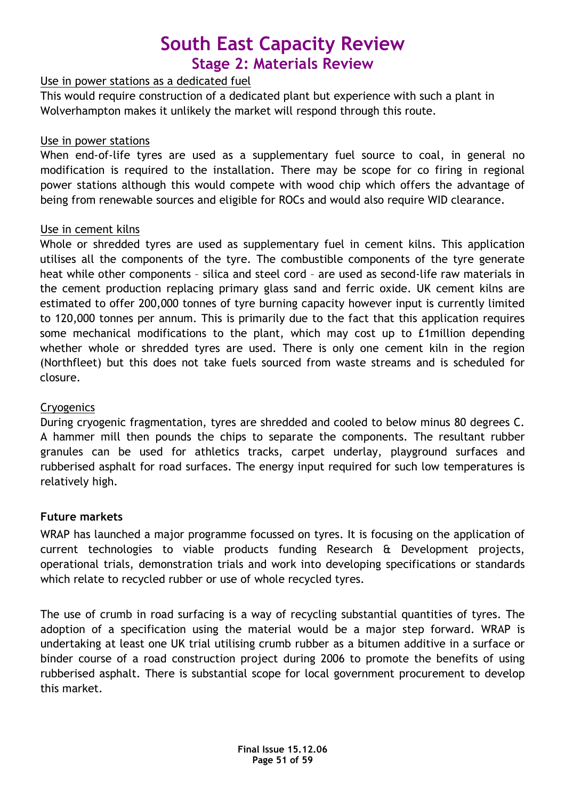### Use in power stations as a dedicated fuel

This would require construction of a dedicated plant but experience with such a plant in Wolverhampton makes it unlikely the market will respond through this route.

### Use in power stations

When end-of-life tyres are used as a supplementary fuel source to coal, in general no modification is required to the installation. There may be scope for co firing in regional power stations although this would compete with wood chip which offers the advantage of being from renewable sources and eligible for ROCs and would also require WID clearance.

### Use in cement kilns

Whole or shredded tyres are used as supplementary fuel in cement kilns. This application utilises all the components of the tyre. The combustible components of the tyre generate heat while other components – silica and steel cord – are used as second-life raw materials in the cement production replacing primary glass sand and ferric oxide. UK cement kilns are estimated to offer 200,000 tonnes of tyre burning capacity however input is currently limited to 120,000 tonnes per annum. This is primarily due to the fact that this application requires some mechanical modifications to the plant, which may cost up to £1million depending whether whole or shredded tyres are used. There is only one cement kiln in the region (Northfleet) but this does not take fuels sourced from waste streams and is scheduled for closure.

### **Cryogenics**

During cryogenic fragmentation, tyres are shredded and cooled to below minus 80 degrees C. A hammer mill then pounds the chips to separate the components. The resultant rubber granules can be used for athletics tracks, carpet underlay, playground surfaces and rubberised asphalt for road surfaces. The energy input required for such low temperatures is relatively high.

### Future markets

WRAP has launched a major programme focussed on tyres. It is focusing on the application of current technologies to viable products funding Research & Development projects, operational trials, demonstration trials and work into developing specifications or standards which relate to recycled rubber or use of whole recycled tyres.

The use of crumb in road surfacing is a way of recycling substantial quantities of tyres. The adoption of a specification using the material would be a major step forward. WRAP is undertaking at least one UK trial utilising crumb rubber as a bitumen additive in a surface or binder course of a road construction project during 2006 to promote the benefits of using rubberised asphalt. There is substantial scope for local government procurement to develop this market.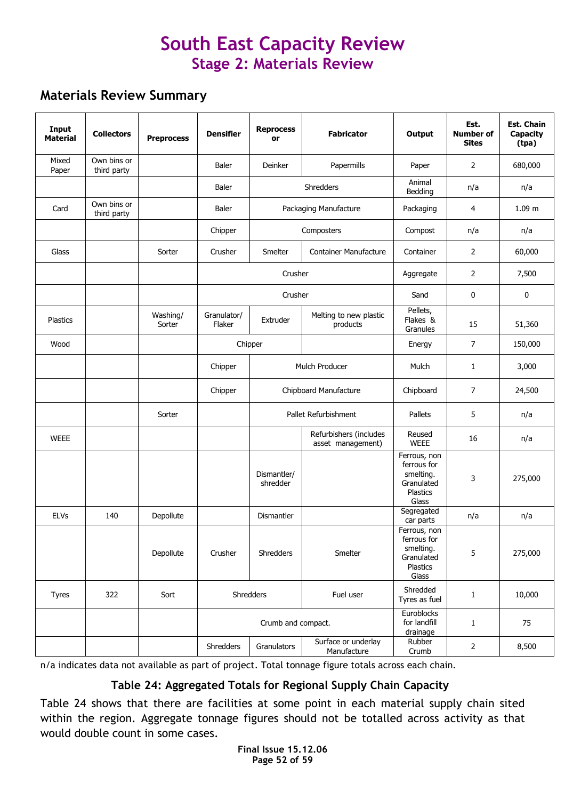### Materials Review Summary

| Input<br><b>Material</b> | <b>Collectors</b>          | <b>Preprocess</b>  | <b>Densifier</b>      | <b>Reprocess</b><br>or  | <b>Fabricator</b>                           | Output                                                                             | Est.<br><b>Number of</b><br><b>Sites</b> | <b>Est. Chain</b><br>Capacity<br>(tpa) |
|--------------------------|----------------------------|--------------------|-----------------------|-------------------------|---------------------------------------------|------------------------------------------------------------------------------------|------------------------------------------|----------------------------------------|
| Mixed<br>Paper           | Own bins or<br>third party |                    | <b>Baler</b>          | Deinker                 | Papermills                                  | Paper                                                                              | 2                                        | 680,000                                |
|                          |                            |                    | Baler                 |                         | Shredders                                   | Animal<br>Bedding                                                                  | n/a                                      | n/a                                    |
| Card                     | Own bins or<br>third party |                    | Baler                 |                         | Packaging Manufacture                       | Packaging                                                                          | 4                                        | 1.09 m                                 |
|                          |                            |                    | Chipper               |                         | Composters                                  | Compost                                                                            | n/a                                      | n/a                                    |
| Glass                    |                            | Sorter             | Crusher               | Smelter                 | <b>Container Manufacture</b>                | Container                                                                          | 2                                        | 60,000                                 |
|                          |                            |                    |                       | Crusher                 |                                             | Aggregate                                                                          | 2                                        | 7,500                                  |
|                          |                            |                    |                       | Crusher                 |                                             | Sand                                                                               | 0                                        | $\bf{0}$                               |
| Plastics                 |                            | Washing/<br>Sorter | Granulator/<br>Flaker | Extruder                | Melting to new plastic<br>products          | Pellets,<br>Flakes &<br>Granules                                                   | 15                                       | 51,360                                 |
| Wood                     |                            |                    |                       | Chipper                 |                                             | Energy                                                                             | 7                                        | 150,000                                |
|                          |                            |                    | Chipper               |                         | Mulch Producer                              | Mulch                                                                              | 1                                        | 3,000                                  |
|                          |                            |                    | Chipper               |                         | Chipboard Manufacture                       | Chipboard                                                                          | $\overline{7}$                           | 24,500                                 |
|                          |                            | Sorter             |                       |                         | Pallet Refurbishment                        | Pallets                                                                            | 5                                        | n/a                                    |
| <b>WEEE</b>              |                            |                    |                       |                         | Refurbishers (includes<br>asset management) | Reused<br><b>WEEE</b>                                                              | 16                                       | n/a                                    |
|                          |                            |                    |                       | Dismantler/<br>shredder |                                             | Ferrous, non<br>ferrous for<br>smelting.<br>Granulated<br>Plastics<br>Glass        | 3                                        | 275,000                                |
| <b>ELVs</b>              | 140                        | Depollute          |                       | <b>Dismantler</b>       |                                             | Segregated<br>car parts                                                            | n/a                                      | n/a                                    |
|                          |                            | Depollute          | Crusher               | Shredders               | Smelter                                     | Ferrous, non<br>ferrous for<br>smelting.<br>Granulated<br><b>Plastics</b><br>Glass | 5                                        | 275,000                                |
| <b>Tyres</b>             | 322                        | Sort               |                       | Shredders               | Fuel user                                   | Shredded<br>Tyres as fuel                                                          | 1                                        | 10,000                                 |
|                          |                            |                    |                       | Crumb and compact.      |                                             | Euroblocks<br>for landfill<br>drainage                                             | 1                                        | 75                                     |
|                          |                            |                    | Shredders             | Granulators             | Surface or underlay<br>Manufacture          | Rubber<br>Crumb                                                                    | $\mathbf 2$                              | 8,500                                  |

n/a indicates data not available as part of project. Total tonnage figure totals across each chain.

### Table 24: Aggregated Totals for Regional Supply Chain Capacity

Table 24 shows that there are facilities at some point in each material supply chain sited within the region. Aggregate tonnage figures should not be totalled across activity as that would double count in some cases.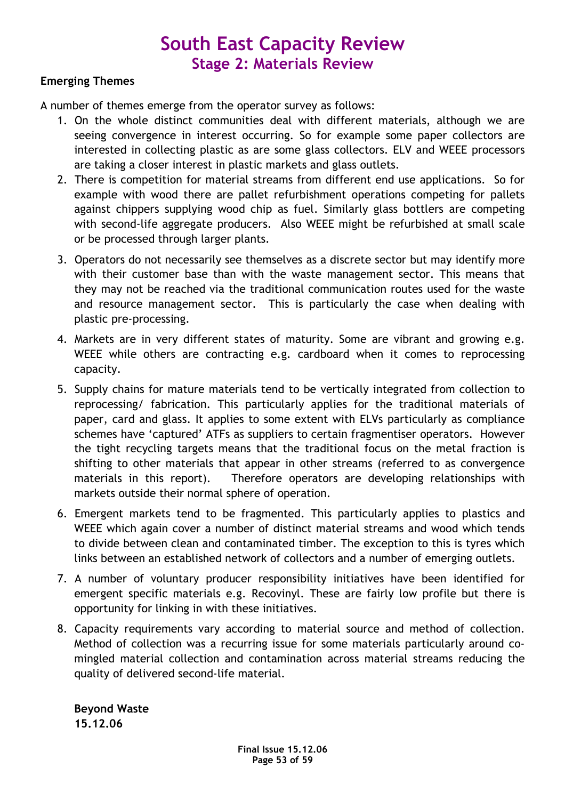### Emerging Themes

A number of themes emerge from the operator survey as follows:

- 1. On the whole distinct communities deal with different materials, although we are seeing convergence in interest occurring. So for example some paper collectors are interested in collecting plastic as are some glass collectors. ELV and WEEE processors are taking a closer interest in plastic markets and glass outlets.
- 2. There is competition for material streams from different end use applications. So for example with wood there are pallet refurbishment operations competing for pallets against chippers supplying wood chip as fuel. Similarly glass bottlers are competing with second-life aggregate producers. Also WEEE might be refurbished at small scale or be processed through larger plants.
- 3. Operators do not necessarily see themselves as a discrete sector but may identify more with their customer base than with the waste management sector. This means that they may not be reached via the traditional communication routes used for the waste and resource management sector. This is particularly the case when dealing with plastic pre-processing.
- 4. Markets are in very different states of maturity. Some are vibrant and growing e.g. WEEE while others are contracting e.g. cardboard when it comes to reprocessing capacity.
- 5. Supply chains for mature materials tend to be vertically integrated from collection to reprocessing/ fabrication. This particularly applies for the traditional materials of paper, card and glass. It applies to some extent with ELVs particularly as compliance schemes have 'captured' ATFs as suppliers to certain fragmentiser operators. However the tight recycling targets means that the traditional focus on the metal fraction is shifting to other materials that appear in other streams (referred to as convergence materials in this report). Therefore operators are developing relationships with markets outside their normal sphere of operation.
- 6. Emergent markets tend to be fragmented. This particularly applies to plastics and WEEE which again cover a number of distinct material streams and wood which tends to divide between clean and contaminated timber. The exception to this is tyres which links between an established network of collectors and a number of emerging outlets.
- 7. A number of voluntary producer responsibility initiatives have been identified for emergent specific materials e.g. Recovinyl. These are fairly low profile but there is opportunity for linking in with these initiatives.
- 8. Capacity requirements vary according to material source and method of collection. Method of collection was a recurring issue for some materials particularly around comingled material collection and contamination across material streams reducing the quality of delivered second-life material.

Beyond Waste 15.12.06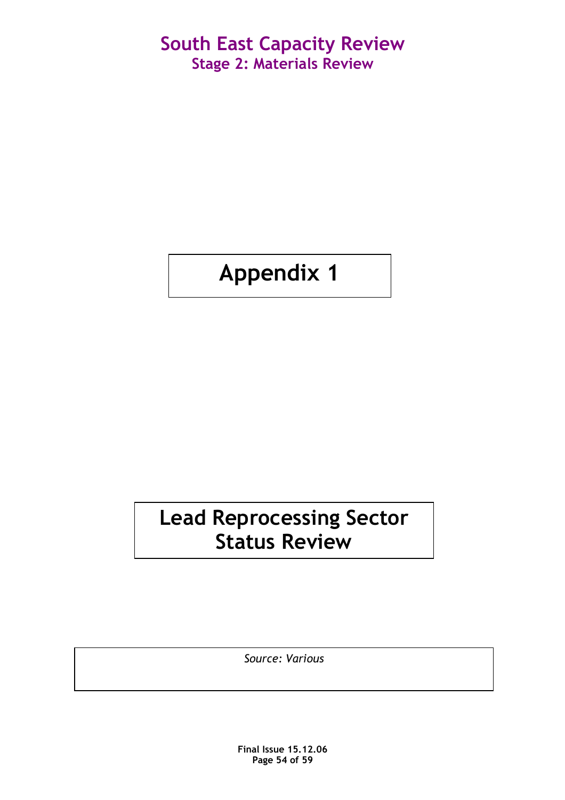# Appendix 1

# Lead Reprocessing Sector Status Review

Source: Various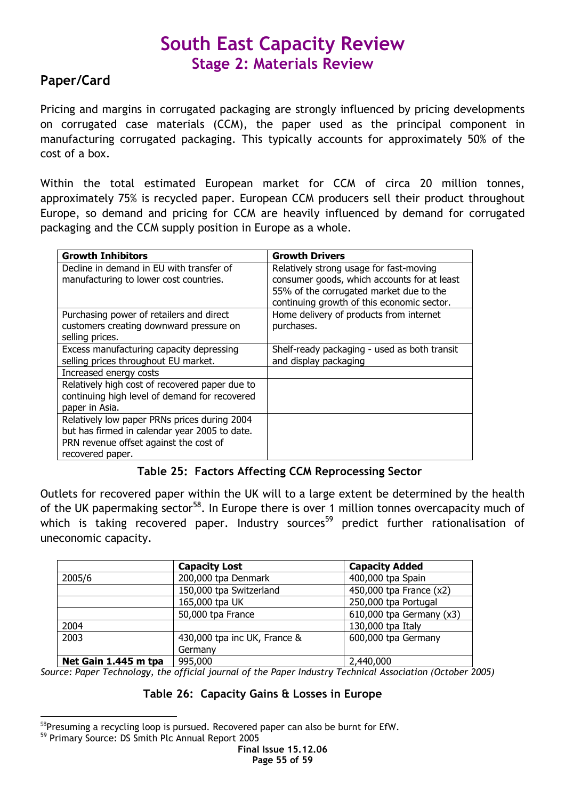### Paper/Card

Pricing and margins in corrugated packaging are strongly influenced by pricing developments on corrugated case materials (CCM), the paper used as the principal component in manufacturing corrugated packaging. This typically accounts for approximately 50% of the cost of a box.

Within the total estimated European market for CCM of circa 20 million tonnes, approximately 75% is recycled paper. European CCM producers sell their product throughout Europe, so demand and pricing for CCM are heavily influenced by demand for corrugated packaging and the CCM supply position in Europe as a whole.

| <b>Growth Inhibitors</b>                       | <b>Growth Drivers</b>                        |
|------------------------------------------------|----------------------------------------------|
| Decline in demand in EU with transfer of       | Relatively strong usage for fast-moving      |
| manufacturing to lower cost countries.         | consumer goods, which accounts for at least  |
|                                                | 55% of the corrugated market due to the      |
|                                                | continuing growth of this economic sector.   |
| Purchasing power of retailers and direct       | Home delivery of products from internet      |
| customers creating downward pressure on        | purchases.                                   |
| selling prices.                                |                                              |
| Excess manufacturing capacity depressing       | Shelf-ready packaging - used as both transit |
| selling prices throughout EU market.           | and display packaging                        |
| Increased energy costs                         |                                              |
| Relatively high cost of recovered paper due to |                                              |
| continuing high level of demand for recovered  |                                              |
| paper in Asia.                                 |                                              |
| Relatively low paper PRNs prices during 2004   |                                              |
| but has firmed in calendar year 2005 to date.  |                                              |
| PRN revenue offset against the cost of         |                                              |
| recovered paper.                               |                                              |

### Table 25: Factors Affecting CCM Reprocessing Sector

Outlets for recovered paper within the UK will to a large extent be determined by the health of the UK papermaking sector<sup>58</sup>. In Europe there is over 1 million tonnes overcapacity much of which is taking recovered paper. Industry sources<sup>59</sup> predict further rationalisation of uneconomic capacity.

|                      | <b>Capacity Lost</b>         | <b>Capacity Added</b>    |
|----------------------|------------------------------|--------------------------|
| 2005/6               | 200,000 tpa Denmark          | 400,000 tpa Spain        |
|                      | 150,000 tpa Switzerland      | 450,000 tpa France (x2)  |
|                      | 165,000 tpa UK               | 250,000 tpa Portugal     |
|                      | 50,000 tpa France            | 610,000 tpa Germany (x3) |
| 2004                 |                              | 130,000 tpa Italy        |
| 2003                 | 430,000 tpa inc UK, France & | 600,000 tpa Germany      |
|                      | Germany                      |                          |
| Net Gain 1.445 m tpa | 995,000                      | 2,440,000                |

Source: Paper Technology, the official journal of the Paper Industry Technical Association (October 2005)

### Table 26: Capacity Gains & Losses in Europe

 $\overline{a}$  $58$ Presuming a recycling loop is pursued. Recovered paper can also be burnt for EfW.

<sup>59</sup> Primary Source: DS Smith Plc Annual Report 2005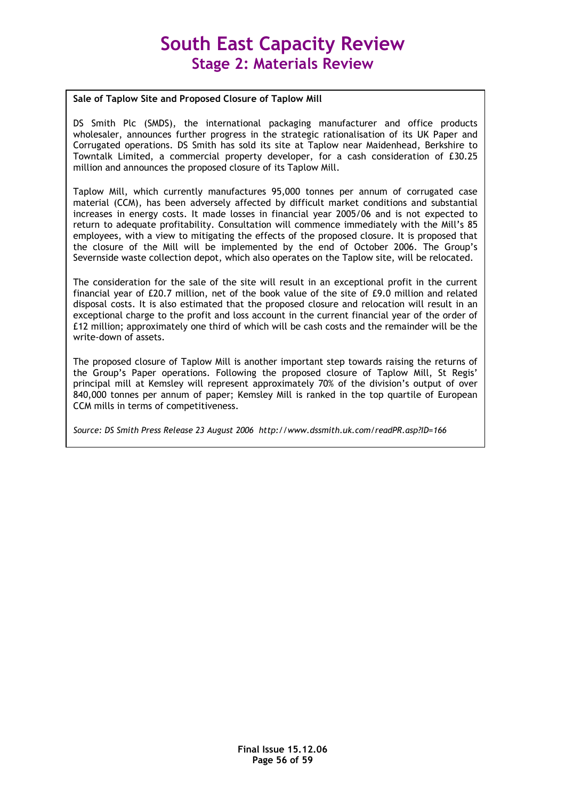#### Sale of Taplow Site and Proposed Closure of Taplow Mill

DS Smith Plc (SMDS), the international packaging manufacturer and office products wholesaler, announces further progress in the strategic rationalisation of its UK Paper and Corrugated operations. DS Smith has sold its site at Taplow near Maidenhead, Berkshire to Towntalk Limited, a commercial property developer, for a cash consideration of £30.25 million and announces the proposed closure of its Taplow Mill.

Taplow Mill, which currently manufactures 95,000 tonnes per annum of corrugated case material (CCM), has been adversely affected by difficult market conditions and substantial increases in energy costs. It made losses in financial year 2005/06 and is not expected to return to adequate profitability. Consultation will commence immediately with the Mill's 85 employees, with a view to mitigating the effects of the proposed closure. It is proposed that the closure of the Mill will be implemented by the end of October 2006. The Group's Severnside waste collection depot, which also operates on the Taplow site, will be relocated.

The consideration for the sale of the site will result in an exceptional profit in the current financial year of £20.7 million, net of the book value of the site of £9.0 million and related disposal costs. It is also estimated that the proposed closure and relocation will result in an exceptional charge to the profit and loss account in the current financial year of the order of £12 million; approximately one third of which will be cash costs and the remainder will be the write-down of assets.

The proposed closure of Taplow Mill is another important step towards raising the returns of the Group's Paper operations. Following the proposed closure of Taplow Mill, St Regis' principal mill at Kemsley will represent approximately 70% of the division's output of over 840,000 tonnes per annum of paper; Kemsley Mill is ranked in the top quartile of European CCM mills in terms of competitiveness.

Source: DS Smith Press Release 23 August 2006 http://www.dssmith.uk.com/readPR.asp?ID=166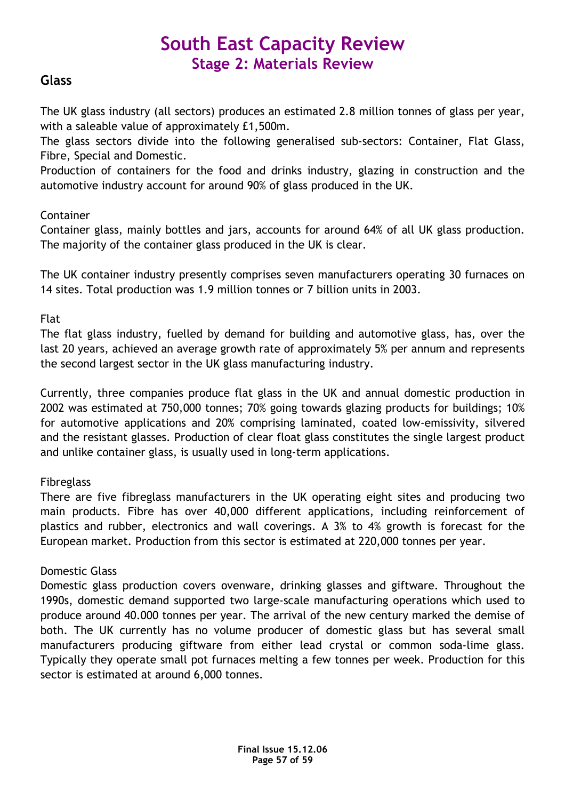### **Glass**

The UK glass industry (all sectors) produces an estimated 2.8 million tonnes of glass per year, with a saleable value of approximately £1,500m.

The glass sectors divide into the following generalised sub-sectors: Container, Flat Glass, Fibre, Special and Domestic.

Production of containers for the food and drinks industry, glazing in construction and the automotive industry account for around 90% of glass produced in the UK.

### Container

Container glass, mainly bottles and jars, accounts for around 64% of all UK glass production. The majority of the container glass produced in the UK is clear.

The UK container industry presently comprises seven manufacturers operating 30 furnaces on 14 sites. Total production was 1.9 million tonnes or 7 billion units in 2003.

Flat

The flat glass industry, fuelled by demand for building and automotive glass, has, over the last 20 years, achieved an average growth rate of approximately 5% per annum and represents the second largest sector in the UK glass manufacturing industry.

Currently, three companies produce flat glass in the UK and annual domestic production in 2002 was estimated at 750,000 tonnes; 70% going towards glazing products for buildings; 10% for automotive applications and 20% comprising laminated, coated low-emissivity, silvered and the resistant glasses. Production of clear float glass constitutes the single largest product and unlike container glass, is usually used in long-term applications.

### **Fibreglass**

There are five fibreglass manufacturers in the UK operating eight sites and producing two main products. Fibre has over 40,000 different applications, including reinforcement of plastics and rubber, electronics and wall coverings. A 3% to 4% growth is forecast for the European market. Production from this sector is estimated at 220,000 tonnes per year.

### Domestic Glass

Domestic glass production covers ovenware, drinking glasses and giftware. Throughout the 1990s, domestic demand supported two large-scale manufacturing operations which used to produce around 40.000 tonnes per year. The arrival of the new century marked the demise of both. The UK currently has no volume producer of domestic glass but has several small manufacturers producing giftware from either lead crystal or common soda-lime glass. Typically they operate small pot furnaces melting a few tonnes per week. Production for this sector is estimated at around 6,000 tonnes.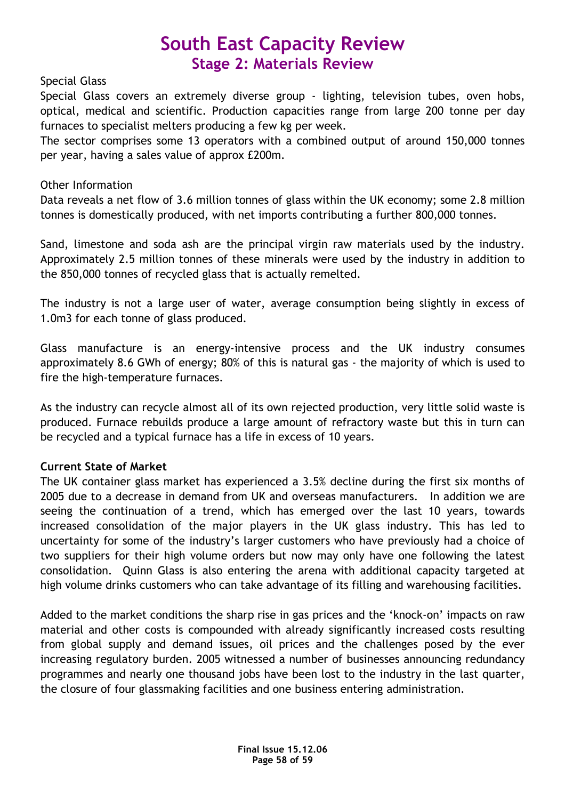### Special Glass

Special Glass covers an extremely diverse group - lighting, television tubes, oven hobs, optical, medical and scientific. Production capacities range from large 200 tonne per day furnaces to specialist melters producing a few kg per week.

The sector comprises some 13 operators with a combined output of around 150,000 tonnes per year, having a sales value of approx £200m.

### Other Information

Data reveals a net flow of 3.6 million tonnes of glass within the UK economy; some 2.8 million tonnes is domestically produced, with net imports contributing a further 800,000 tonnes.

Sand, limestone and soda ash are the principal virgin raw materials used by the industry. Approximately 2.5 million tonnes of these minerals were used by the industry in addition to the 850,000 tonnes of recycled glass that is actually remelted.

The industry is not a large user of water, average consumption being slightly in excess of 1.0m3 for each tonne of glass produced.

Glass manufacture is an energy-intensive process and the UK industry consumes approximately 8.6 GWh of energy; 80% of this is natural gas - the majority of which is used to fire the high-temperature furnaces.

As the industry can recycle almost all of its own rejected production, very little solid waste is produced. Furnace rebuilds produce a large amount of refractory waste but this in turn can be recycled and a typical furnace has a life in excess of 10 years.

### Current State of Market

The UK container glass market has experienced a 3.5% decline during the first six months of 2005 due to a decrease in demand from UK and overseas manufacturers. In addition we are seeing the continuation of a trend, which has emerged over the last 10 years, towards increased consolidation of the major players in the UK glass industry. This has led to uncertainty for some of the industry's larger customers who have previously had a choice of two suppliers for their high volume orders but now may only have one following the latest consolidation. Quinn Glass is also entering the arena with additional capacity targeted at high volume drinks customers who can take advantage of its filling and warehousing facilities.

Added to the market conditions the sharp rise in gas prices and the 'knock-on' impacts on raw material and other costs is compounded with already significantly increased costs resulting from global supply and demand issues, oil prices and the challenges posed by the ever increasing regulatory burden. 2005 witnessed a number of businesses announcing redundancy programmes and nearly one thousand jobs have been lost to the industry in the last quarter, the closure of four glassmaking facilities and one business entering administration.